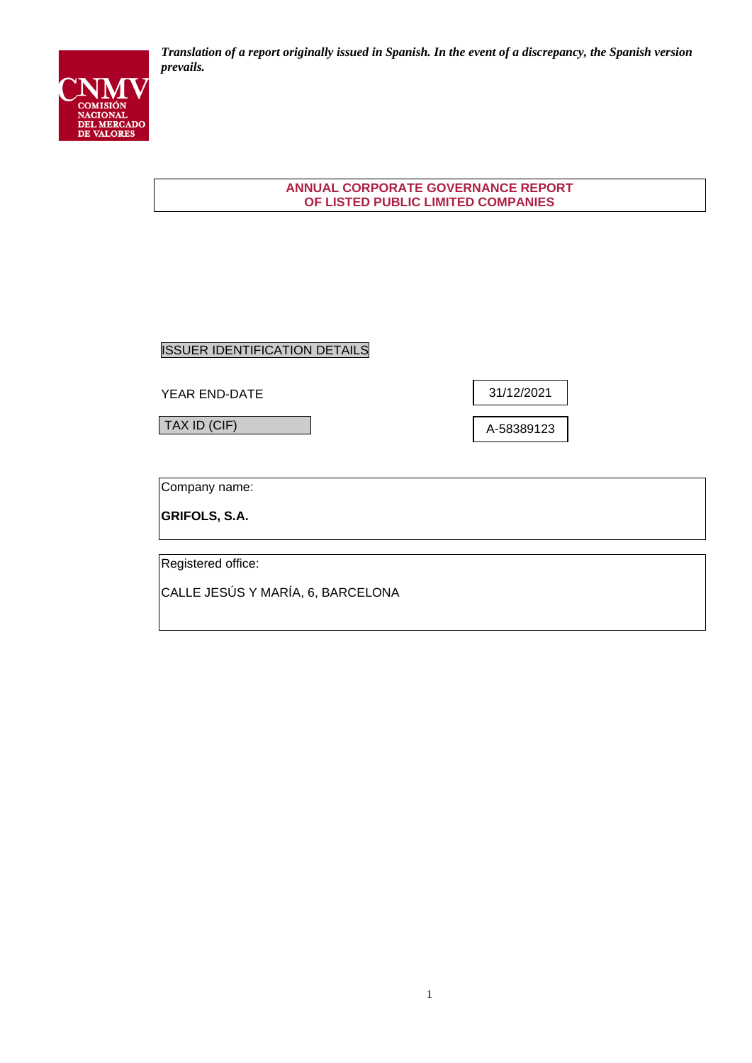

*Translation of a report originally issued in Spanish. In the event of a discrepancy, the Spanish version prevails.*

## **ANNUAL CORPORATE GOVERNANCE REPORT OF LISTED PUBLIC LIMITED COMPANIES**

# ISSUER IDENTIFICATION DETAILS

YEAR END-DATE

TAX ID (CIF)

31/12/2021

A-58389123

Company name:

**GRIFOLS, S.A.**

Registered office:

CALLE JESÚS Y MARÍA, 6, BARCELONA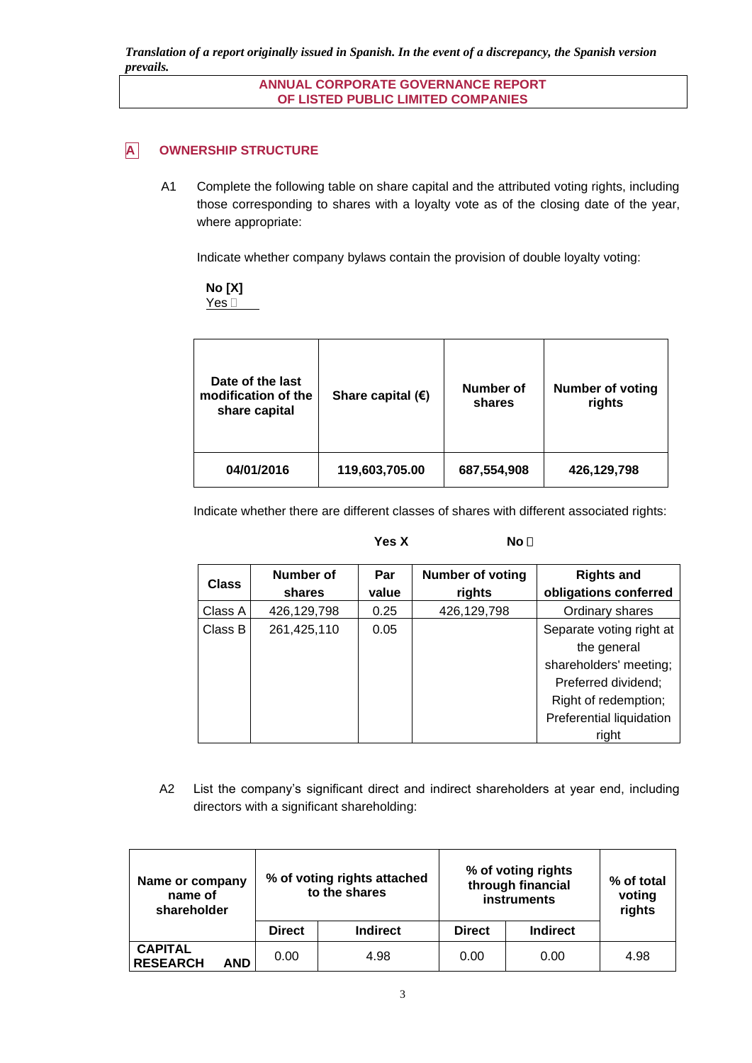*Translation of a report originally issued in Spanish. In the event of a discrepancy, the Spanish version prevails.*

> **ANNUAL CORPORATE GOVERNANCE REPORT OF LISTED PUBLIC LIMITED COMPANIES**

# **A OWNERSHIP STRUCTURE**

A1 Complete the following table on share capital and the attributed voting rights, including those corresponding to shares with a loyalty vote as of the closing date of the year, where appropriate:

Indicate whether company bylaws contain the provision of double loyalty voting:

**No [X]**

Yes<sup>[11]</sup>

| Date of the last<br>modification of the<br>share capital | Share capital $(E)$ | Number of<br>shares | <b>Number of voting</b><br>rights |
|----------------------------------------------------------|---------------------|---------------------|-----------------------------------|
| 04/01/2016                                               | 119,603,705.00      | 687,554,908         | 426,129,798                       |

Indicate whether there are different classes of shares with different associated rights:

|              |             | Yes X | No <sub>1</sub>         |                          |
|--------------|-------------|-------|-------------------------|--------------------------|
| <b>Class</b> | Number of   | Par   | <b>Number of voting</b> | <b>Rights and</b>        |
|              | shares      | value | rights                  | obligations conferred    |
| Class A      | 426,129,798 | 0.25  | 426,129,798             | Ordinary shares          |
| Class B      | 261,425,110 | 0.05  |                         | Separate voting right at |
|              |             |       |                         | the general              |
|              |             |       |                         | shareholders' meeting;   |
|              |             |       |                         | Preferred dividend;      |
|              |             |       |                         | Right of redemption;     |
|              |             |       |                         | Preferential liquidation |
|              |             |       |                         | right                    |

A2 List the company's significant direct and indirect shareholders at year end, including directors with a significant shareholding:

| Name or company<br>name of<br>shareholder | % of voting rights attached<br>to the shares |                 | % of voting rights<br>through financial<br>instruments |                 |      |  | % of total<br>voting<br>rights |
|-------------------------------------------|----------------------------------------------|-----------------|--------------------------------------------------------|-----------------|------|--|--------------------------------|
|                                           | <b>Direct</b>                                | <b>Indirect</b> | <b>Direct</b>                                          | <b>Indirect</b> |      |  |                                |
| <b>CAPITAL</b><br><b>RESEARCH</b><br>AND  | 0.00                                         | 4.98            | 0.00                                                   | 0.00            | 4.98 |  |                                |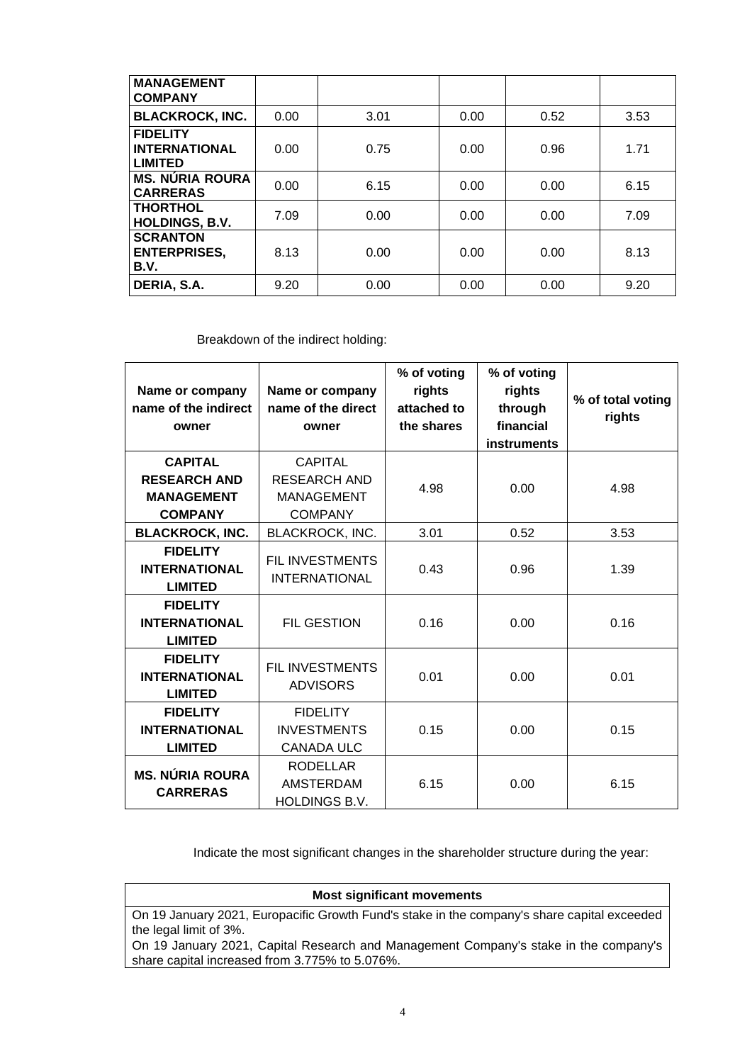| <b>MANAGEMENT</b><br><b>COMPANY</b>                       |      |      |      |      |      |
|-----------------------------------------------------------|------|------|------|------|------|
| <b>BLACKROCK, INC.</b>                                    | 0.00 | 3.01 | 0.00 | 0.52 | 3.53 |
| <b>FIDELITY</b><br><b>INTERNATIONAL</b><br><b>LIMITED</b> | 0.00 | 0.75 | 0.00 | 0.96 | 1.71 |
| <b>MS. NÚRIA ROURA</b><br><b>CARRERAS</b>                 | 0.00 | 6.15 | 0.00 | 0.00 | 6.15 |
| <b>THORTHOL</b><br><b>HOLDINGS, B.V.</b>                  | 7.09 | 0.00 | 0.00 | 0.00 | 7.09 |
| <b>SCRANTON</b><br><b>ENTERPRISES,</b><br>B.V.            | 8.13 | 0.00 | 0.00 | 0.00 | 8.13 |
| DERIA, S.A.                                               | 9.20 | 0.00 | 0.00 | 0.00 | 9.20 |

Breakdown of the indirect holding:

| Name or company<br>name of the indirect<br>owner                             | Name or company<br>name of the direct<br>owner                               | % of voting<br>rights<br>attached to<br>the shares | % of voting<br>rights<br>through<br>financial<br><b>instruments</b> | % of total voting<br>rights |
|------------------------------------------------------------------------------|------------------------------------------------------------------------------|----------------------------------------------------|---------------------------------------------------------------------|-----------------------------|
| <b>CAPITAL</b><br><b>RESEARCH AND</b><br><b>MANAGEMENT</b><br><b>COMPANY</b> | <b>CAPITAL</b><br><b>RESEARCH AND</b><br><b>MANAGEMENT</b><br><b>COMPANY</b> | 4.98                                               | 0.00                                                                | 4.98                        |
| <b>BLACKROCK, INC.</b>                                                       | BLACKROCK, INC.                                                              | 3.01                                               | 0.52                                                                | 3.53                        |
| <b>FIDELITY</b><br><b>INTERNATIONAL</b><br><b>LIMITED</b>                    | FIL INVESTMENTS<br><b>INTERNATIONAL</b>                                      | 0.43                                               | 0.96                                                                | 1.39                        |
| <b>FIDELITY</b><br><b>INTERNATIONAL</b><br><b>LIMITED</b>                    | <b>FIL GESTION</b>                                                           | 0.16                                               | 0.00                                                                | 0.16                        |
| <b>FIDELITY</b><br><b>INTERNATIONAL</b><br><b>LIMITED</b>                    | <b>FIL INVESTMENTS</b><br><b>ADVISORS</b>                                    | 0.01                                               | 0.00                                                                | 0.01                        |
| <b>FIDELITY</b><br><b>INTERNATIONAL</b><br><b>LIMITED</b>                    | <b>FIDELITY</b><br><b>INVESTMENTS</b><br><b>CANADA ULC</b>                   | 0.15                                               | 0.00                                                                | 0.15                        |
| <b>MS. NÚRIA ROURA</b><br><b>CARRERAS</b>                                    | <b>RODELLAR</b><br><b>AMSTERDAM</b><br><b>HOLDINGS B.V.</b>                  | 6.15                                               | 0.00                                                                | 6.15                        |

Indicate the most significant changes in the shareholder structure during the year:

# **Most significant movements**

On 19 January 2021, Europacific Growth Fund's stake in the company's share capital exceeded the legal limit of 3%.

On 19 January 2021, Capital Research and Management Company's stake in the company's share capital increased from 3.775% to 5.076%.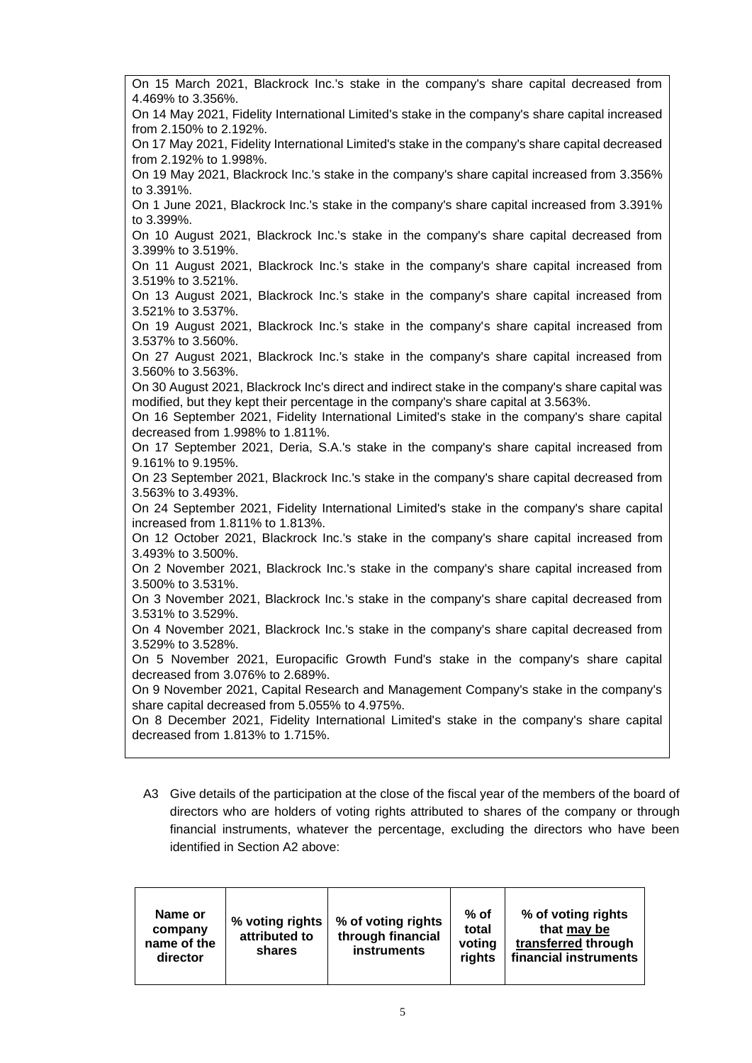| On 15 March 2021, Blackrock Inc.'s stake in the company's share capital decreased from                                       |
|------------------------------------------------------------------------------------------------------------------------------|
| 4.469% to 3.356%.                                                                                                            |
| On 14 May 2021, Fidelity International Limited's stake in the company's share capital increased                              |
| from 2.150% to 2.192%.                                                                                                       |
| On 17 May 2021, Fidelity International Limited's stake in the company's share capital decreased                              |
| from 2.192% to 1.998%.                                                                                                       |
| On 19 May 2021, Blackrock Inc.'s stake in the company's share capital increased from 3.356%                                  |
| to 3.391%.                                                                                                                   |
| On 1 June 2021, Blackrock Inc.'s stake in the company's share capital increased from 3.391%                                  |
| to 3.399%.                                                                                                                   |
| On 10 August 2021, Blackrock Inc.'s stake in the company's share capital decreased from                                      |
| 3.399% to 3.519%.<br>On 11 August 2021, Blackrock Inc.'s stake in the company's share capital increased from                 |
| 3.519% to 3.521%.                                                                                                            |
| On 13 August 2021, Blackrock Inc.'s stake in the company's share capital increased from                                      |
| 3.521% to 3.537%.                                                                                                            |
| On 19 August 2021, Blackrock Inc.'s stake in the company's share capital increased from                                      |
| 3.537% to 3.560%.                                                                                                            |
| On 27 August 2021, Blackrock Inc.'s stake in the company's share capital increased from                                      |
| 3.560% to 3.563%.                                                                                                            |
| On 30 August 2021, Blackrock Inc's direct and indirect stake in the company's share capital was                              |
| modified, but they kept their percentage in the company's share capital at 3.563%.                                           |
| On 16 September 2021, Fidelity International Limited's stake in the company's share capital                                  |
| decreased from 1.998% to 1.811%.                                                                                             |
| On 17 September 2021, Deria, S.A.'s stake in the company's share capital increased from                                      |
| 9.161% to 9.195%.                                                                                                            |
| On 23 September 2021, Blackrock Inc.'s stake in the company's share capital decreased from                                   |
| 3.563% to 3.493%.                                                                                                            |
| On 24 September 2021, Fidelity International Limited's stake in the company's share capital                                  |
| increased from 1.811% to 1.813%.<br>On 12 October 2021, Blackrock Inc.'s stake in the company's share capital increased from |
| 3.493% to 3.500%.                                                                                                            |
| On 2 November 2021, Blackrock Inc.'s stake in the company's share capital increased from                                     |
| 3.500% to 3.531%.                                                                                                            |
| On 3 November 2021, Blackrock Inc.'s stake in the company's share capital decreased from                                     |
| 3.531% to 3.529%.                                                                                                            |
| On 4 November 2021, Blackrock Inc.'s stake in the company's share capital decreased from                                     |
| 3.529% to 3.528%.                                                                                                            |
| On 5 November 2021, Europacific Growth Fund's stake in the company's share capital                                           |
| decreased from 3.076% to 2.689%.                                                                                             |
| On 9 November 2021, Capital Research and Management Company's stake in the company's                                         |
| share capital decreased from 5.055% to 4.975%.                                                                               |
| On 8 December 2021, Fidelity International Limited's stake in the company's share capital                                    |
| decreased from 1.813% to 1.715%.                                                                                             |
|                                                                                                                              |

A3 Give details of the participation at the close of the fiscal year of the members of the board of directors who are holders of voting rights attributed to shares of the company or through financial instruments, whatever the percentage, excluding the directors who have been identified in Section A2 above:

| Name or<br>company<br>name of the<br>director | % voting rights<br>attributed to<br>shares | % of voting rights<br>through financial<br><b>instruments</b> | $%$ of<br>total<br>voting<br>rights | % of voting rights<br>that may be<br>transferred through<br>financial instruments |
|-----------------------------------------------|--------------------------------------------|---------------------------------------------------------------|-------------------------------------|-----------------------------------------------------------------------------------|
|-----------------------------------------------|--------------------------------------------|---------------------------------------------------------------|-------------------------------------|-----------------------------------------------------------------------------------|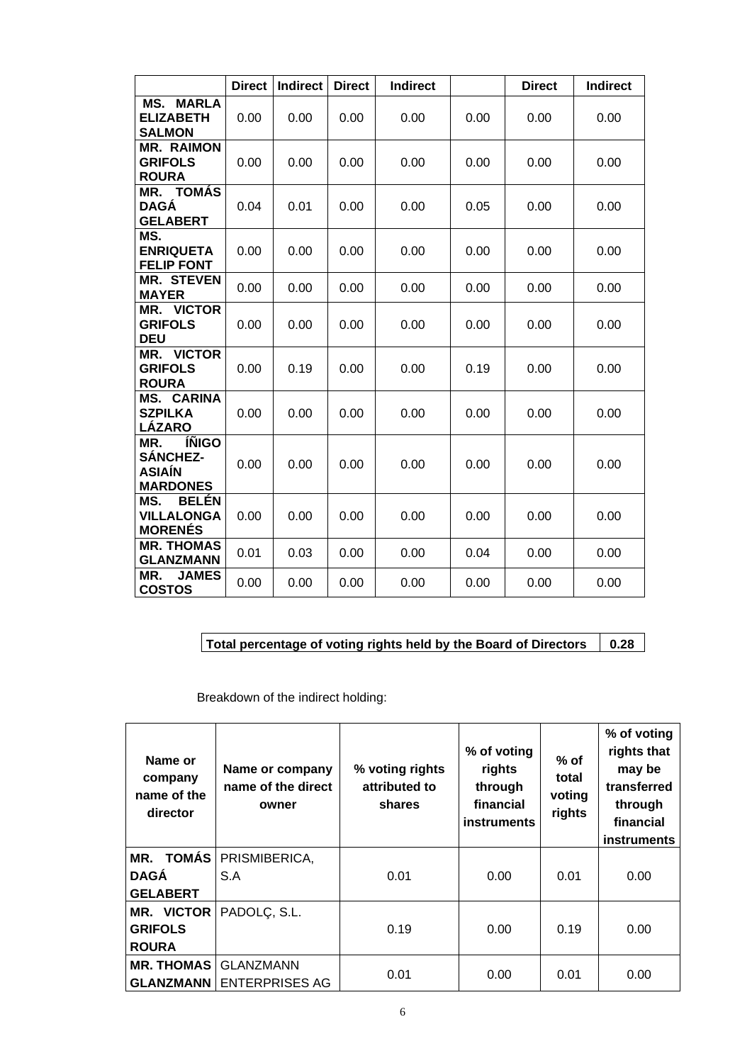|                                                                            | <b>Direct</b> | <b>Indirect</b> | <b>Direct</b> | <b>Indirect</b> |      | <b>Direct</b> | <b>Indirect</b> |
|----------------------------------------------------------------------------|---------------|-----------------|---------------|-----------------|------|---------------|-----------------|
| <b>MS. MARLA</b><br><b>ELIZABETH</b><br><b>SALMON</b>                      | 0.00          | 0.00            | 0.00          | 0.00            | 0.00 | 0.00          | 0.00            |
| <b>MR. RAIMON</b><br><b>GRIFOLS</b><br><b>ROURA</b>                        | 0.00          | 0.00            | 0.00          | 0.00            | 0.00 | 0.00          | 0.00            |
| <b>MR. TOMÁS</b><br>DAGÁ<br><b>GELABERT</b>                                | 0.04          | 0.01            | 0.00          | 0.00            | 0.05 | 0.00          | 0.00            |
| MS.<br><b>ENRIQUETA</b><br><b>FELIP FONT</b>                               | 0.00          | 0.00            | 0.00          | 0.00            | 0.00 | 0.00          | 0.00            |
| <b>MR. STEVEN</b><br><b>MAYER</b>                                          | 0.00          | 0.00            | 0.00          | 0.00            | 0.00 | 0.00          | 0.00            |
| MR. VICTOR<br><b>GRIFOLS</b><br><b>DEU</b>                                 | 0.00          | 0.00            | 0.00          | 0.00            | 0.00 | 0.00          | 0.00            |
| MR. VICTOR<br><b>GRIFOLS</b><br><b>ROURA</b>                               | 0.00          | 0.19            | 0.00          | 0.00            | 0.19 | 0.00          | 0.00            |
| <b>MS. CARINA</b><br><b>SZPILKA</b><br>LÁZARO                              | 0.00          | 0.00            | 0.00          | 0.00            | 0.00 | 0.00          | 0.00            |
| <b>ÍÑIGO</b><br>MR.<br><b>SÁNCHEZ-</b><br><b>ASIAÍN</b><br><b>MARDONES</b> | 0.00          | 0.00            | 0.00          | 0.00            | 0.00 | 0.00          | 0.00            |
| <b>BELÉN</b><br>MS.<br><b>VILLALONGA</b><br><b>MORENÉS</b>                 | 0.00          | 0.00            | 0.00          | 0.00            | 0.00 | 0.00          | 0.00            |
| <b>MR. THOMAS</b><br><b>GLANZMANN</b>                                      | 0.01          | 0.03            | 0.00          | 0.00            | 0.04 | 0.00          | 0.00            |
| MR.<br><b>JAMES</b><br><b>COSTOS</b>                                       | 0.00          | 0.00            | 0.00          | 0.00            | 0.00 | 0.00          | 0.00            |

**Total percentage of voting rights held by the Board of Directors 0.28**

Breakdown of the indirect holding:

| Name or<br>company<br>name of the<br>director | Name or company<br>name of the direct<br>owner | % voting rights<br>attributed to<br>shares | % of voting<br>rights<br>through<br>financial<br><b>instruments</b> | $%$ of<br>total<br>voting<br>rights | % of voting<br>rights that<br>may be<br>transferred<br>through<br>financial<br>instruments |
|-----------------------------------------------|------------------------------------------------|--------------------------------------------|---------------------------------------------------------------------|-------------------------------------|--------------------------------------------------------------------------------------------|
| <b>TOMÁS</b><br>MR.                           | PRISMIBERICA,                                  |                                            |                                                                     |                                     |                                                                                            |
| <b>DAGA</b>                                   | S.A                                            | 0.01                                       | 0.00                                                                | 0.01                                | 0.00                                                                                       |
| <b>GELABERT</b>                               |                                                |                                            |                                                                     |                                     |                                                                                            |
| MR. VICTOR                                    | PADOLC, S.L.                                   |                                            |                                                                     |                                     |                                                                                            |
| <b>GRIFOLS</b>                                |                                                | 0.19                                       | 0.00                                                                | 0.19                                | 0.00                                                                                       |
| <b>ROURA</b>                                  |                                                |                                            |                                                                     |                                     |                                                                                            |
| <b>MR. THOMAS</b>                             | <b>GLANZMANN</b>                               | 0.01                                       | 0.00                                                                | 0.01                                | 0.00                                                                                       |
| <b>GLANZMANN</b>                              | <b>ENTERPRISES AG</b>                          |                                            |                                                                     |                                     |                                                                                            |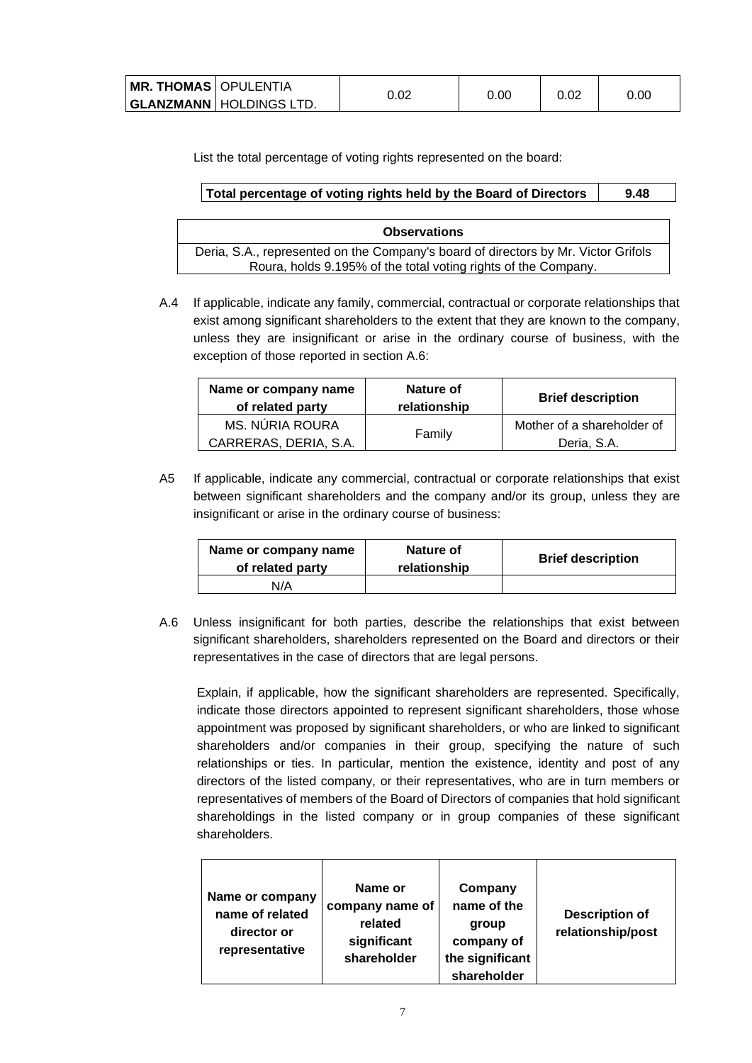| <b>  MR. THOMAS  </b> OPULENTIA |                                  | 0.02 | 0.00 | 0.02 | 0.OC |
|---------------------------------|----------------------------------|------|------|------|------|
|                                 | <b>GLANZMANN</b>   HOLDINGS LTD. |      |      |      |      |

List the total percentage of voting rights represented on the board:

| Total percentage of voting rights held by the Board of Directors |  |
|------------------------------------------------------------------|--|
|                                                                  |  |

| <b>Observations</b>                                                                |
|------------------------------------------------------------------------------------|
| Deria, S.A., represented on the Company's board of directors by Mr. Victor Grifols |
| Roura, holds 9.195% of the total voting rights of the Company.                     |

A.4 If applicable, indicate any family, commercial, contractual or corporate relationships that exist among significant shareholders to the extent that they are known to the company, unless they are insignificant or arise in the ordinary course of business, with the exception of those reported in section A.6:

| Name or company name<br>of related party | Nature of<br>relationship | <b>Brief description</b>   |
|------------------------------------------|---------------------------|----------------------------|
| MS. NÚRIA ROURA                          | Family                    | Mother of a shareholder of |
| CARRERAS, DERIA, S.A.                    |                           | Deria, S.A.                |

A5 If applicable, indicate any commercial, contractual or corporate relationships that exist between significant shareholders and the company and/or its group, unless they are insignificant or arise in the ordinary course of business:

| Name or company name<br>of related party | Nature of<br>relationship | <b>Brief description</b> |
|------------------------------------------|---------------------------|--------------------------|
| N/A                                      |                           |                          |

A.6 Unless insignificant for both parties, describe the relationships that exist between significant shareholders, shareholders represented on the Board and directors or their representatives in the case of directors that are legal persons.

Explain, if applicable, how the significant shareholders are represented. Specifically, indicate those directors appointed to represent significant shareholders, those whose appointment was proposed by significant shareholders, or who are linked to significant shareholders and/or companies in their group, specifying the nature of such relationships or ties. In particular, mention the existence, identity and post of any directors of the listed company, or their representatives, who are in turn members or representatives of members of the Board of Directors of companies that hold significant shareholdings in the listed company or in group companies of these significant shareholders.

| Name or company<br>name of related<br>director or<br>representative | Name or<br>company name of<br>related<br>significant<br>shareholder | Company<br>name of the<br>group<br>company of<br>the significant<br>shareholder | <b>Description of</b><br>relationship/post |
|---------------------------------------------------------------------|---------------------------------------------------------------------|---------------------------------------------------------------------------------|--------------------------------------------|
|---------------------------------------------------------------------|---------------------------------------------------------------------|---------------------------------------------------------------------------------|--------------------------------------------|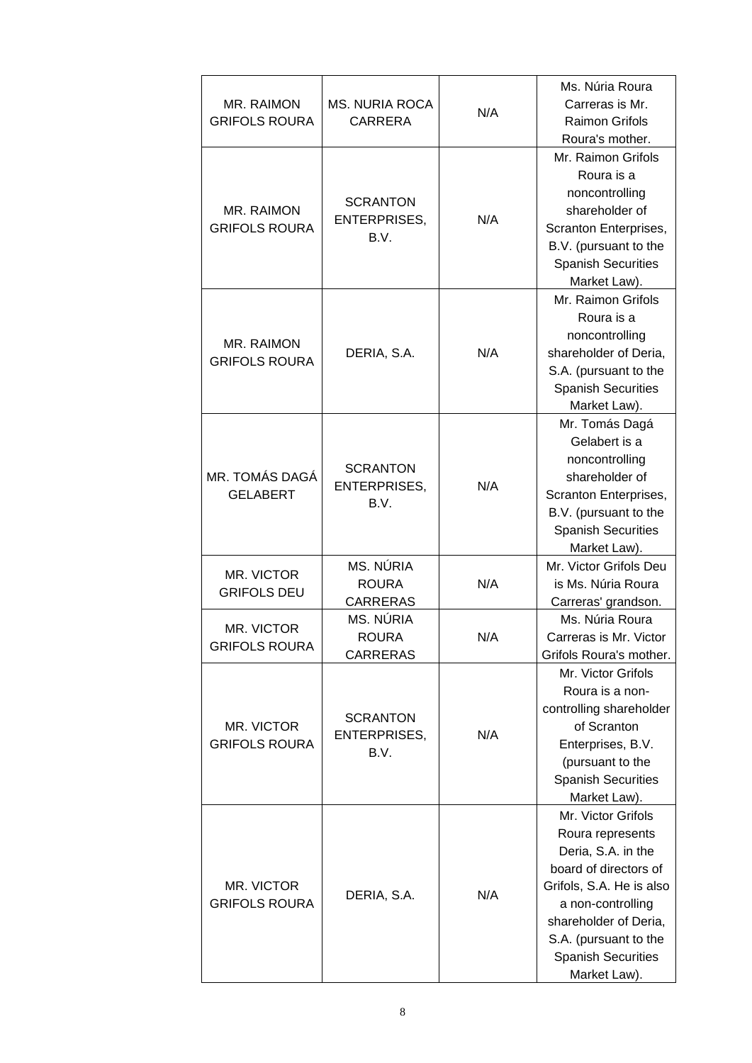| MR. RAIMON<br><b>GRIFOLS ROURA</b> | <b>MS. NURIA ROCA</b><br><b>CARRERA</b>        | N/A | Ms. Núria Roura<br>Carreras is Mr.<br><b>Raimon Grifols</b><br>Roura's mother.                                                                                                                                                        |
|------------------------------------|------------------------------------------------|-----|---------------------------------------------------------------------------------------------------------------------------------------------------------------------------------------------------------------------------------------|
| MR. RAIMON<br><b>GRIFOLS ROURA</b> | <b>SCRANTON</b><br><b>ENTERPRISES,</b><br>B.V. | N/A | Mr. Raimon Grifols<br>Roura is a<br>noncontrolling<br>shareholder of<br>Scranton Enterprises,<br>B.V. (pursuant to the<br><b>Spanish Securities</b><br>Market Law).                                                                   |
| MR. RAIMON<br><b>GRIFOLS ROURA</b> | DERIA, S.A.                                    | N/A | Mr. Raimon Grifols<br>Roura is a<br>noncontrolling<br>shareholder of Deria,<br>S.A. (pursuant to the<br><b>Spanish Securities</b><br>Market Law).                                                                                     |
| MR. TOMÁS DAGÁ<br><b>GELABERT</b>  | <b>SCRANTON</b><br><b>ENTERPRISES,</b><br>B.V. | N/A | Mr. Tomás Dagá<br>Gelabert is a<br>noncontrolling<br>shareholder of<br>Scranton Enterprises,<br>B.V. (pursuant to the<br><b>Spanish Securities</b><br>Market Law).                                                                    |
| MR. VICTOR<br><b>GRIFOLS DEU</b>   | MS. NÚRIA<br><b>ROURA</b><br><b>CARRERAS</b>   | N/A | Mr. Victor Grifols Deu<br>is Ms. Núria Roura<br>Carreras' grandson.                                                                                                                                                                   |
| MR. VICTOR<br><b>GRIFOLS ROURA</b> | MS. NÚRIA<br><b>ROURA</b><br><b>CARRERAS</b>   | N/A | Ms. Núria Roura<br>Carreras is Mr. Victor<br>Grifols Roura's mother.                                                                                                                                                                  |
| MR. VICTOR<br><b>GRIFOLS ROURA</b> | <b>SCRANTON</b><br><b>ENTERPRISES,</b><br>B.V. | N/A | Mr. Victor Grifols<br>Roura is a non-<br>controlling shareholder<br>of Scranton<br>Enterprises, B.V.<br>(pursuant to the<br><b>Spanish Securities</b><br>Market Law).                                                                 |
| MR. VICTOR<br><b>GRIFOLS ROURA</b> | DERIA, S.A.                                    | N/A | Mr. Victor Grifols<br>Roura represents<br>Deria, S.A. in the<br>board of directors of<br>Grifols, S.A. He is also<br>a non-controlling<br>shareholder of Deria,<br>S.A. (pursuant to the<br><b>Spanish Securities</b><br>Market Law). |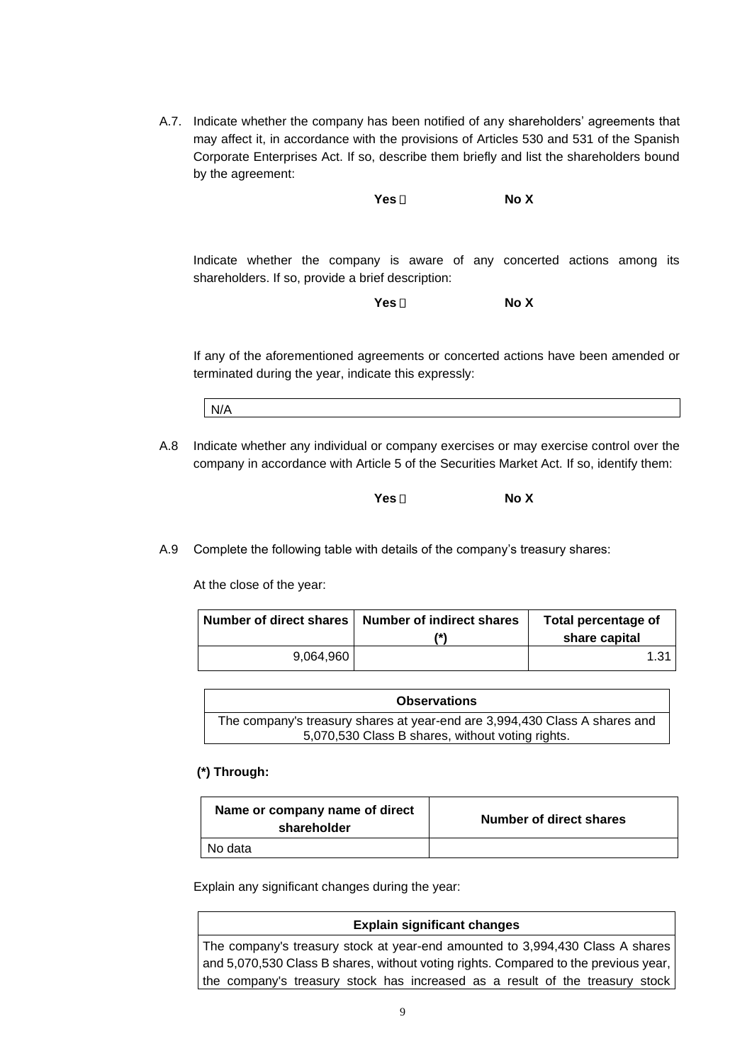A.7. Indicate whether the company has been notified of any shareholders' agreements that may affect it, in accordance with the provisions of Articles 530 and 531 of the Spanish Corporate Enterprises Act. If so, describe them briefly and list the shareholders bound by the agreement:

**Yes No X**

Indicate whether the company is aware of any concerted actions among its shareholders. If so, provide a brief description:

**Yes No X**

If any of the aforementioned agreements or concerted actions have been amended or terminated during the year, indicate this expressly:

N/A

A.8 Indicate whether any individual or company exercises or may exercise control over the company in accordance with Article 5 of the Securities Market Act. If so, identify them:

```
Yes  No X
```
A.9 Complete the following table with details of the company's treasury shares:

At the close of the year:

|           | Number of direct shares   Number of indirect shares<br>7*1 | Total percentage of<br>share capital |
|-----------|------------------------------------------------------------|--------------------------------------|
| 9,064,960 |                                                            | 1.31                                 |

| <b>Observations</b>                                                        |
|----------------------------------------------------------------------------|
| The company's treasury shares at year-end are 3,994,430 Class A shares and |
| 5,070,530 Class B shares, without voting rights.                           |

### **(\*) Through:**

| Name or company name of direct<br>shareholder | Number of direct shares |
|-----------------------------------------------|-------------------------|
| No data                                       |                         |

Explain any significant changes during the year:

### **Explain significant changes**

The company's treasury stock at year-end amounted to 3,994,430 Class A shares and 5,070,530 Class B shares, without voting rights. Compared to the previous year, the company's treasury stock has increased as a result of the treasury stock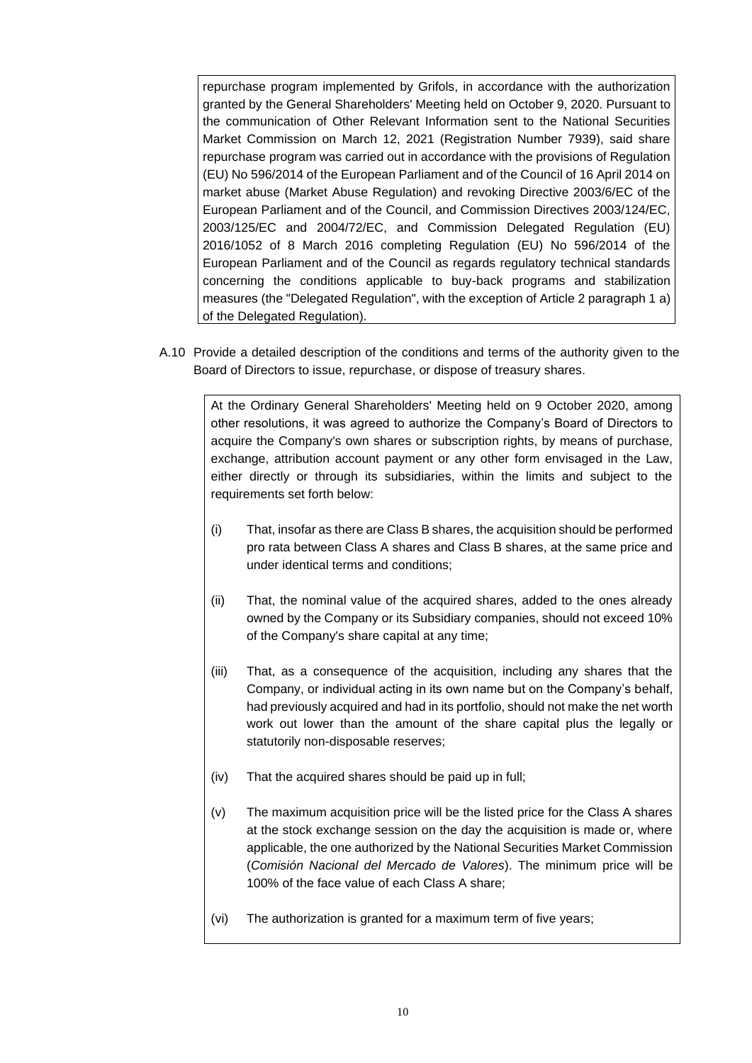repurchase program implemented by Grifols, in accordance with the authorization granted by the General Shareholders' Meeting held on October 9, 2020. Pursuant to the communication of Other Relevant Information sent to the National Securities Market Commission on March 12, 2021 (Registration Number 7939), said share repurchase program was carried out in accordance with the provisions of Regulation (EU) No 596/2014 of the European Parliament and of the Council of 16 April 2014 on market abuse (Market Abuse Regulation) and revoking Directive 2003/6/EC of the European Parliament and of the Council, and Commission Directives 2003/124/EC, 2003/125/EC and 2004/72/EC, and Commission Delegated Regulation (EU) 2016/1052 of 8 March 2016 completing Regulation (EU) No 596/2014 of the European Parliament and of the Council as regards regulatory technical standards concerning the conditions applicable to buy-back programs and stabilization measures (the "Delegated Regulation", with the exception of Article 2 paragraph 1 a) of the Delegated Regulation).

A.10 Provide a detailed description of the conditions and terms of the authority given to the Board of Directors to issue, repurchase, or dispose of treasury shares.

At the Ordinary General Shareholders' Meeting held on 9 October 2020, among other resolutions, it was agreed to authorize the Company's Board of Directors to acquire the Company's own shares or subscription rights, by means of purchase, exchange, attribution account payment or any other form envisaged in the Law, either directly or through its subsidiaries, within the limits and subject to the requirements set forth below:

- (i) That, insofar as there are Class B shares, the acquisition should be performed pro rata between Class A shares and Class B shares, at the same price and under identical terms and conditions;
- (ii) That, the nominal value of the acquired shares, added to the ones already owned by the Company or its Subsidiary companies, should not exceed 10% of the Company's share capital at any time;
- (iii) That, as a consequence of the acquisition, including any shares that the Company, or individual acting in its own name but on the Company's behalf, had previously acquired and had in its portfolio, should not make the net worth work out lower than the amount of the share capital plus the legally or statutorily non-disposable reserves;
- (iv) That the acquired shares should be paid up in full;
- (v) The maximum acquisition price will be the listed price for the Class A shares at the stock exchange session on the day the acquisition is made or, where applicable, the one authorized by the National Securities Market Commission (*Comisión Nacional del Mercado de Valores*). The minimum price will be 100% of the face value of each Class A share;
- (vi) The authorization is granted for a maximum term of five years;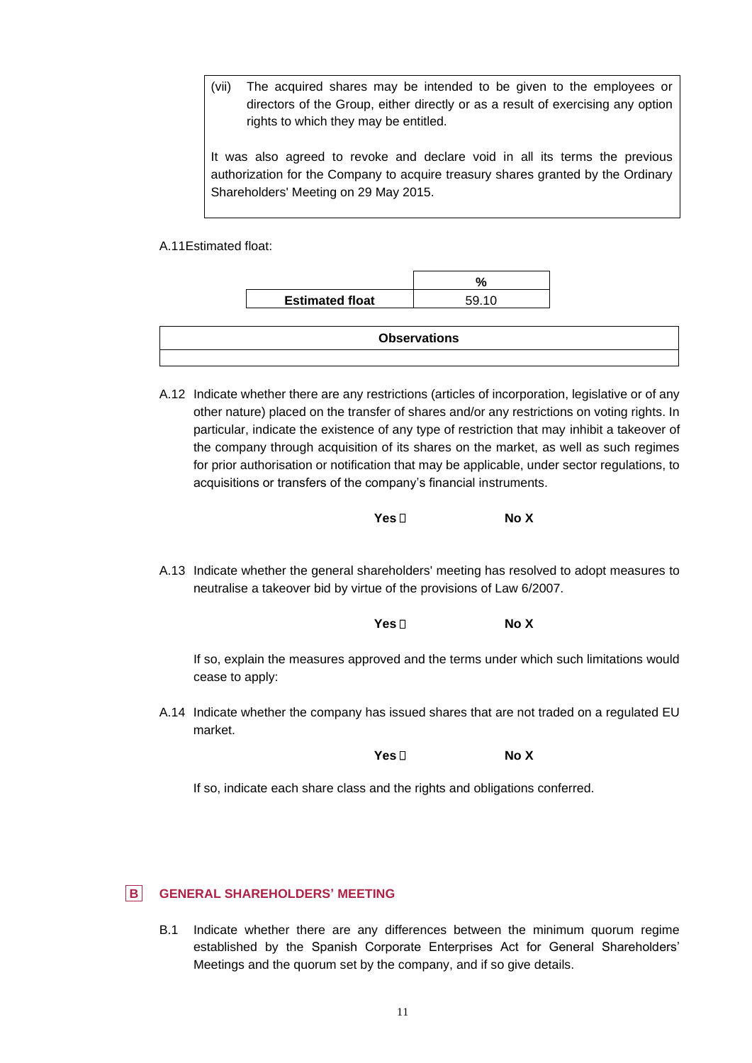(vii) The acquired shares may be intended to be given to the employees or directors of the Group, either directly or as a result of exercising any option rights to which they may be entitled.

It was also agreed to revoke and declare void in all its terms the previous authorization for the Company to acquire treasury shares granted by the Ordinary Shareholders' Meeting on 29 May 2015.

A.11Estimated float:

| <b>Estimated float</b> | 59.10 |
|------------------------|-------|

| <b>Observations</b> |
|---------------------|
|                     |

A.12 Indicate whether there are any restrictions (articles of incorporation, legislative or of any other nature) placed on the transfer of shares and/or any restrictions on voting rights. In particular, indicate the existence of any type of restriction that may inhibit a takeover of the company through acquisition of its shares on the market, as well as such regimes for prior authorisation or notification that may be applicable, under sector regulations, to acquisitions or transfers of the company's financial instruments.



A.13 Indicate whether the general shareholders' meeting has resolved to adopt measures to neutralise a takeover bid by virtue of the provisions of Law 6/2007.

**Yes No X** If so, explain the measures approved and the terms under which such limitations would cease to apply:

A.14 Indicate whether the company has issued shares that are not traded on a regulated EU market.

**Yes No X**

If so, indicate each share class and the rights and obligations conferred.

## **B GENERAL SHAREHOLDERS' MEETING**

B.1 Indicate whether there are any differences between the minimum quorum regime established by the Spanish Corporate Enterprises Act for General Shareholders' Meetings and the quorum set by the company, and if so give details.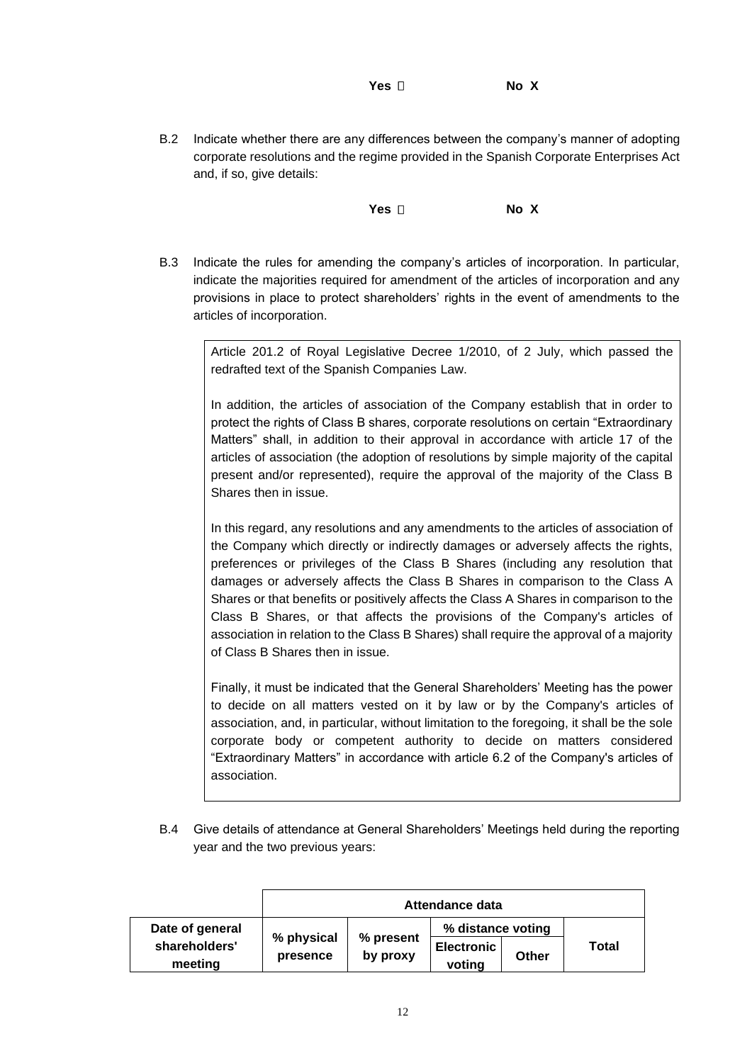**Yes No X**

B.2 Indicate whether there are any differences between the company's manner of adopting corporate resolutions and the regime provided in the Spanish Corporate Enterprises Act and, if so, give details:

**Yes No X**

B.3 Indicate the rules for amending the company's articles of incorporation. In particular, indicate the majorities required for amendment of the articles of incorporation and any provisions in place to protect shareholders' rights in the event of amendments to the articles of incorporation.

Article 201.2 of Royal Legislative Decree 1/2010, of 2 July, which passed the redrafted text of the Spanish Companies Law.

In addition, the articles of association of the Company establish that in order to protect the rights of Class B shares, corporate resolutions on certain "Extraordinary Matters" shall, in addition to their approval in accordance with article 17 of the articles of association (the adoption of resolutions by simple majority of the capital present and/or represented), require the approval of the majority of the Class B Shares then in issue.

In this regard, any resolutions and any amendments to the articles of association of the Company which directly or indirectly damages or adversely affects the rights, preferences or privileges of the Class B Shares (including any resolution that damages or adversely affects the Class B Shares in comparison to the Class A Shares or that benefits or positively affects the Class A Shares in comparison to the Class B Shares, or that affects the provisions of the Company's articles of association in relation to the Class B Shares) shall require the approval of a majority of Class B Shares then in issue.

Finally, it must be indicated that the General Shareholders' Meeting has the power to decide on all matters vested on it by law or by the Company's articles of association, and, in particular, without limitation to the foregoing, it shall be the sole corporate body or competent authority to decide on matters considered "Extraordinary Matters" in accordance with article 6.2 of the Company's articles of association.

B.4 Give details of attendance at General Shareholders' Meetings held during the reporting year and the two previous years:

|                          | Attendance data        |                       |                             |       |       |
|--------------------------|------------------------|-----------------------|-----------------------------|-------|-------|
| Date of general          |                        |                       | % distance voting           |       |       |
| shareholders'<br>meeting | % physical<br>presence | % present<br>by proxy | <b>Electronic</b><br>voting | Other | Total |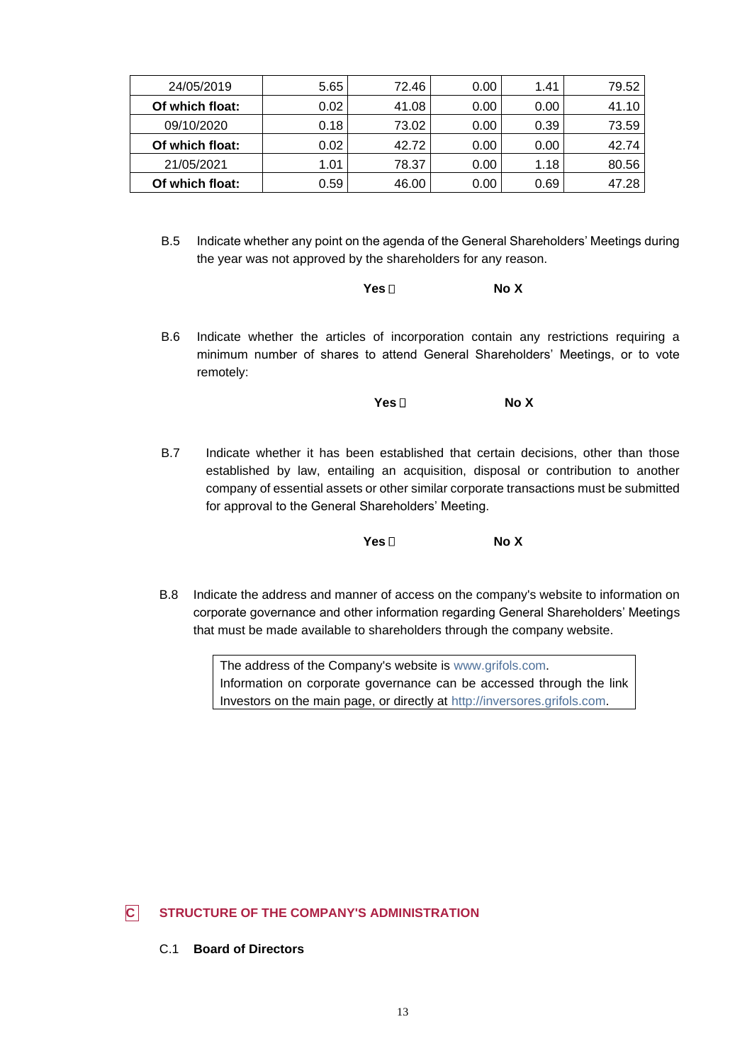| 24/05/2019      | 5.65 | 72.46 | 0.00 | 1.41 | 79.52 |
|-----------------|------|-------|------|------|-------|
| Of which float: | 0.02 | 41.08 | 0.00 | 0.00 | 41.10 |
| 09/10/2020      | 0.18 | 73.02 | 0.00 | 0.39 | 73.59 |
| Of which float: | 0.02 | 42.72 | 0.00 | 0.00 | 42.74 |
| 21/05/2021      | 1.01 | 78.37 | 0.00 | 1.18 | 80.56 |
| Of which float: | 0.59 | 46.00 | 0.00 | 0.69 | 47.28 |

B.5 Indicate whether any point on the agenda of the General Shareholders' Meetings during the year was not approved by the shareholders for any reason.

| No X<br>Yes ⊡ |  |
|---------------|--|
|---------------|--|

B.6 Indicate whether the articles of incorporation contain any restrictions requiring a minimum number of shares to attend General Shareholders' Meetings, or to vote remotely:

**Yes No X**

B.7 Indicate whether it has been established that certain decisions, other than those established by law, entailing an acquisition, disposal or contribution to another company of essential assets or other similar corporate transactions must be submitted for approval to the General Shareholders' Meeting.

**Yes No X**

B.8 Indicate the address and manner of access on the company's website to information on corporate governance and other information regarding General Shareholders' Meetings that must be made available to shareholders through the company website.

> The address of the Company's website is [www.grifols.com.](http://www.grifols.com/) Information on corporate governance can be accessed through the link Investors on the main page, or directly at [http://inversores.grifols.com.](http://inversores.grifols.com/)

# **C STRUCTURE OF THE COMPANY'S ADMINISTRATION**

C.1 **Board of Directors**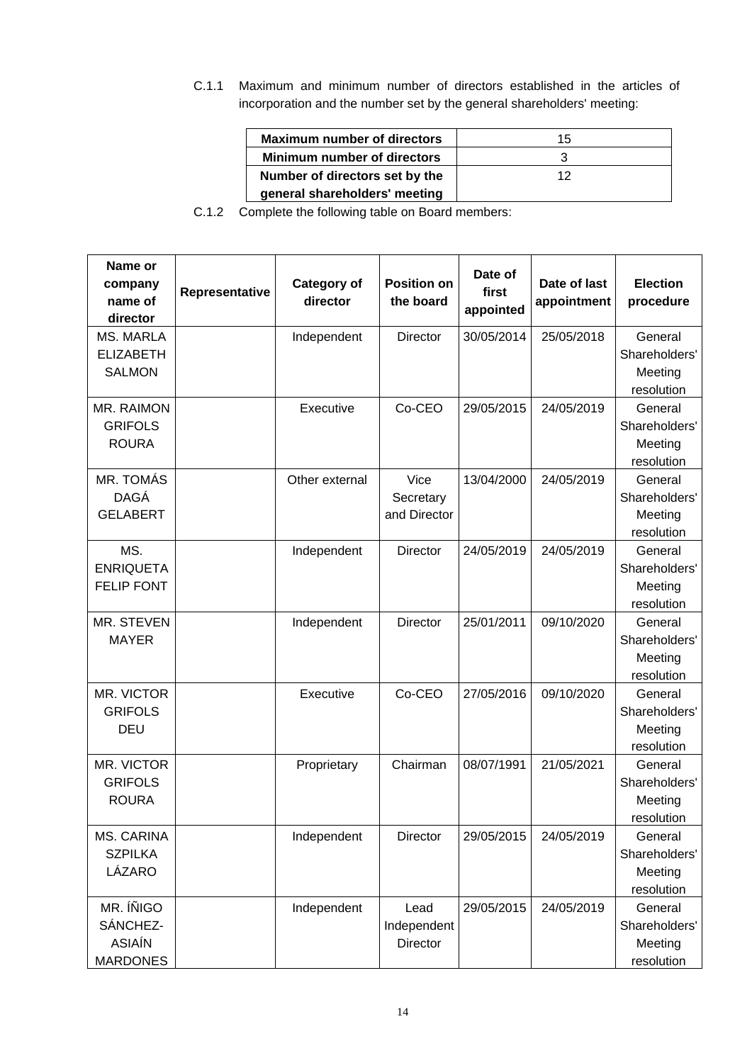C.1.1 Maximum and minimum number of directors established in the articles of incorporation and the number set by the general shareholders' meeting:

| <b>Maximum number of directors</b> | 15 |
|------------------------------------|----|
| <b>Minimum number of directors</b> |    |
| Number of directors set by the     | 12 |
| general shareholders' meeting      |    |

C.1.2 Complete the following table on Board members:

| Name or<br>company<br>name of<br>director                 | Representative | <b>Category of</b><br>director | <b>Position on</b><br>the board   | Date of<br>first<br>appointed | Date of last<br>appointment | <b>Election</b><br>procedure                      |
|-----------------------------------------------------------|----------------|--------------------------------|-----------------------------------|-------------------------------|-----------------------------|---------------------------------------------------|
| <b>MS. MARLA</b><br><b>ELIZABETH</b><br><b>SALMON</b>     |                | Independent                    | Director                          | 30/05/2014                    | 25/05/2018                  | General<br>Shareholders'<br>Meeting<br>resolution |
| MR. RAIMON<br><b>GRIFOLS</b><br><b>ROURA</b>              |                | Executive                      | Co-CEO                            | 29/05/2015                    | 24/05/2019                  | General<br>Shareholders'<br>Meeting<br>resolution |
| MR. TOMÁS<br><b>DAGÁ</b><br><b>GELABERT</b>               |                | Other external                 | Vice<br>Secretary<br>and Director | 13/04/2000                    | 24/05/2019                  | General<br>Shareholders'<br>Meeting<br>resolution |
| MS.<br><b>ENRIQUETA</b><br><b>FELIP FONT</b>              |                | Independent                    | Director                          | 24/05/2019                    | 24/05/2019                  | General<br>Shareholders'<br>Meeting<br>resolution |
| MR. STEVEN<br><b>MAYER</b>                                |                | Independent                    | Director                          | 25/01/2011                    | 09/10/2020                  | General<br>Shareholders'<br>Meeting<br>resolution |
| MR. VICTOR<br><b>GRIFOLS</b><br><b>DEU</b>                |                | Executive                      | Co-CEO                            | 27/05/2016                    | 09/10/2020                  | General<br>Shareholders'<br>Meeting<br>resolution |
| MR. VICTOR<br><b>GRIFOLS</b><br><b>ROURA</b>              |                | Proprietary                    | Chairman                          | 08/07/1991                    | 21/05/2021                  | General<br>Shareholders'<br>Meeting<br>resolution |
| MS. CARINA<br><b>SZPILKA</b><br>LÁZARO                    |                | Independent                    | <b>Director</b>                   | 29/05/2015                    | 24/05/2019                  | General<br>Shareholders'<br>Meeting<br>resolution |
| MR. ÍÑIGO<br>SÁNCHEZ-<br><b>ASIAÍN</b><br><b>MARDONES</b> |                | Independent                    | Lead<br>Independent<br>Director   | 29/05/2015                    | 24/05/2019                  | General<br>Shareholders'<br>Meeting<br>resolution |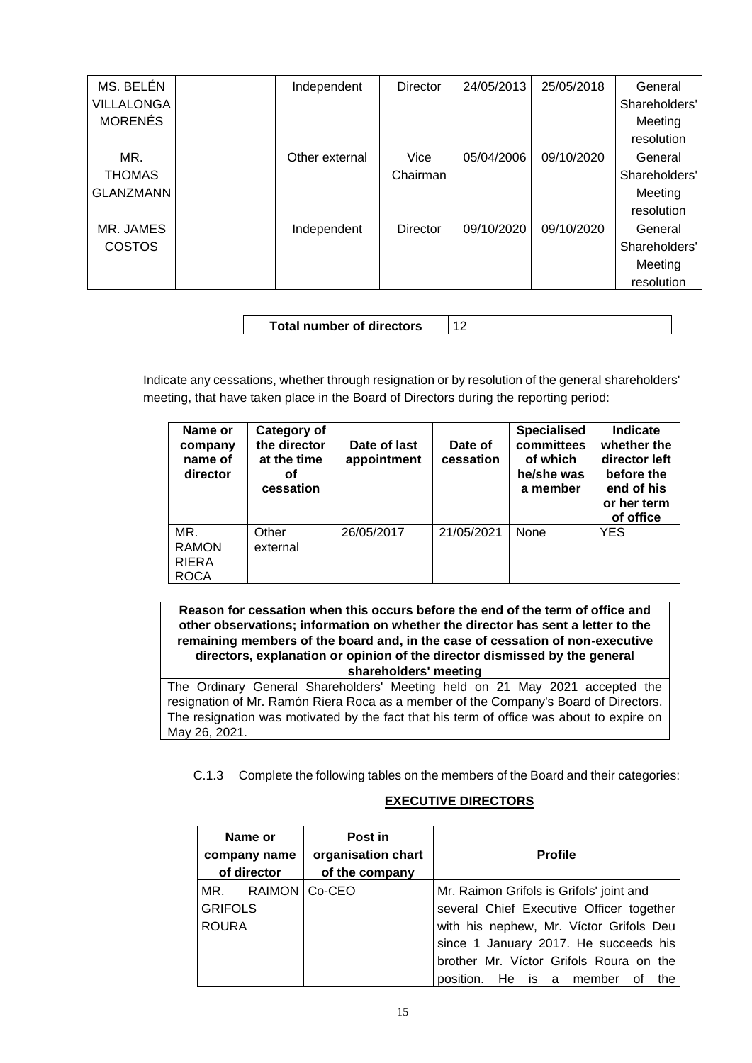| MS. BELÉN<br>VILLALONGA<br><b>MORENÉS</b> | Independent    | <b>Director</b>  | 24/05/2013 | 25/05/2018 | General<br>Shareholders'<br>Meeting<br>resolution |
|-------------------------------------------|----------------|------------------|------------|------------|---------------------------------------------------|
| MR.<br><b>THOMAS</b><br><b>GLANZMANN</b>  | Other external | Vice<br>Chairman | 05/04/2006 | 09/10/2020 | General<br>Shareholders'<br>Meeting<br>resolution |
| MR. JAMES<br><b>COSTOS</b>                | Independent    | <b>Director</b>  | 09/10/2020 | 09/10/2020 | General<br>Shareholders'<br>Meeting<br>resolution |

| 12<br><b>Total number of directors</b> |
|----------------------------------------|
|----------------------------------------|

Indicate any cessations, whether through resignation or by resolution of the general shareholders' meeting, that have taken place in the Board of Directors during the reporting period:

| Name or<br>company<br>name of<br>director          | Category of<br>the director<br>at the time<br>οf<br>cessation | Date of last<br>appointment | Date of<br>cessation | <b>Specialised</b><br>committees<br>of which<br>he/she was<br>a member | Indicate<br>whether the<br>director left<br>before the<br>end of his<br>or her term<br>of office |
|----------------------------------------------------|---------------------------------------------------------------|-----------------------------|----------------------|------------------------------------------------------------------------|--------------------------------------------------------------------------------------------------|
| MR.<br><b>RAMON</b><br><b>RIERA</b><br><b>ROCA</b> | Other<br>external                                             | 26/05/2017                  | 21/05/2021           | None                                                                   | <b>YES</b>                                                                                       |

**Reason for cessation when this occurs before the end of the term of office and other observations; information on whether the director has sent a letter to the remaining members of the board and, in the case of cessation of non-executive directors, explanation or opinion of the director dismissed by the general shareholders' meeting**

The Ordinary General Shareholders' Meeting held on 21 May 2021 accepted the resignation of Mr. Ramón Riera Roca as a member of the Company's Board of Directors. The resignation was motivated by the fact that his term of office was about to expire on May 26, 2021.

C.1.3 Complete the following tables on the members of the Board and their categories:

## **EXECUTIVE DIRECTORS**

| Name or<br>company name<br>of director | Post in<br>organisation chart<br>of the company | <b>Profile</b>                           |
|----------------------------------------|-------------------------------------------------|------------------------------------------|
| MR. RAIMON Co-CEO                      |                                                 | Mr. Raimon Grifols is Grifols' joint and |
| <b>GRIFOLS</b>                         |                                                 | several Chief Executive Officer together |
| <b>ROURA</b>                           |                                                 | with his nephew, Mr. Víctor Grifols Deu  |
|                                        |                                                 | since 1 January 2017. He succeeds his    |
|                                        |                                                 | brother Mr. Víctor Grifols Roura on the  |
|                                        |                                                 | position.<br>He is a member<br>the<br>of |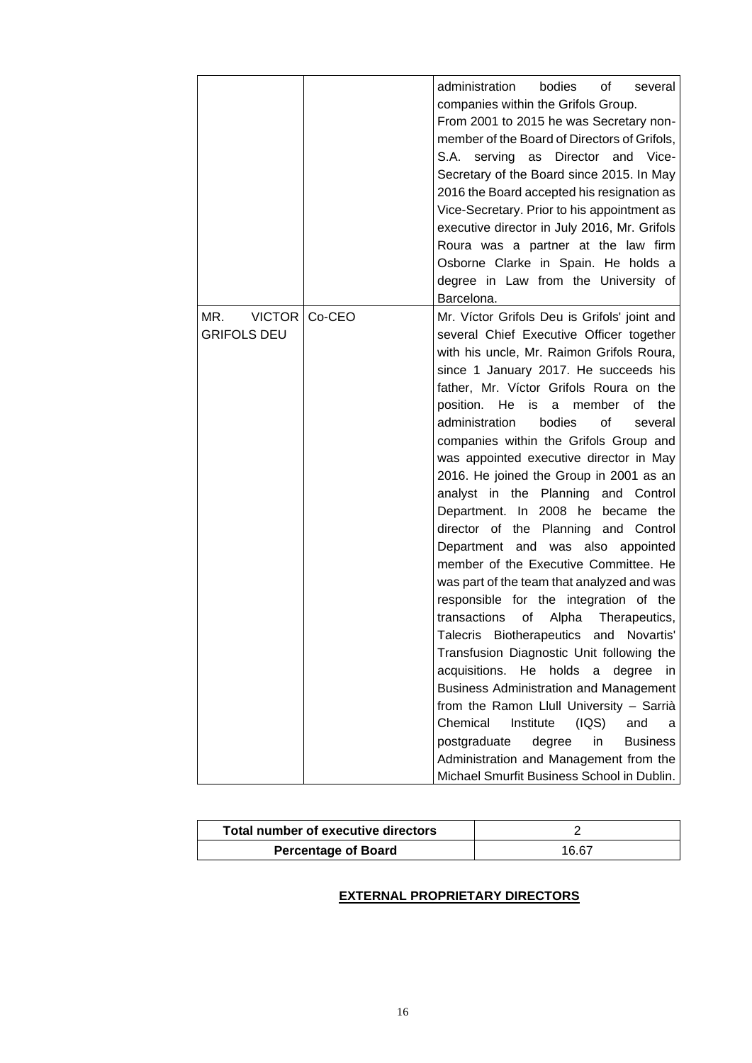|                                            |        | administration<br>bodies<br>of l<br>several<br>companies within the Grifols Group.<br>From 2001 to 2015 he was Secretary non-<br>member of the Board of Directors of Grifols,<br>S.A. serving as Director and Vice-<br>Secretary of the Board since 2015. In May<br>2016 the Board accepted his resignation as<br>Vice-Secretary. Prior to his appointment as<br>executive director in July 2016, Mr. Grifols<br>Roura was a partner at the law firm<br>Osborne Clarke in Spain. He holds a<br>degree in Law from the University of<br>Barcelona.                                                                                                                                                                                                                                                                                                                                                                                                                                                                                                                                                                                                                                                                               |
|--------------------------------------------|--------|---------------------------------------------------------------------------------------------------------------------------------------------------------------------------------------------------------------------------------------------------------------------------------------------------------------------------------------------------------------------------------------------------------------------------------------------------------------------------------------------------------------------------------------------------------------------------------------------------------------------------------------------------------------------------------------------------------------------------------------------------------------------------------------------------------------------------------------------------------------------------------------------------------------------------------------------------------------------------------------------------------------------------------------------------------------------------------------------------------------------------------------------------------------------------------------------------------------------------------|
| MR.<br><b>VICTOR</b><br><b>GRIFOLS DEU</b> | Co-CEO | Mr. Víctor Grifols Deu is Grifols' joint and<br>several Chief Executive Officer together<br>with his uncle, Mr. Raimon Grifols Roura,<br>since 1 January 2017. He succeeds his<br>father, Mr. Víctor Grifols Roura on the<br>the<br>position. He is a member of<br>administration<br>bodies<br>of<br>several<br>companies within the Grifols Group and<br>was appointed executive director in May<br>2016. He joined the Group in 2001 as an<br>analyst in the Planning and Control<br>Department. In 2008 he became the<br>director of the Planning and Control<br>Department and was also appointed<br>member of the Executive Committee. He<br>was part of the team that analyzed and was<br>responsible for the integration of the<br>transactions<br>of<br>Alpha<br>Therapeutics,<br>Biotherapeutics and<br>Talecris<br>Novartis'<br>Transfusion Diagnostic Unit following the<br>acquisitions.<br>He<br>holds<br>a<br>degree<br>in.<br><b>Business Administration and Management</b><br>from the Ramon Llull University - Sarrià<br>Chemical<br>Institute<br>(IQS)<br>and<br>a<br>degree<br><b>Business</b><br>postgraduate<br>in<br>Administration and Management from the<br>Michael Smurfit Business School in Dublin. |

| Total number of executive directors |       |
|-------------------------------------|-------|
| <b>Percentage of Board</b>          | 16.67 |

# **EXTERNAL PROPRIETARY DIRECTORS**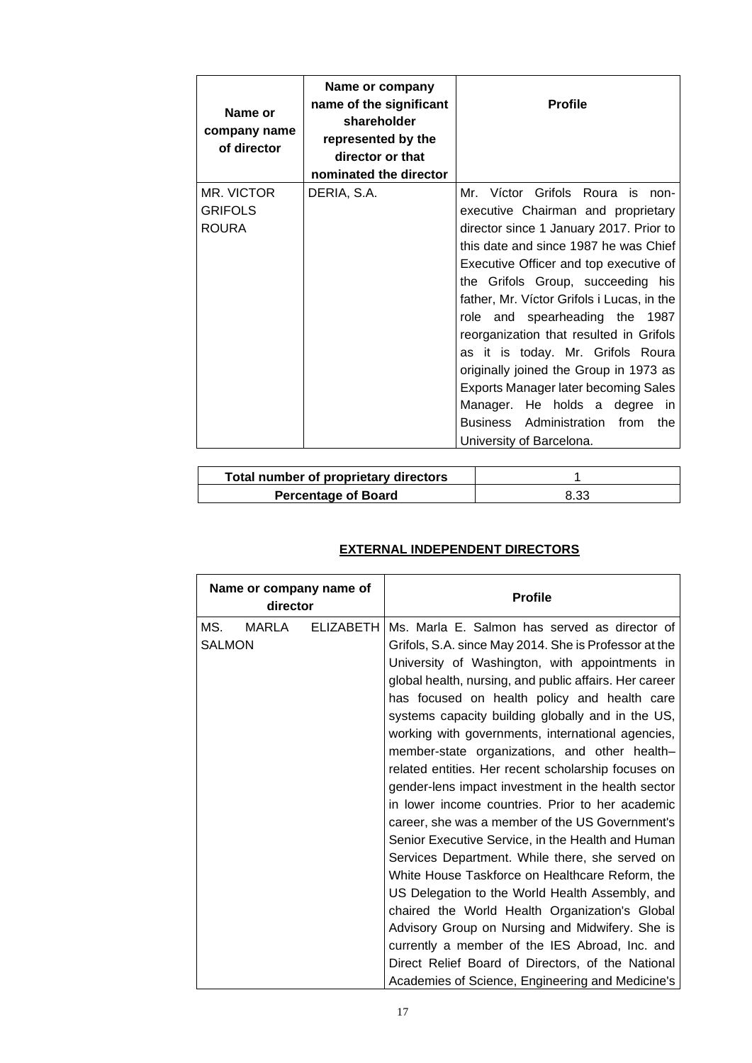| Name or<br>company name<br>of director | Name or company<br>name of the significant<br>shareholder<br>represented by the<br>director or that<br>nominated the director | <b>Profile</b>                                                         |
|----------------------------------------|-------------------------------------------------------------------------------------------------------------------------------|------------------------------------------------------------------------|
| MR. VICTOR<br><b>GRIFOLS</b>           | DERIA, S.A.                                                                                                                   | Mr. Víctor Grifols Roura is non-<br>executive Chairman and proprietary |
| <b>ROURA</b>                           |                                                                                                                               | director since 1 January 2017. Prior to                                |
|                                        |                                                                                                                               | this date and since 1987 he was Chief                                  |
|                                        |                                                                                                                               | Executive Officer and top executive of                                 |
|                                        |                                                                                                                               | the Grifols Group, succeeding his                                      |
|                                        |                                                                                                                               | father, Mr. Víctor Grifols i Lucas, in the                             |
|                                        |                                                                                                                               | role and spearheading the 1987                                         |
|                                        |                                                                                                                               | reorganization that resulted in Grifols                                |
|                                        |                                                                                                                               | as it is today. Mr. Grifols Roura                                      |
|                                        |                                                                                                                               | originally joined the Group in 1973 as                                 |
|                                        |                                                                                                                               | <b>Exports Manager later becoming Sales</b>                            |
|                                        |                                                                                                                               | Manager. He holds a degree in                                          |
|                                        |                                                                                                                               | Business Administration from<br>the                                    |
|                                        |                                                                                                                               | University of Barcelona.                                               |

| Total number of proprietary directors |      |
|---------------------------------------|------|
| <b>Percentage of Board</b>            | 8.33 |

# **EXTERNAL INDEPENDENT DIRECTORS**

| Name or company name of<br>director |       |           | <b>Profile</b>                                                                                                                                                                                                                                                                                                                                                                                                                                                                                                                                                                                                                                                                                                                                                                                                                                                                                                                                                                                                                                                                                                                  |
|-------------------------------------|-------|-----------|---------------------------------------------------------------------------------------------------------------------------------------------------------------------------------------------------------------------------------------------------------------------------------------------------------------------------------------------------------------------------------------------------------------------------------------------------------------------------------------------------------------------------------------------------------------------------------------------------------------------------------------------------------------------------------------------------------------------------------------------------------------------------------------------------------------------------------------------------------------------------------------------------------------------------------------------------------------------------------------------------------------------------------------------------------------------------------------------------------------------------------|
| MS.<br><b>SALMON</b>                | MARLA | ELIZABETH | Ms. Marla E. Salmon has served as director of<br>Grifols, S.A. since May 2014. She is Professor at the<br>University of Washington, with appointments in<br>global health, nursing, and public affairs. Her career<br>has focused on health policy and health care<br>systems capacity building globally and in the US,<br>working with governments, international agencies,<br>member-state organizations, and other health-<br>related entities. Her recent scholarship focuses on<br>gender-lens impact investment in the health sector<br>in lower income countries. Prior to her academic<br>career, she was a member of the US Government's<br>Senior Executive Service, in the Health and Human<br>Services Department. While there, she served on<br>White House Taskforce on Healthcare Reform, the<br>US Delegation to the World Health Assembly, and<br>chaired the World Health Organization's Global<br>Advisory Group on Nursing and Midwifery. She is<br>currently a member of the IES Abroad, Inc. and<br>Direct Relief Board of Directors, of the National<br>Academies of Science, Engineering and Medicine's |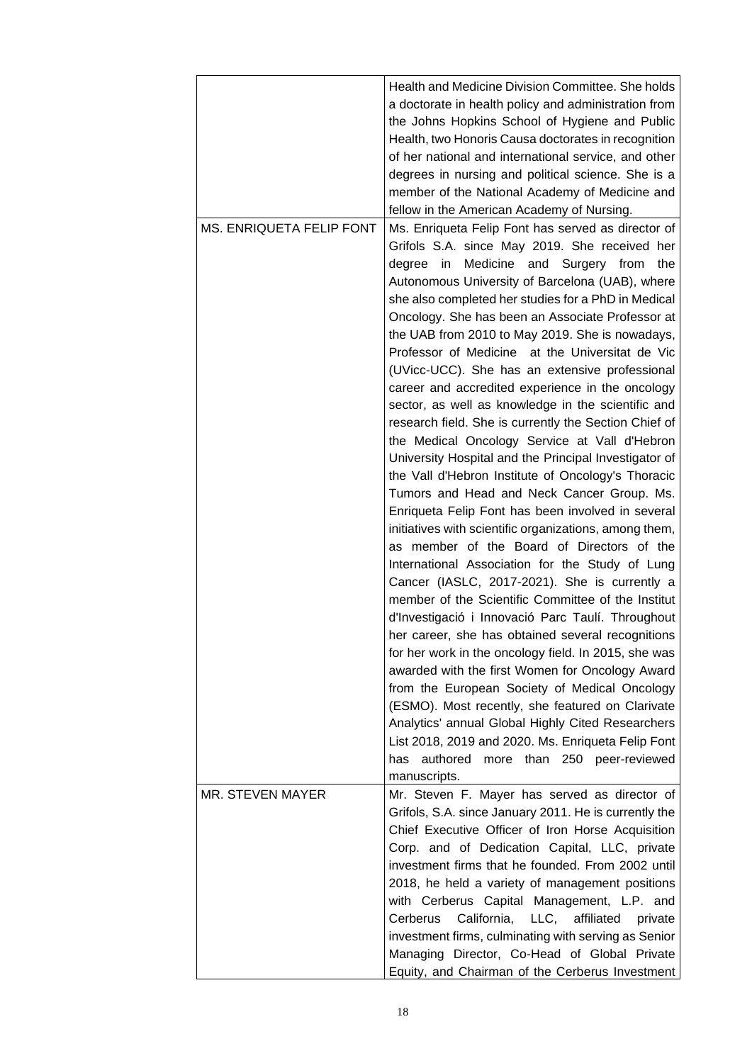| MS. ENRIQUETA FELIP FONT | Health and Medicine Division Committee. She holds<br>a doctorate in health policy and administration from<br>the Johns Hopkins School of Hygiene and Public<br>Health, two Honoris Causa doctorates in recognition<br>of her national and international service, and other<br>degrees in nursing and political science. She is a<br>member of the National Academy of Medicine and<br>fellow in the American Academy of Nursing.<br>Ms. Enriqueta Felip Font has served as director of<br>Grifols S.A. since May 2019. She received her |
|--------------------------|-----------------------------------------------------------------------------------------------------------------------------------------------------------------------------------------------------------------------------------------------------------------------------------------------------------------------------------------------------------------------------------------------------------------------------------------------------------------------------------------------------------------------------------------|
|                          | Medicine and Surgery from<br>degree<br>in<br>the<br>Autonomous University of Barcelona (UAB), where<br>she also completed her studies for a PhD in Medical<br>Oncology. She has been an Associate Professor at<br>the UAB from 2010 to May 2019. She is nowadays,<br>Professor of Medicine at the Universitat de Vic<br>(UVicc-UCC). She has an extensive professional<br>career and accredited experience in the oncology                                                                                                              |
|                          | sector, as well as knowledge in the scientific and<br>research field. She is currently the Section Chief of<br>the Medical Oncology Service at Vall d'Hebron<br>University Hospital and the Principal Investigator of<br>the Vall d'Hebron Institute of Oncology's Thoracic<br>Tumors and Head and Neck Cancer Group. Ms.<br>Enriqueta Felip Font has been involved in several                                                                                                                                                          |
|                          | initiatives with scientific organizations, among them,<br>as member of the Board of Directors of the<br>International Association for the Study of Lung<br>Cancer (IASLC, 2017-2021). She is currently a<br>member of the Scientific Committee of the Institut<br>d'Investigació i Innovació Parc Taulí. Throughout<br>her career, she has obtained several recognitions<br>for her work in the oncology field. In 2015, she was                                                                                                        |
|                          | awarded with the first Women for Oncology Award<br>from the European Society of Medical Oncology<br>(ESMO). Most recently, she featured on Clarivate<br>Analytics' annual Global Highly Cited Researchers<br>List 2018, 2019 and 2020. Ms. Enriqueta Felip Font<br>authored more than 250 peer-reviewed<br>has<br>manuscripts.                                                                                                                                                                                                          |
| <b>MR. STEVEN MAYER</b>  | Mr. Steven F. Mayer has served as director of<br>Grifols, S.A. since January 2011. He is currently the<br>Chief Executive Officer of Iron Horse Acquisition<br>Corp. and of Dedication Capital, LLC, private<br>investment firms that he founded. From 2002 until<br>2018, he held a variety of management positions<br>with Cerberus Capital Management, L.P. and<br>Cerberus California, LLC, affiliated<br>private                                                                                                                   |
|                          | investment firms, culminating with serving as Senior<br>Managing Director, Co-Head of Global Private<br>Equity, and Chairman of the Cerberus Investment                                                                                                                                                                                                                                                                                                                                                                                 |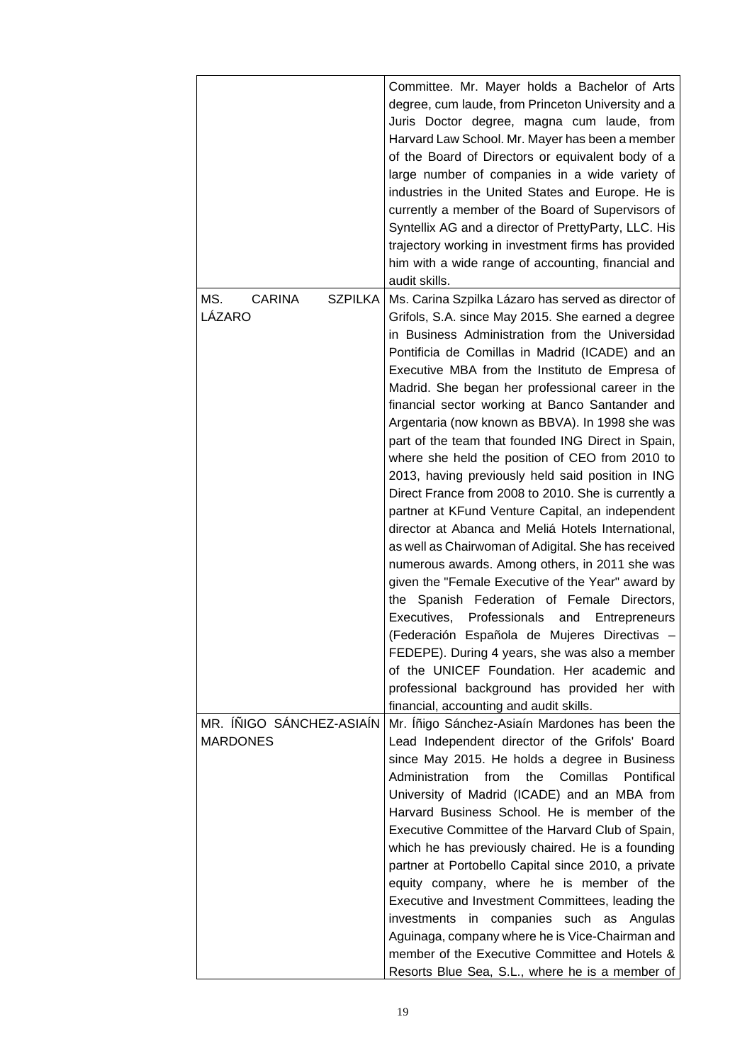|                                        | Committee. Mr. Mayer holds a Bachelor of Arts<br>degree, cum laude, from Princeton University and a<br>Juris Doctor degree, magna cum laude, from<br>Harvard Law School. Mr. Mayer has been a member<br>of the Board of Directors or equivalent body of a<br>large number of companies in a wide variety of<br>industries in the United States and Europe. He is<br>currently a member of the Board of Supervisors of<br>Syntellix AG and a director of PrettyParty, LLC. His<br>trajectory working in investment firms has provided<br>him with a wide range of accounting, financial and<br>audit skills. |
|----------------------------------------|-------------------------------------------------------------------------------------------------------------------------------------------------------------------------------------------------------------------------------------------------------------------------------------------------------------------------------------------------------------------------------------------------------------------------------------------------------------------------------------------------------------------------------------------------------------------------------------------------------------|
| MS.<br><b>CARINA</b><br><b>SZPILKA</b> | Ms. Carina Szpilka Lázaro has served as director of                                                                                                                                                                                                                                                                                                                                                                                                                                                                                                                                                         |
| LÁZARO                                 | Grifols, S.A. since May 2015. She earned a degree                                                                                                                                                                                                                                                                                                                                                                                                                                                                                                                                                           |
|                                        | in Business Administration from the Universidad                                                                                                                                                                                                                                                                                                                                                                                                                                                                                                                                                             |
|                                        | Pontificia de Comillas in Madrid (ICADE) and an                                                                                                                                                                                                                                                                                                                                                                                                                                                                                                                                                             |
|                                        | Executive MBA from the Instituto de Empresa of                                                                                                                                                                                                                                                                                                                                                                                                                                                                                                                                                              |
|                                        | Madrid. She began her professional career in the                                                                                                                                                                                                                                                                                                                                                                                                                                                                                                                                                            |
|                                        | financial sector working at Banco Santander and                                                                                                                                                                                                                                                                                                                                                                                                                                                                                                                                                             |
|                                        | Argentaria (now known as BBVA). In 1998 she was                                                                                                                                                                                                                                                                                                                                                                                                                                                                                                                                                             |
|                                        | part of the team that founded ING Direct in Spain,                                                                                                                                                                                                                                                                                                                                                                                                                                                                                                                                                          |
|                                        | where she held the position of CEO from 2010 to                                                                                                                                                                                                                                                                                                                                                                                                                                                                                                                                                             |
|                                        | 2013, having previously held said position in ING                                                                                                                                                                                                                                                                                                                                                                                                                                                                                                                                                           |
|                                        | Direct France from 2008 to 2010. She is currently a                                                                                                                                                                                                                                                                                                                                                                                                                                                                                                                                                         |
|                                        | partner at KFund Venture Capital, an independent                                                                                                                                                                                                                                                                                                                                                                                                                                                                                                                                                            |
|                                        | director at Abanca and Meliá Hotels International,                                                                                                                                                                                                                                                                                                                                                                                                                                                                                                                                                          |
|                                        | as well as Chairwoman of Adigital. She has received                                                                                                                                                                                                                                                                                                                                                                                                                                                                                                                                                         |
|                                        | numerous awards. Among others, in 2011 she was                                                                                                                                                                                                                                                                                                                                                                                                                                                                                                                                                              |
|                                        | given the "Female Executive of the Year" award by                                                                                                                                                                                                                                                                                                                                                                                                                                                                                                                                                           |
|                                        | the Spanish Federation of Female Directors,                                                                                                                                                                                                                                                                                                                                                                                                                                                                                                                                                                 |
|                                        | Professionals<br>Executives,<br>and<br>Entrepreneurs                                                                                                                                                                                                                                                                                                                                                                                                                                                                                                                                                        |
|                                        | (Federación Española de Mujeres Directivas -                                                                                                                                                                                                                                                                                                                                                                                                                                                                                                                                                                |
|                                        | FEDEPE). During 4 years, she was also a member                                                                                                                                                                                                                                                                                                                                                                                                                                                                                                                                                              |
|                                        | of the UNICEF Foundation. Her academic and                                                                                                                                                                                                                                                                                                                                                                                                                                                                                                                                                                  |
|                                        | professional background has provided her with                                                                                                                                                                                                                                                                                                                                                                                                                                                                                                                                                               |
| MR. ÍÑIGO SÁNCHEZ-ASIAÍN               | financial, accounting and audit skills.<br>Mr. Íñigo Sánchez-Asiaín Mardones has been the                                                                                                                                                                                                                                                                                                                                                                                                                                                                                                                   |
| <b>MARDONES</b>                        | Lead Independent director of the Grifols' Board                                                                                                                                                                                                                                                                                                                                                                                                                                                                                                                                                             |
|                                        | since May 2015. He holds a degree in Business                                                                                                                                                                                                                                                                                                                                                                                                                                                                                                                                                               |
|                                        | Administration<br>from<br>the<br>Comillas<br>Pontifical                                                                                                                                                                                                                                                                                                                                                                                                                                                                                                                                                     |
|                                        | University of Madrid (ICADE) and an MBA from                                                                                                                                                                                                                                                                                                                                                                                                                                                                                                                                                                |
|                                        | Harvard Business School. He is member of the                                                                                                                                                                                                                                                                                                                                                                                                                                                                                                                                                                |
|                                        | Executive Committee of the Harvard Club of Spain,                                                                                                                                                                                                                                                                                                                                                                                                                                                                                                                                                           |
|                                        | which he has previously chaired. He is a founding                                                                                                                                                                                                                                                                                                                                                                                                                                                                                                                                                           |
|                                        | partner at Portobello Capital since 2010, a private                                                                                                                                                                                                                                                                                                                                                                                                                                                                                                                                                         |
|                                        | equity company, where he is member of the                                                                                                                                                                                                                                                                                                                                                                                                                                                                                                                                                                   |
|                                        | Executive and Investment Committees, leading the                                                                                                                                                                                                                                                                                                                                                                                                                                                                                                                                                            |
|                                        | investments in companies such as Angulas                                                                                                                                                                                                                                                                                                                                                                                                                                                                                                                                                                    |
|                                        | Aguinaga, company where he is Vice-Chairman and                                                                                                                                                                                                                                                                                                                                                                                                                                                                                                                                                             |
|                                        | member of the Executive Committee and Hotels &                                                                                                                                                                                                                                                                                                                                                                                                                                                                                                                                                              |
|                                        | Resorts Blue Sea, S.L., where he is a member of                                                                                                                                                                                                                                                                                                                                                                                                                                                                                                                                                             |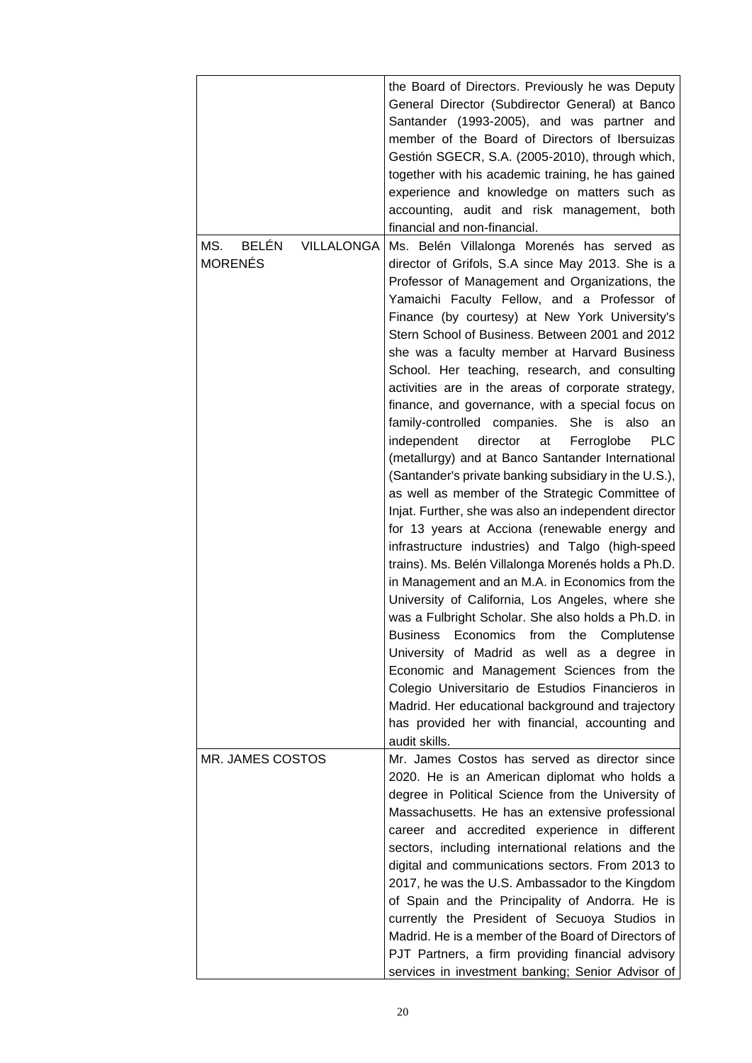|                                   | the Board of Directors. Previously he was Deputy<br>General Director (Subdirector General) at Banco<br>Santander (1993-2005), and was partner and<br>member of the Board of Directors of Ibersuizas<br>Gestión SGECR, S.A. (2005-2010), through which,<br>together with his academic training, he has gained<br>experience and knowledge on matters such as<br>accounting, audit and risk management, both<br>financial and non-financial. |
|-----------------------------------|--------------------------------------------------------------------------------------------------------------------------------------------------------------------------------------------------------------------------------------------------------------------------------------------------------------------------------------------------------------------------------------------------------------------------------------------|
| <b>BELÉN</b><br>MS.<br>VILLALONGA | Ms. Belén Villalonga Morenés has served as                                                                                                                                                                                                                                                                                                                                                                                                 |
| <b>MORENÉS</b>                    | director of Grifols, S.A since May 2013. She is a                                                                                                                                                                                                                                                                                                                                                                                          |
|                                   | Professor of Management and Organizations, the                                                                                                                                                                                                                                                                                                                                                                                             |
|                                   | Yamaichi Faculty Fellow, and a Professor of                                                                                                                                                                                                                                                                                                                                                                                                |
|                                   | Finance (by courtesy) at New York University's                                                                                                                                                                                                                                                                                                                                                                                             |
|                                   | Stern School of Business. Between 2001 and 2012                                                                                                                                                                                                                                                                                                                                                                                            |
|                                   | she was a faculty member at Harvard Business                                                                                                                                                                                                                                                                                                                                                                                               |
|                                   | School. Her teaching, research, and consulting                                                                                                                                                                                                                                                                                                                                                                                             |
|                                   | activities are in the areas of corporate strategy,                                                                                                                                                                                                                                                                                                                                                                                         |
|                                   | finance, and governance, with a special focus on                                                                                                                                                                                                                                                                                                                                                                                           |
|                                   | family-controlled companies.<br>She is also an<br><b>PLC</b>                                                                                                                                                                                                                                                                                                                                                                               |
|                                   | independent<br>director<br>at<br>Ferroglobe<br>(metallurgy) and at Banco Santander International                                                                                                                                                                                                                                                                                                                                           |
|                                   | (Santander's private banking subsidiary in the U.S.),                                                                                                                                                                                                                                                                                                                                                                                      |
|                                   | as well as member of the Strategic Committee of                                                                                                                                                                                                                                                                                                                                                                                            |
|                                   | Injat. Further, she was also an independent director                                                                                                                                                                                                                                                                                                                                                                                       |
|                                   | for 13 years at Acciona (renewable energy and                                                                                                                                                                                                                                                                                                                                                                                              |
|                                   | infrastructure industries) and Talgo (high-speed                                                                                                                                                                                                                                                                                                                                                                                           |
|                                   | trains). Ms. Belén Villalonga Morenés holds a Ph.D.                                                                                                                                                                                                                                                                                                                                                                                        |
|                                   | in Management and an M.A. in Economics from the                                                                                                                                                                                                                                                                                                                                                                                            |
|                                   | University of California, Los Angeles, where she                                                                                                                                                                                                                                                                                                                                                                                           |
|                                   | was a Fulbright Scholar. She also holds a Ph.D. in                                                                                                                                                                                                                                                                                                                                                                                         |
|                                   | Business Economics from the Complutense                                                                                                                                                                                                                                                                                                                                                                                                    |
|                                   | University of Madrid as well as a degree in                                                                                                                                                                                                                                                                                                                                                                                                |
|                                   | Economic and Management Sciences from the                                                                                                                                                                                                                                                                                                                                                                                                  |
|                                   | Colegio Universitario de Estudios Financieros in                                                                                                                                                                                                                                                                                                                                                                                           |
|                                   | Madrid. Her educational background and trajectory                                                                                                                                                                                                                                                                                                                                                                                          |
|                                   | has provided her with financial, accounting and                                                                                                                                                                                                                                                                                                                                                                                            |
|                                   | audit skills.                                                                                                                                                                                                                                                                                                                                                                                                                              |
| MR. JAMES COSTOS                  | Mr. James Costos has served as director since                                                                                                                                                                                                                                                                                                                                                                                              |
|                                   | 2020. He is an American diplomat who holds a                                                                                                                                                                                                                                                                                                                                                                                               |
|                                   | degree in Political Science from the University of                                                                                                                                                                                                                                                                                                                                                                                         |
|                                   | Massachusetts. He has an extensive professional                                                                                                                                                                                                                                                                                                                                                                                            |
|                                   | career and accredited experience in different<br>sectors, including international relations and the                                                                                                                                                                                                                                                                                                                                        |
|                                   | digital and communications sectors. From 2013 to                                                                                                                                                                                                                                                                                                                                                                                           |
|                                   | 2017, he was the U.S. Ambassador to the Kingdom                                                                                                                                                                                                                                                                                                                                                                                            |
|                                   | of Spain and the Principality of Andorra. He is                                                                                                                                                                                                                                                                                                                                                                                            |
|                                   | currently the President of Secuoya Studios in                                                                                                                                                                                                                                                                                                                                                                                              |
|                                   | Madrid. He is a member of the Board of Directors of                                                                                                                                                                                                                                                                                                                                                                                        |
|                                   | PJT Partners, a firm providing financial advisory                                                                                                                                                                                                                                                                                                                                                                                          |
|                                   | services in investment banking; Senior Advisor of                                                                                                                                                                                                                                                                                                                                                                                          |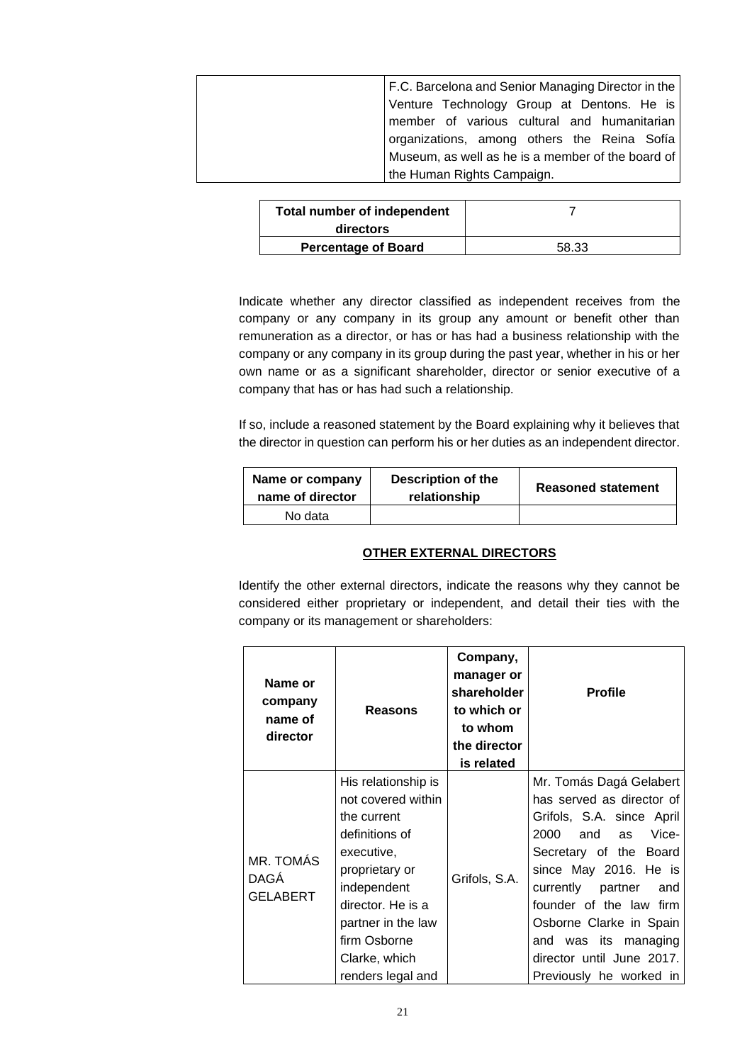| F.C. Barcelona and Senior Managing Director in the |
|----------------------------------------------------|
| Venture Technology Group at Dentons. He is         |
| member of various cultural and humanitarian        |
| organizations, among others the Reina Sofía        |
| Museum, as well as he is a member of the board of  |
| the Human Rights Campaign.                         |

| <b>Total number of independent</b><br>directors |       |
|-------------------------------------------------|-------|
| <b>Percentage of Board</b>                      | 58.33 |

Indicate whether any director classified as independent receives from the company or any company in its group any amount or benefit other than remuneration as a director, or has or has had a business relationship with the company or any company in its group during the past year, whether in his or her own name or as a significant shareholder, director or senior executive of a company that has or has had such a relationship.

If so, include a reasoned statement by the Board explaining why it believes that the director in question can perform his or her duties as an independent director.

| Name or company<br>name of director | Description of the<br>relationship | <b>Reasoned statement</b> |
|-------------------------------------|------------------------------------|---------------------------|
| No data                             |                                    |                           |

## **OTHER EXTERNAL DIRECTORS**

Identify the other external directors, indicate the reasons why they cannot be considered either proprietary or independent, and detail their ties with the company or its management or shareholders:

|                                      | Name or<br>company<br>name of<br>director | <b>Reasons</b>                                                                                                                                                                                                             | Company,<br>manager or<br>shareholder<br>to which or<br>to whom<br>the director<br>is related | <b>Profile</b>                                                                                                                                                                                                                                                                                                              |
|--------------------------------------|-------------------------------------------|----------------------------------------------------------------------------------------------------------------------------------------------------------------------------------------------------------------------------|-----------------------------------------------------------------------------------------------|-----------------------------------------------------------------------------------------------------------------------------------------------------------------------------------------------------------------------------------------------------------------------------------------------------------------------------|
| MR. TOMÁS<br>DAGÁ<br><b>GELABERT</b> |                                           | His relationship is<br>not covered within<br>the current<br>definitions of<br>executive,<br>proprietary or<br>independent<br>director. He is a<br>partner in the law<br>firm Osborne<br>Clarke, which<br>renders legal and | Grifols, S.A.                                                                                 | Mr. Tomás Dagá Gelabert<br>has served as director of<br>Grifols, S.A. since April<br>2000<br>and as Vice-<br>Secretary of the Board<br>since May 2016. He is<br>currently partner and<br>founder of the law firm<br>Osborne Clarke in Spain<br>and was its managing<br>director until June 2017.<br>Previously he worked in |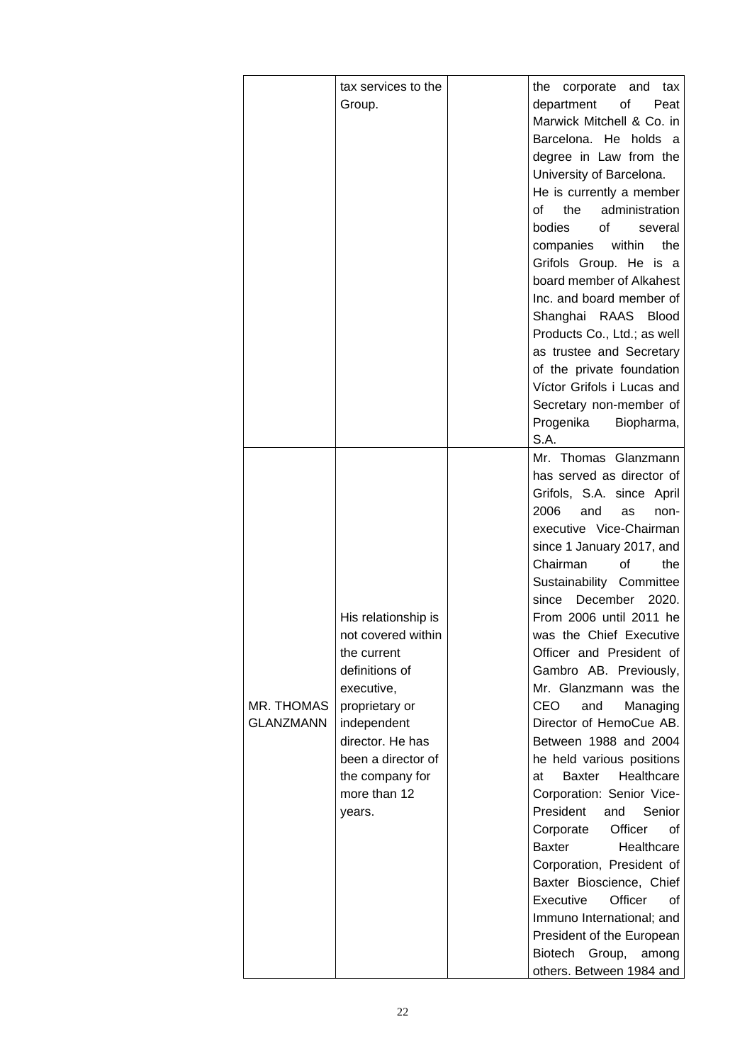|                  | tax services to the             | the corporate and tax                                   |
|------------------|---------------------------------|---------------------------------------------------------|
|                  | Group.                          | department<br>of the control<br>Peat                    |
|                  |                                 | Marwick Mitchell & Co. in                               |
|                  |                                 | Barcelona. He holds a                                   |
|                  |                                 | degree in Law from the                                  |
|                  |                                 | University of Barcelona.                                |
|                  |                                 | He is currently a member                                |
|                  |                                 | the<br>administration<br>of                             |
|                  |                                 | bodies<br>of<br>several                                 |
|                  |                                 | companies<br>the<br>within                              |
|                  |                                 | Grifols Group. He is a                                  |
|                  |                                 | board member of Alkahest                                |
|                  |                                 | Inc. and board member of                                |
|                  |                                 | Shanghai RAAS Blood                                     |
|                  |                                 | Products Co., Ltd.; as well                             |
|                  |                                 | as trustee and Secretary                                |
|                  |                                 | of the private foundation                               |
|                  |                                 | Víctor Grifols i Lucas and                              |
|                  |                                 | Secretary non-member of                                 |
|                  |                                 | Progenika<br>Biopharma,                                 |
|                  |                                 | S.A.                                                    |
|                  |                                 | Mr. Thomas Glanzmann                                    |
|                  |                                 | has served as director of                               |
|                  |                                 | Grifols, S.A. since April                               |
|                  |                                 | 2006<br>and<br>as<br>non-                               |
|                  |                                 | executive Vice-Chairman                                 |
|                  |                                 | since 1 January 2017, and                               |
|                  |                                 | Chairman<br>0f<br>the                                   |
|                  |                                 | Sustainability Committee                                |
|                  |                                 | December<br>2020.<br>since                              |
|                  | His relationship is             | From 2006 until 2011 he                                 |
|                  | not covered within              | was the Chief Executive                                 |
|                  | the current                     | Officer and President of                                |
|                  | definitions of                  | Gambro AB. Previously,                                  |
|                  | executive,                      | Mr. Glanzmann was the                                   |
| MR. THOMAS       | proprietary or                  | CEO<br>and<br>Managing                                  |
| <b>GLANZMANN</b> | independent                     | Director of HemoCue AB.                                 |
|                  | director. He has                | Between 1988 and 2004                                   |
|                  | been a director of              | he held various positions<br>Healthcare<br>Baxter       |
|                  | the company for<br>more than 12 | at                                                      |
|                  |                                 | Corporation: Senior Vice-<br>President<br>Senior<br>and |
|                  | years.                          | Corporate<br>Officer<br>οf                              |
|                  |                                 | <b>Baxter</b><br>Healthcare                             |
|                  |                                 | Corporation, President of                               |
|                  |                                 |                                                         |
|                  |                                 | Baxter Bioscience, Chief<br>Officer<br>Executive<br>οf  |
|                  |                                 | Immuno International; and                               |
|                  |                                 | President of the European                               |
|                  |                                 | Biotech Group,<br>among                                 |
|                  |                                 |                                                         |
|                  |                                 | others. Between 1984 and                                |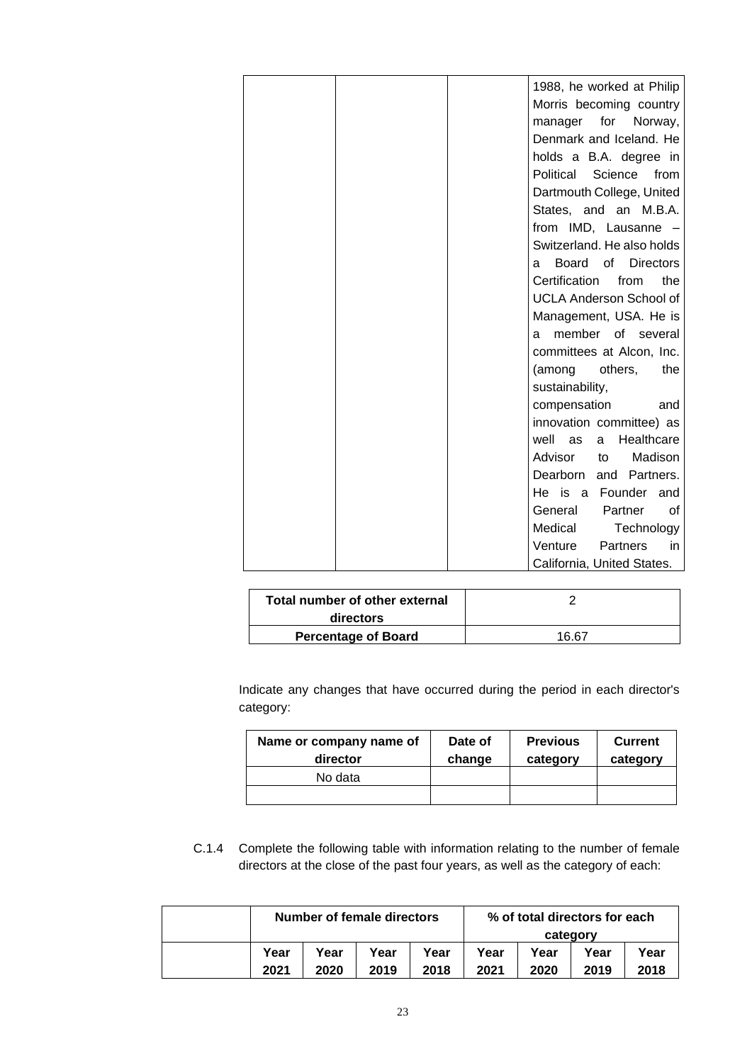| 1988, he worked at Philip            |
|--------------------------------------|
| Morris becoming country              |
| manager for<br>Norway,               |
| Denmark and Iceland. He              |
| holds a B.A. degree in               |
| Political Science<br>from            |
| Dartmouth College, United            |
| States, and an M.B.A.                |
| from IMD, Lausanne -                 |
| Switzerland. He also holds           |
| Board<br>of<br><b>Directors</b><br>a |
| Certification<br>from<br>the         |
| <b>UCLA Anderson School of</b>       |
| Management, USA. He is               |
| member of<br>several<br>a            |
| committees at Alcon, Inc.            |
| (among<br>others,<br>the             |
| sustainability,                      |
| compensation<br>and                  |
| innovation committee) as             |
| Healthcare<br>well<br>as<br>a        |
| Madison<br>Advisor<br>to             |
| Dearborn<br>Partners.<br>and         |
| He is a Founder<br>and               |
| General<br>Partner<br>0f             |
| Medical<br>Technology                |
| Venture<br>Partners<br>in            |
| California, United States.           |

| Total number of other external<br>directors |       |
|---------------------------------------------|-------|
| <b>Percentage of Board</b>                  | 16 67 |

Indicate any changes that have occurred during the period in each director's category:

| Name or company name of<br>director | Date of<br>change | <b>Previous</b><br>category | <b>Current</b><br>category |
|-------------------------------------|-------------------|-----------------------------|----------------------------|
| No data                             |                   |                             |                            |
|                                     |                   |                             |                            |

C.1.4 Complete the following table with information relating to the number of female directors at the close of the past four years, as well as the category of each:

| Number of female directors |      |      |      |          | % of total directors for each |      |      |
|----------------------------|------|------|------|----------|-------------------------------|------|------|
|                            |      |      |      | category |                               |      |      |
| Year                       | Year | Year | Year | Year     | Year                          | Year | Year |
| 2021                       | 2020 | 2019 | 2018 | 2021     | 2020                          | 2019 | 2018 |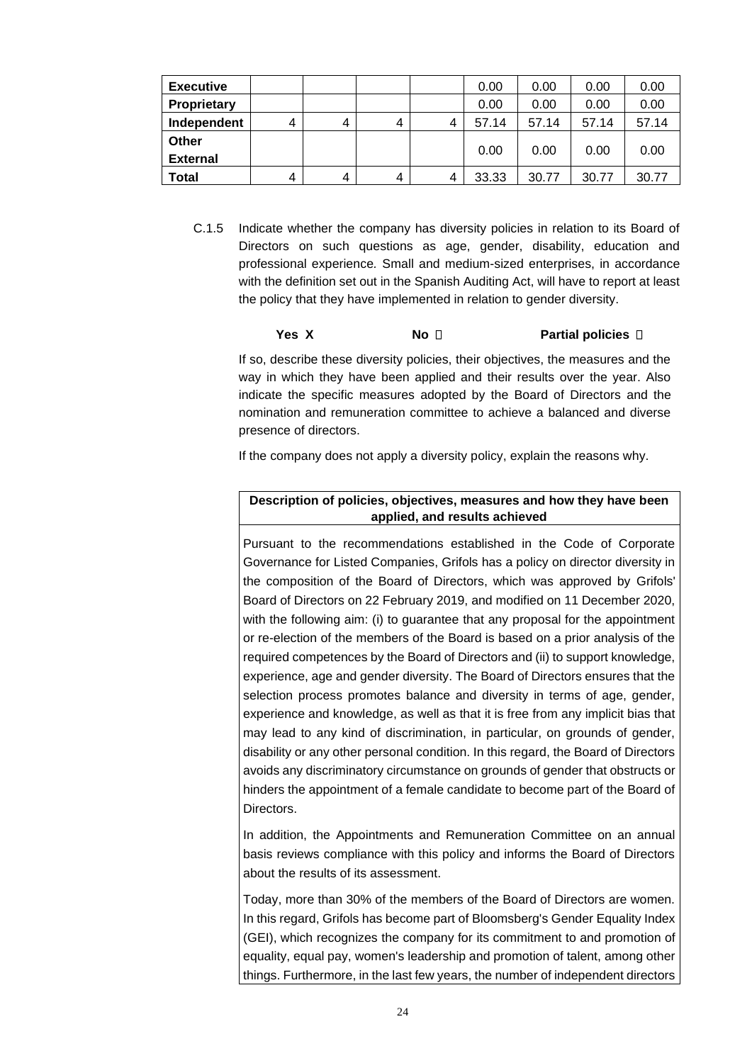| <b>Executive</b> |   |   |   |   | 0.00  | 0.00  | 0.00  | 0.00  |
|------------------|---|---|---|---|-------|-------|-------|-------|
| Proprietary      |   |   |   |   | 0.00  | 0.00  | 0.00  | 0.00  |
| Independent      | 4 | 4 | 4 |   | 57.14 | 57.14 | 57.14 | 57.14 |
| Other            |   |   |   |   |       |       |       |       |
| <b>External</b>  |   |   |   |   | 0.00  | 0.00  | 0.00  | 0.00  |
| Total            | 4 | 4 | 4 | 4 | 33.33 | 30.77 | 30.77 | 30.77 |

C.1.5 Indicate whether the company has diversity policies in relation to its Board of Directors on such questions as age, gender, disability, education and professional experience*.* Small and medium-sized enterprises, in accordance with the definition set out in the Spanish Auditing Act, will have to report at least the policy that they have implemented in relation to gender diversity.

### **Yes X No D Partial policies D**

If so, describe these diversity policies, their objectives, the measures and the way in which they have been applied and their results over the year. Also indicate the specific measures adopted by the Board of Directors and the nomination and remuneration committee to achieve a balanced and diverse presence of directors.

If the company does not apply a diversity policy, explain the reasons why.

### **Description of policies, objectives, measures and how they have been applied, and results achieved**

Pursuant to the recommendations established in the Code of Corporate Governance for Listed Companies, Grifols has a policy on director diversity in the composition of the Board of Directors, which was approved by Grifols' Board of Directors on 22 February 2019, and modified on 11 December 2020, with the following aim: (i) to guarantee that any proposal for the appointment or re-election of the members of the Board is based on a prior analysis of the required competences by the Board of Directors and (ii) to support knowledge, experience, age and gender diversity. The Board of Directors ensures that the selection process promotes balance and diversity in terms of age, gender, experience and knowledge, as well as that it is free from any implicit bias that may lead to any kind of discrimination, in particular, on grounds of gender, disability or any other personal condition. In this regard, the Board of Directors avoids any discriminatory circumstance on grounds of gender that obstructs or hinders the appointment of a female candidate to become part of the Board of Directors.

In addition, the Appointments and Remuneration Committee on an annual basis reviews compliance with this policy and informs the Board of Directors about the results of its assessment.

Today, more than 30% of the members of the Board of Directors are women. In this regard, Grifols has become part of Bloomsberg's Gender Equality Index (GEI), which recognizes the company for its commitment to and promotion of equality, equal pay, women's leadership and promotion of talent, among other things. Furthermore, in the last few years, the number of independent directors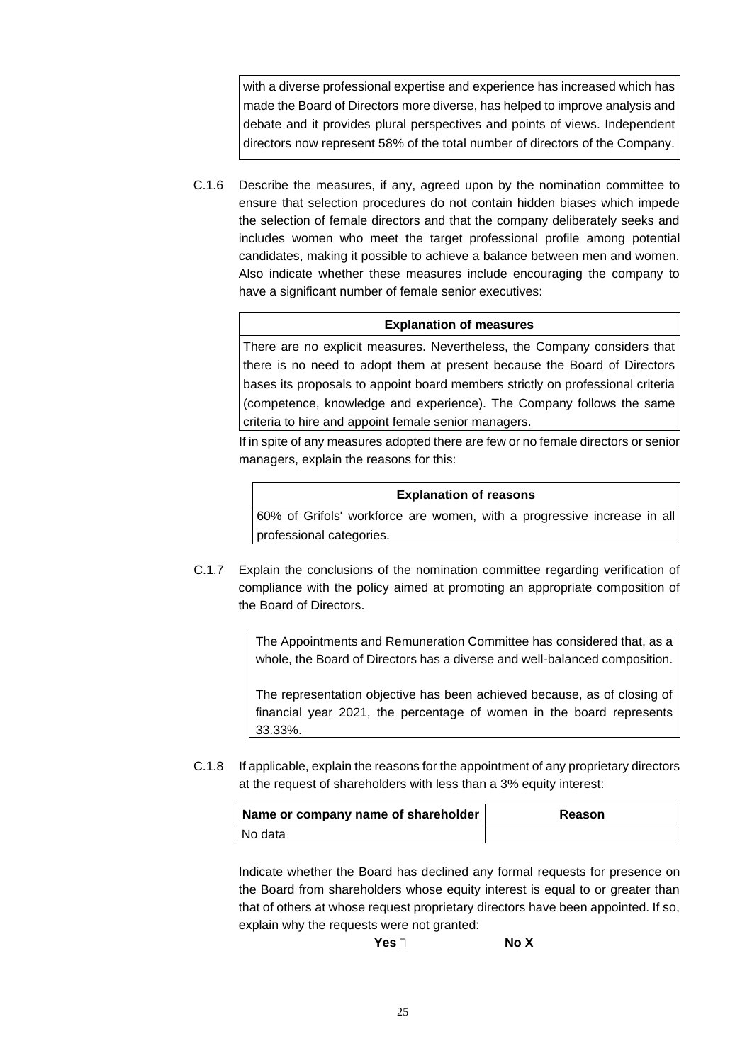with a diverse professional expertise and experience has increased which has made the Board of Directors more diverse, has helped to improve analysis and debate and it provides plural perspectives and points of views. Independent directors now represent 58% of the total number of directors of the Company.

C.1.6 Describe the measures, if any, agreed upon by the nomination committee to ensure that selection procedures do not contain hidden biases which impede the selection of female directors and that the company deliberately seeks and includes women who meet the target professional profile among potential candidates, making it possible to achieve a balance between men and women. Also indicate whether these measures include encouraging the company to have a significant number of female senior executives:

### **Explanation of measures**

There are no explicit measures. Nevertheless, the Company considers that there is no need to adopt them at present because the Board of Directors bases its proposals to appoint board members strictly on professional criteria (competence, knowledge and experience). The Company follows the same criteria to hire and appoint female senior managers.

If in spite of any measures adopted there are few or no female directors or senior managers, explain the reasons for this:

### **Explanation of reasons**

60% of Grifols' workforce are women, with a progressive increase in all professional categories.

C.1.7 Explain the conclusions of the nomination committee regarding verification of compliance with the policy aimed at promoting an appropriate composition of the Board of Directors.

> The Appointments and Remuneration Committee has considered that, as a whole, the Board of Directors has a diverse and well-balanced composition.

> The representation objective has been achieved because, as of closing of financial year 2021, the percentage of women in the board represents 33.33%.

C.1.8 If applicable, explain the reasons for the appointment of any proprietary directors at the request of shareholders with less than a 3% equity interest:

| Name or company name of shareholder | Reason |
|-------------------------------------|--------|
| I No data                           |        |

Indicate whether the Board has declined any formal requests for presence on the Board from shareholders whose equity interest is equal to or greater than that of others at whose request proprietary directors have been appointed. If so, explain why the requests were not granted:

**Yes No X**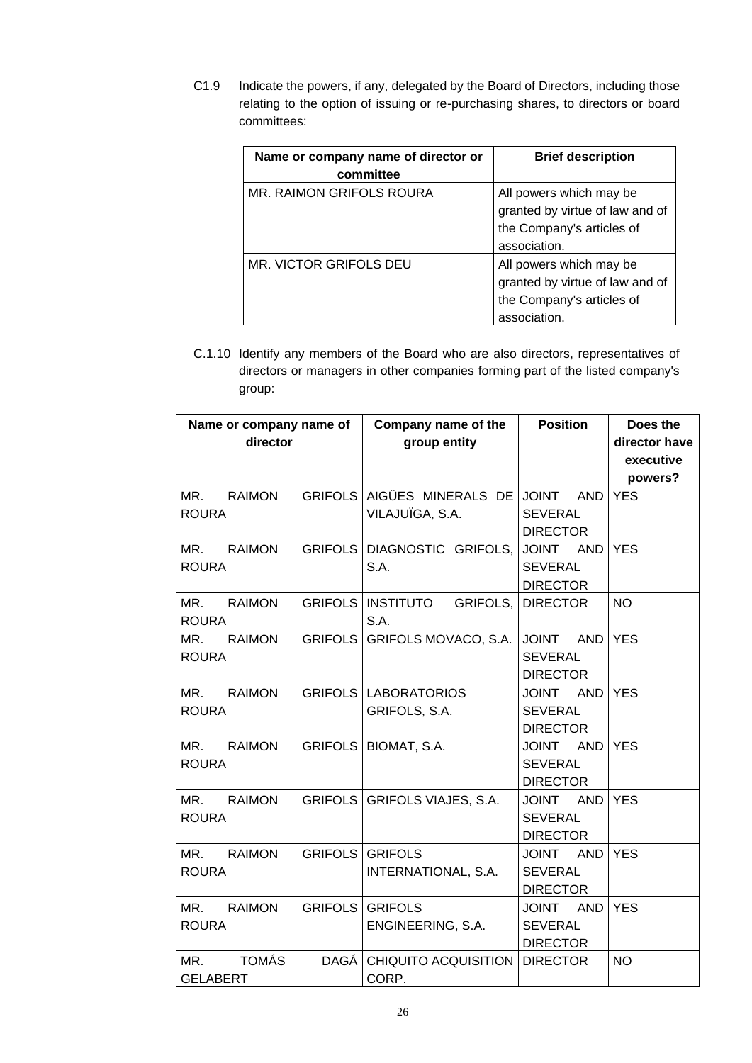C1.9 Indicate the powers, if any, delegated by the Board of Directors, including those relating to the option of issuing or re-purchasing shares, to directors or board committees:

| Name or company name of director or<br>committee | <b>Brief description</b>                                                                                |
|--------------------------------------------------|---------------------------------------------------------------------------------------------------------|
| <b>MR. RAIMON GRIFOLS ROURA</b>                  | All powers which may be<br>granted by virtue of law and of<br>the Company's articles of<br>association. |
| MR. VICTOR GRIFOLS DEU                           | All powers which may be<br>granted by virtue of law and of<br>the Company's articles of<br>association. |

C.1.10 Identify any members of the Board who are also directors, representatives of directors or managers in other companies forming part of the listed company's group:

| Name or company name of<br>director    |                | Company name of the<br>group entity           | <b>Position</b>                                                 | Does the<br>director have<br>executive<br>powers? |
|----------------------------------------|----------------|-----------------------------------------------|-----------------------------------------------------------------|---------------------------------------------------|
| MR.<br><b>RAIMON</b><br><b>ROURA</b>   |                | GRIFOLS AIGÜES MINERALS DE<br>VILAJUÏGA, S.A. | <b>JOINT</b><br><b>AND</b><br><b>SEVERAL</b><br><b>DIRECTOR</b> | <b>YES</b>                                        |
| MR.<br><b>RAIMON</b><br><b>ROURA</b>   | <b>GRIFOLS</b> | DIAGNOSTIC GRIFOLS,<br>S.A.                   | JOINT AND<br><b>SEVERAL</b><br><b>DIRECTOR</b>                  | <b>YES</b>                                        |
| MR.<br><b>RAIMON</b><br><b>ROURA</b>   |                | GRIFOLS   INSTITUTO<br>GRIFOLS,<br>S.A.       | <b>DIRECTOR</b>                                                 | <b>NO</b>                                         |
| <b>RAIMON</b><br>MR.<br><b>ROURA</b>   | <b>GRIFOLS</b> | GRIFOLS MOVACO, S.A.                          | <b>JOINT</b><br><b>AND</b><br><b>SEVERAL</b><br><b>DIRECTOR</b> | <b>YES</b>                                        |
| <b>RAIMON</b><br>MR.<br><b>ROURA</b>   |                | <b>GRIFOLS LABORATORIOS</b><br>GRIFOLS, S.A.  | <b>JOINT</b><br><b>AND</b><br><b>SEVERAL</b><br><b>DIRECTOR</b> | <b>YES</b>                                        |
| MR.<br><b>RAIMON</b><br><b>ROURA</b>   | <b>GRIFOLS</b> | BIOMAT, S.A.                                  | <b>AND</b><br><b>JOINT</b><br><b>SEVERAL</b><br><b>DIRECTOR</b> | <b>YES</b>                                        |
| MR.<br><b>RAIMON</b><br><b>ROURA</b>   | <b>GRIFOLS</b> | <b>GRIFOLS VIAJES, S.A.</b>                   | <b>JOINT</b><br><b>AND</b><br><b>SEVERAL</b><br><b>DIRECTOR</b> | <b>YES</b>                                        |
| MR.<br><b>RAIMON</b><br><b>ROURA</b>   | <b>GRIFOLS</b> | <b>GRIFOLS</b><br>INTERNATIONAL, S.A.         | <b>JOINT</b><br>AND<br><b>SEVERAL</b><br><b>DIRECTOR</b>        | <b>YES</b>                                        |
| MR.<br><b>RAIMON</b><br><b>ROURA</b>   | <b>GRIFOLS</b> | <b>GRIFOLS</b><br>ENGINEERING, S.A.           | <b>JOINT</b><br><b>AND</b><br><b>SEVERAL</b><br><b>DIRECTOR</b> | <b>YES</b>                                        |
| <b>TOMÁS</b><br>MR.<br><b>GELABERT</b> | DAGÁ           | <b>CHIQUITO ACQUISITION</b><br>CORP.          | <b>DIRECTOR</b>                                                 | <b>NO</b>                                         |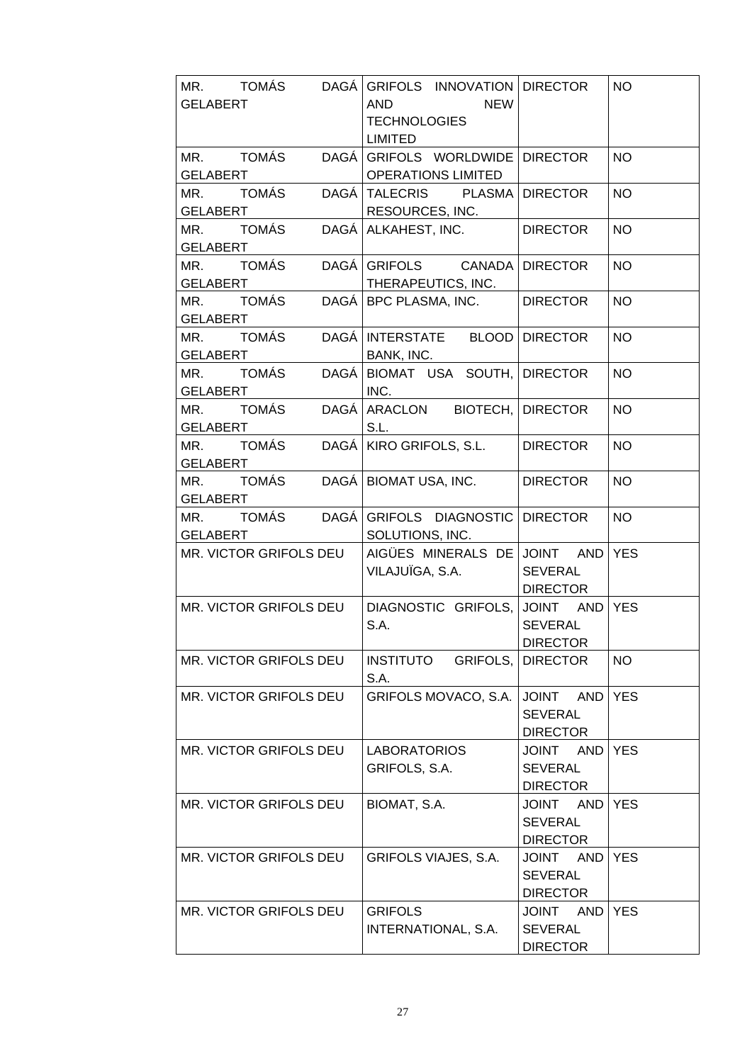| MR. TOMÁS DAGÁ GRIFOLS INNOVATION DIRECTOR<br><b>GELABERT</b>                                         | AND NEW<br><b>TECHNOLOGIES</b><br><b>LIMITED</b>    |                                                                 | <b>NO</b>  |
|-------------------------------------------------------------------------------------------------------|-----------------------------------------------------|-----------------------------------------------------------------|------------|
| MR. TOMÁS DAGÁ GRIFOLS WORLDWIDE DIRECTOR                                                             |                                                     |                                                                 | <b>NO</b>  |
| <u>GELABERT   OPERATIONS LIMITED  </u><br>MR.       TOMÁS       DAGÁ TALECRIS       PLASMA   DIRECTOR |                                                     |                                                                 | <b>NO</b>  |
| GELABERT RESOURCES, INC.<br>MR. TOMÁS DAGÁ ALKAHEST, INC. DIRECTOR<br>GELABERT                        |                                                     |                                                                 | <b>NO</b>  |
| MR. TOMÁS DAGÁ GRIFOLS CANADA DIRECTOR                                                                |                                                     |                                                                 | <b>NO</b>  |
| GELABERT   THERAPEUTICS, INC.<br>MR. TOMÁS DAGÁ BPC PLASMA, INC.   DIRECTOR<br><b>GELABERT</b>        |                                                     |                                                                 | <b>NO</b>  |
| MR. TOMÁS DAGÁ INTERSTATE BLOOD DIRECTOR                                                              |                                                     |                                                                 | <b>NO</b>  |
| GELABERT BANK, INC.<br>MR. TOMÁS DAGÁ BIOMAT USA SOUTH, DIRECTOR                                      | INC.                                                |                                                                 | <b>NO</b>  |
| MR. TOMÁS DAGÁ ARACLON BIOTECH, DIRECTOR<br>GELABERT                                                  | $\mathsf{S.L.}$                                     |                                                                 | <b>NO</b>  |
| MR. TOMÁS DAGÁ KIRO GRIFOLS, S.L. DIRECTOR                                                            |                                                     |                                                                 | <b>NO</b>  |
| GELABERT<br>MR. TOMÁS DAGÁ BIOMATUSA, INC.<br>GELABERT                                                |                                                     | DIRECTOR                                                        | <b>NO</b>  |
| MR. TOMÁS DAGÁ GRIFOLS DIAGNOSTIC DIRECTOR<br><b>GELABERT</b>                                         | SOLUTIONS, INC.                                     |                                                                 | <b>NO</b>  |
| MR. VICTOR GRIFOLS DEU                                                                                | AIGÜES MINERALS DE JOINT AND YES<br>VILAJUÏGA, S.A. | SEVERAL<br>DIRECTOR                                             |            |
| MR. VICTOR GRIFOLS DEU                                                                                | DIAGNOSTIC GRIFOLS, JOINT AND YES<br>S.A.           | <b>SEVERAL</b><br><b>DIRECTOR</b>                               |            |
| MR. VICTOR GRIFOLS DEU                                                                                | <b>INSTITUTO</b><br>GRIFOLS,<br>S.A.                | <b>DIRECTOR</b>                                                 | <b>NO</b>  |
| MR. VICTOR GRIFOLS DEU                                                                                | GRIFOLS MOVACO, S.A.                                | <b>AND</b><br><b>JOINT</b><br><b>SEVERAL</b><br><b>DIRECTOR</b> | <b>YES</b> |
| MR. VICTOR GRIFOLS DEU                                                                                | <b>LABORATORIOS</b><br>GRIFOLS, S.A.                | <b>JOINT</b><br>AND<br><b>SEVERAL</b><br><b>DIRECTOR</b>        | <b>YES</b> |
| MR. VICTOR GRIFOLS DEU                                                                                | BIOMAT, S.A.                                        | JOINT AND<br><b>SEVERAL</b><br><b>DIRECTOR</b>                  | <b>YES</b> |
| MR. VICTOR GRIFOLS DEU                                                                                | GRIFOLS VIAJES, S.A.                                | AND<br><b>JOINT</b><br><b>SEVERAL</b><br><b>DIRECTOR</b>        | <b>YES</b> |
| <b>MR. VICTOR GRIFOLS DEU</b>                                                                         | <b>GRIFOLS</b><br><b>INTERNATIONAL, S.A.</b>        | JOINT AND<br><b>SEVERAL</b><br><b>DIRECTOR</b>                  | <b>YES</b> |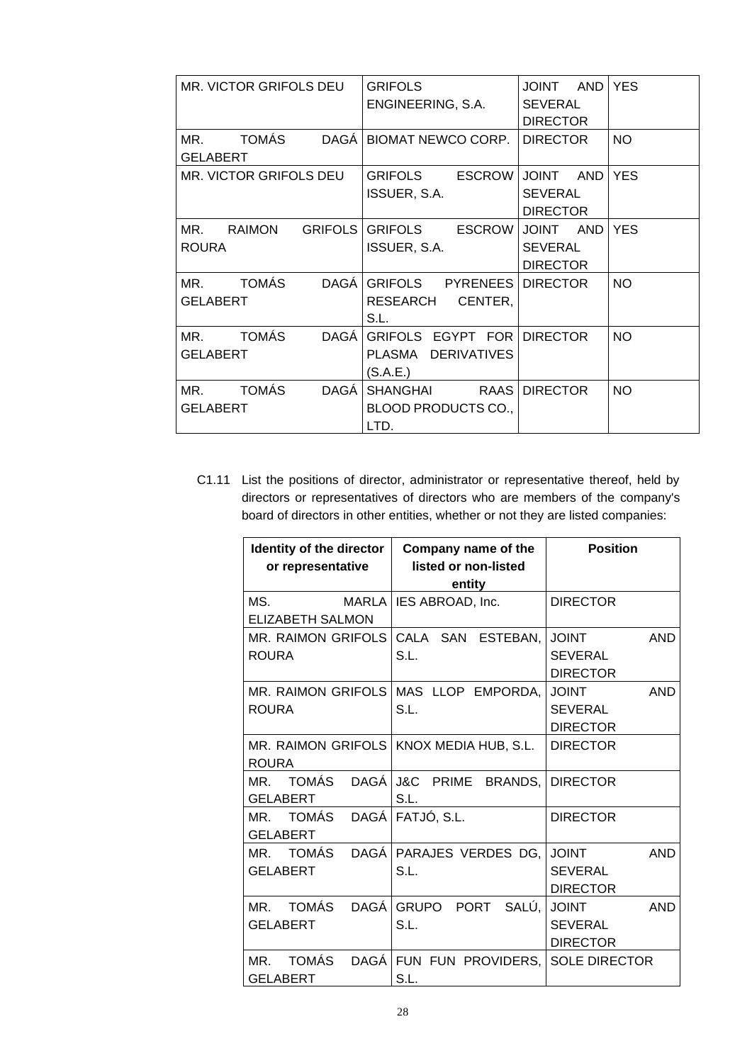| <b>MR. VICTOR GRIFOLS DEU</b>                    | <b>GRIFOLS</b><br>ENGINEERING, S.A.                                         | AND<br><b>JOINT</b><br><b>SEVERAL</b><br><b>DIRECTOR</b> | <b>YES</b> |
|--------------------------------------------------|-----------------------------------------------------------------------------|----------------------------------------------------------|------------|
| TOMÁS<br>MR.<br><b>GELABERT</b>                  | DAGÁ BIOMAT NEWCO CORP.                                                     | <b>DIRECTOR</b>                                          | <b>NO</b>  |
| MR. VICTOR GRIFOLS DEU                           | GRIFOLS<br><b>ESCROW</b><br>ISSUER, S.A.                                    | <b>JOINT</b><br>AND<br><b>SEVERAL</b><br><b>DIRECTOR</b> | <b>YES</b> |
| MR.<br><b>RAIMON</b><br><b>ROURA</b>             | GRIFOLS GRIFOLS<br><b>ESCROW</b><br>ISSUER, S.A.                            | JOINT AND YES<br><b>SEVERAL</b><br><b>DIRECTOR</b>       |            |
| TOMÁS<br>MR.<br><b>DAGÁ</b><br><b>GELABERT</b>   | GRIFOLS PYRENEES DIRECTOR<br>CENTER,<br>RESEARCH<br>S.L.                    |                                                          | <b>NO</b>  |
| TOMÁS<br>MR.<br><b>GELABERT</b>                  | DAGÁ GRIFOLS EGYPT FOR DIRECTOR<br><b>DERIVATIVES</b><br>PLASMA<br>(S.A.E.) |                                                          | <b>NO</b>  |
| <b>TOMÁS</b><br>DAGÁ  <br>MR.<br><b>GELABERT</b> | SHANGHAI<br>BLOOD PRODUCTS CO.,<br>LTD.                                     | RAAS DIRECTOR                                            | <b>NO</b>  |

C1.11 List the positions of director, administrator or representative thereof, held by directors or representatives of directors who are members of the company's board of directors in other entities, whether or not they are listed companies:

| Identity of the director      | Company name of the                       | <b>Position</b>            |
|-------------------------------|-------------------------------------------|----------------------------|
| or representative             | listed or non-listed                      |                            |
|                               | entity                                    |                            |
| MS.                           | MARLA   IES ABROAD, Inc.                  | <b>DIRECTOR</b>            |
| <b>ELIZABETH SALMON</b>       |                                           |                            |
|                               | MR. RAIMON GRIFOLS CALA SAN ESTEBAN,      | <b>JOINT</b><br><b>AND</b> |
| <b>ROURA</b>                  | S.L.                                      | <b>SEVERAL</b>             |
|                               |                                           | <b>DIRECTOR</b>            |
|                               | MR. RAIMON GRIFOLS MAS LLOP EMPORDA,      | <b>TNIOL</b><br><b>AND</b> |
| <b>ROURA</b>                  | S.L.                                      | <b>SEVERAL</b>             |
|                               |                                           | <b>DIRECTOR</b>            |
|                               | MR. RAIMON GRIFOLS   KNOX MEDIA HUB, S.L. | <b>DIRECTOR</b>            |
| <b>ROURA</b>                  |                                           |                            |
| <b>TOMÁS</b><br>MR.           | DAGÁ J&C PRIME BRANDS,                    | <b>DIRECTOR</b>            |
| <b>GELABERT</b>               | S.L.                                      |                            |
| TOMÁS DAGÁ FATJÓ, S.L.<br>MR. |                                           | <b>DIRECTOR</b>            |
| <b>GELABERT</b>               |                                           |                            |
| MR.                           | TOMÁS DAGÁ   PARAJES VERDES DG,           | <b>AND</b><br><b>JOINT</b> |
| <b>GELABERT</b>               | S.L.                                      | <b>SEVERAL</b>             |
|                               |                                           | <b>DIRECTOR</b>            |
| TOMÁS<br>MR.                  | DAGÁ GRUPO PORT SALÚ,                     | <b>AND</b><br><b>JOINT</b> |
| <b>GELABERT</b>               | S.L.                                      | <b>SEVERAL</b>             |
|                               |                                           | <b>DIRECTOR</b>            |
| <b>TOMÁS</b><br>MR.           | DAGÁ FUN FUN PROVIDERS,                   | <b>SOLE DIRECTOR</b>       |
| <b>GELABERT</b>               | S.L.                                      |                            |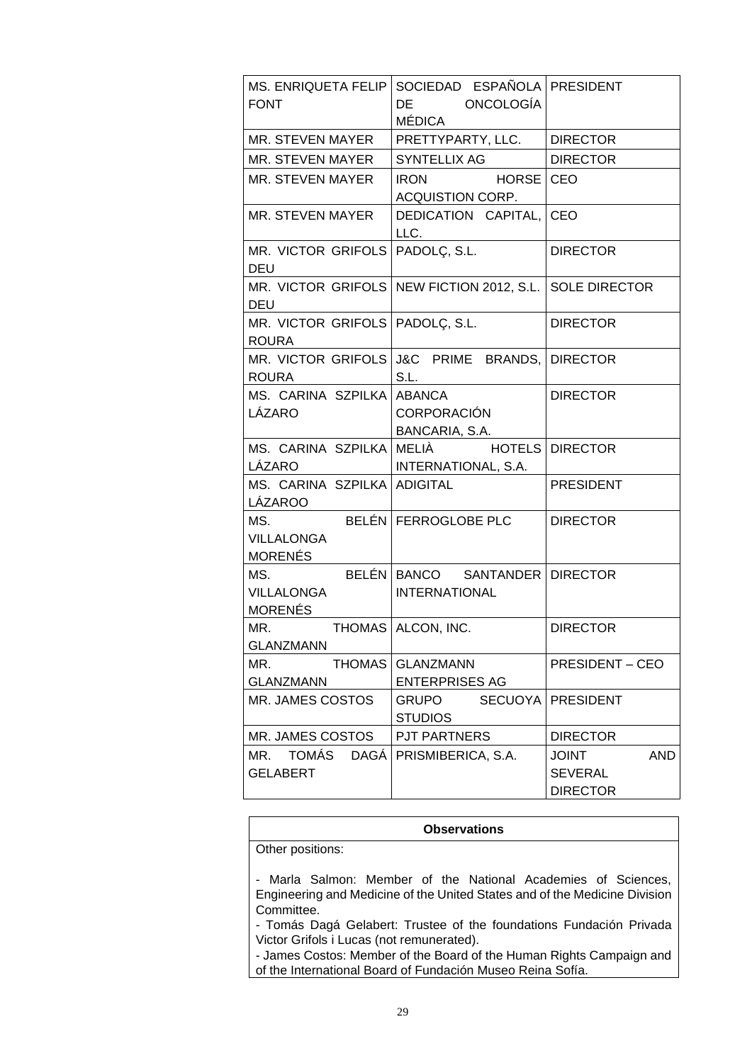| <b>FONT</b>                                       | MS. ENRIQUETA FELIP SOCIEDAD ESPAÑOLA PRESIDENT<br>DE ONCOLOGÍA<br>MÉDICA                                                                                                                                                                                                       |                                                                 |
|---------------------------------------------------|---------------------------------------------------------------------------------------------------------------------------------------------------------------------------------------------------------------------------------------------------------------------------------|-----------------------------------------------------------------|
| MR. STEVEN MAYER                                  | PRETTYPARTY, LLC.   DIRECTOR                                                                                                                                                                                                                                                    |                                                                 |
| MR. STEVEN MAYER                                  | SYNTELLIX AG                                                                                                                                                                                                                                                                    | DIRECTOR                                                        |
| MR. STEVEN MAYER                                  | IRON HORSE   CEO<br>ACQUISTION CORP.                                                                                                                                                                                                                                            |                                                                 |
| MR. STEVEN MAYER                                  | DEDICATION CAPITAL, CEO<br>LLC.                                                                                                                                                                                                                                                 |                                                                 |
| MR. VICTOR GRIFOLS   PADOLÇ, S.L.<br>DEU          |                                                                                                                                                                                                                                                                                 | <b>DIRECTOR</b>                                                 |
| <b>DEU</b>                                        | MR. VICTOR GRIFOLS   NEW FICTION 2012, S.L.   SOLE DIRECTOR                                                                                                                                                                                                                     |                                                                 |
| MR. VICTOR GRIFOLS   PADOLÇ, S.L.<br><b>ROURA</b> |                                                                                                                                                                                                                                                                                 | <b>DIRECTOR</b>                                                 |
|                                                   | MR. VICTOR GRIFOLS J&C PRIME BRANDS, DIRECTOR<br>S.L. Sales and the same of the same of the same of the same of the same of the same of the same of the same of the same of the same of the same of the same of the same of the same of the same of the same of the same of the |                                                                 |
| MS. CARINA SZPILKA ABANCA<br>LÁZARO               | <b>CORPORACIÓN</b><br>BANCARIA, S.A.                                                                                                                                                                                                                                            | <b>DIRECTOR</b>                                                 |
| LÁZARO IMTERNATIONAL, S.A.                        | MS. CARINA SZPILKA MELIÀ HOTELS DIRECTOR                                                                                                                                                                                                                                        |                                                                 |
| MS. CARINA SZPILKA ADIGITAL<br>LÁZAROO______      |                                                                                                                                                                                                                                                                                 | <b>PRESIDENT</b>                                                |
| VILLALONGA<br>MORENÉS                             | MS. BELÉN FERROGLOBE PLC                                                                                                                                                                                                                                                        | <b>DIRECTOR</b>                                                 |
| VILLALONGA<br>MORENÉS                             | MS. BELÉN BANCO SANTANDER DIRECTOR<br><b>INTERNATIONAL</b>                                                                                                                                                                                                                      |                                                                 |
| MR. THOMAS ALCON, INC.<br><b>GLANZMANN</b>        |                                                                                                                                                                                                                                                                                 | <b>DIRECTOR</b>                                                 |
| MR.<br><b>THOMAS</b><br><b>GLANZMANN</b>          | GLANZMANN<br><b>ENTERPRISES AG</b>                                                                                                                                                                                                                                              | <b>PRESIDENT – CEO</b>                                          |
| MR. JAMES COSTOS                                  | <b>SECUOYA</b><br><b>GRUPO</b><br><b>STUDIOS</b>                                                                                                                                                                                                                                | <b>PRESIDENT</b>                                                |
| MR. JAMES COSTOS                                  | PJT PARTNERS                                                                                                                                                                                                                                                                    | <b>DIRECTOR</b>                                                 |
| TOMÁS<br>DAGÁ<br>MR.<br><b>GELABERT</b>           | PRISMIBERICA, S.A.                                                                                                                                                                                                                                                              | <b>AND</b><br><b>JOINT</b><br><b>SEVERAL</b><br><b>DIRECTOR</b> |

#### **Observations**

Other positions:

- Marla Salmon: Member of the National Academies of Sciences, Engineering and Medicine of the United States and of the Medicine Division Committee.

- Tomás Dagá Gelabert: Trustee of the foundations Fundación Privada Victor Grifols i Lucas (not remunerated).

- James Costos: Member of the Board of the Human Rights Campaign and of the International Board of Fundación Museo Reina Sofía.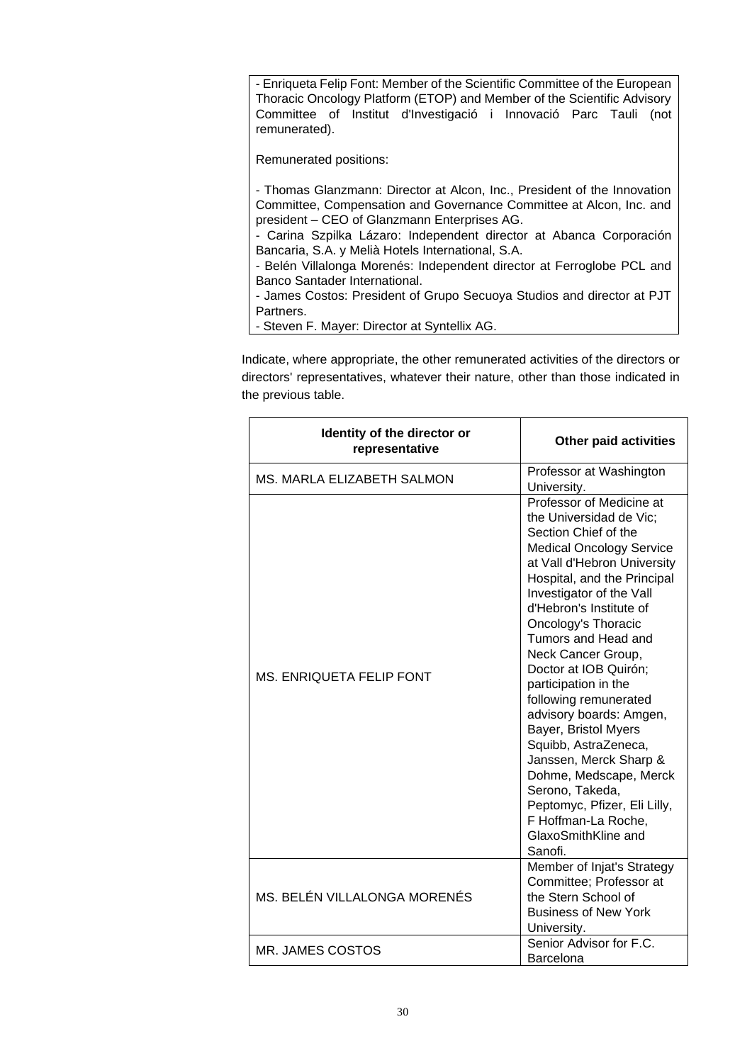- Enriqueta Felip Font: Member of the Scientific Committee of the European Thoracic Oncology Platform (ETOP) and Member of the Scientific Advisory Committee of Institut d'Investigació i Innovació Parc Tauli (not remunerated).

Remunerated positions:

- Thomas Glanzmann: Director at Alcon, Inc., President of the Innovation Committee, Compensation and Governance Committee at Alcon, Inc. and president – CEO of Glanzmann Enterprises AG.

- Carina Szpilka Lázaro: Independent director at Abanca Corporación Bancaria, S.A. y Melià Hotels International, S.A.

- Belén Villalonga Morenés: Independent director at Ferroglobe PCL and Banco Santader International.

- James Costos: President of Grupo Secuoya Studios and director at PJT Partners.

- Steven F. Mayer: Director at Syntellix AG.

Indicate, where appropriate, the other remunerated activities of the directors or directors' representatives, whatever their nature, other than those indicated in the previous table.

| Identity of the director or<br>representative | <b>Other paid activities</b>                                                                                                                                                                                                                                                                                                                                                                                                                                                                                                                                                                                                        |
|-----------------------------------------------|-------------------------------------------------------------------------------------------------------------------------------------------------------------------------------------------------------------------------------------------------------------------------------------------------------------------------------------------------------------------------------------------------------------------------------------------------------------------------------------------------------------------------------------------------------------------------------------------------------------------------------------|
| <b>MS. MARLA ELIZABETH SALMON</b>             | Professor at Washington<br>University.                                                                                                                                                                                                                                                                                                                                                                                                                                                                                                                                                                                              |
| MS. ENRIQUETA FELIP FONT                      | Professor of Medicine at<br>the Universidad de Vic;<br>Section Chief of the<br><b>Medical Oncology Service</b><br>at Vall d'Hebron University<br>Hospital, and the Principal<br>Investigator of the Vall<br>d'Hebron's Institute of<br><b>Oncology's Thoracic</b><br>Tumors and Head and<br>Neck Cancer Group,<br>Doctor at IOB Quirón;<br>participation in the<br>following remunerated<br>advisory boards: Amgen,<br>Bayer, Bristol Myers<br>Squibb, AstraZeneca,<br>Janssen, Merck Sharp &<br>Dohme, Medscape, Merck<br>Serono, Takeda,<br>Peptomyc, Pfizer, Eli Lilly,<br>F Hoffman-La Roche,<br>GlaxoSmithKline and<br>Sanofi. |
| MS. BELÉN VILLALONGA MORENÉS                  | Member of Injat's Strategy<br>Committee; Professor at<br>the Stern School of<br><b>Business of New York</b><br>University.                                                                                                                                                                                                                                                                                                                                                                                                                                                                                                          |
| MR. JAMES COSTOS                              | Senior Advisor for F.C.<br>Barcelona                                                                                                                                                                                                                                                                                                                                                                                                                                                                                                                                                                                                |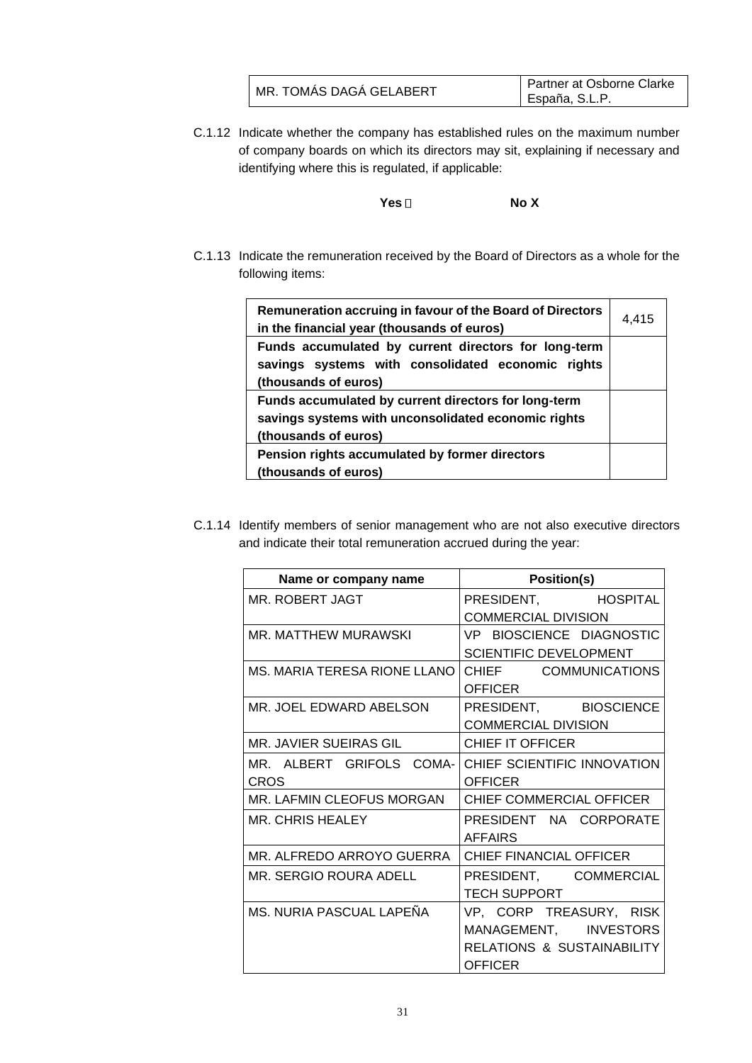| MR. TOMÁS DAGÁ GELABERT | Partner at Osborne Clarke |
|-------------------------|---------------------------|
|                         | España, S.L.P.            |

C.1.12 Indicate whether the company has established rules on the maximum number of company boards on which its directors may sit, explaining if necessary and identifying where this is regulated, if applicable:

**Yes No X**

C.1.13 Indicate the remuneration received by the Board of Directors as a whole for the following items:

| Remuneration accruing in favour of the Board of Directors<br>in the financial year (thousands of euros)                             | 4,415 |
|-------------------------------------------------------------------------------------------------------------------------------------|-------|
| Funds accumulated by current directors for long-term<br>savings systems with consolidated economic rights<br>(thousands of euros)   |       |
| Funds accumulated by current directors for long-term<br>savings systems with unconsolidated economic rights<br>(thousands of euros) |       |
| Pension rights accumulated by former directors<br>(thousands of euros)                                                              |       |

C.1.14 Identify members of senior management who are not also executive directors and indicate their total remuneration accrued during the year:

| Name or company name             | <b>Position(s)</b>                    |
|----------------------------------|---------------------------------------|
| MR. ROBERT JAGT                  | PRESIDENT, HOSPITAL                   |
|                                  | <b>COMMERCIAL DIVISION</b>            |
| MR. MATTHEW MURAWSKI             | VP BIOSCIENCE DIAGNOSTIC              |
|                                  | <b>SCIENTIFIC DEVELOPMENT</b>         |
| MS. MARIA TERESA RIONE LLANO     | CHIEF COMMUNICATIONS                  |
|                                  | <b>OFFICER</b>                        |
| MR. JOEL EDWARD ABELSON          | PRESIDENT, BIOSCIENCE                 |
|                                  | <b>COMMERCIAL DIVISION</b>            |
| MR. JAVIER SUEIRAS GIL           | CHIEF IT OFFICER                      |
| MR. ALBERT GRIFOLS COMA-         | CHIEF SCIENTIFIC INNOVATION           |
| <b>CROS</b>                      | <b>OFFICER</b>                        |
| <b>MR. LAFMIN CLEOFUS MORGAN</b> | <b>CHIEF COMMERCIAL OFFICER</b>       |
| <b>MR. CHRIS HEALEY</b>          | PRESIDENT NA CORPORATE                |
|                                  | <b>AFFAIRS</b>                        |
| MR. ALFREDO ARROYO GUERRA        | CHIEF FINANCIAL OFFICER               |
| MR. SERGIO ROURA ADELL           | PRESIDENT, COMMERCIAL                 |
|                                  | <b>TECH SUPPORT</b>                   |
| MS. NURIA PASCUAL LAPEÑA         | VP, CORP TREASURY, RISK               |
|                                  | MANAGEMENT, INVESTORS                 |
|                                  | <b>RELATIONS &amp; SUSTAINABILITY</b> |
|                                  | <b>OFFICER</b>                        |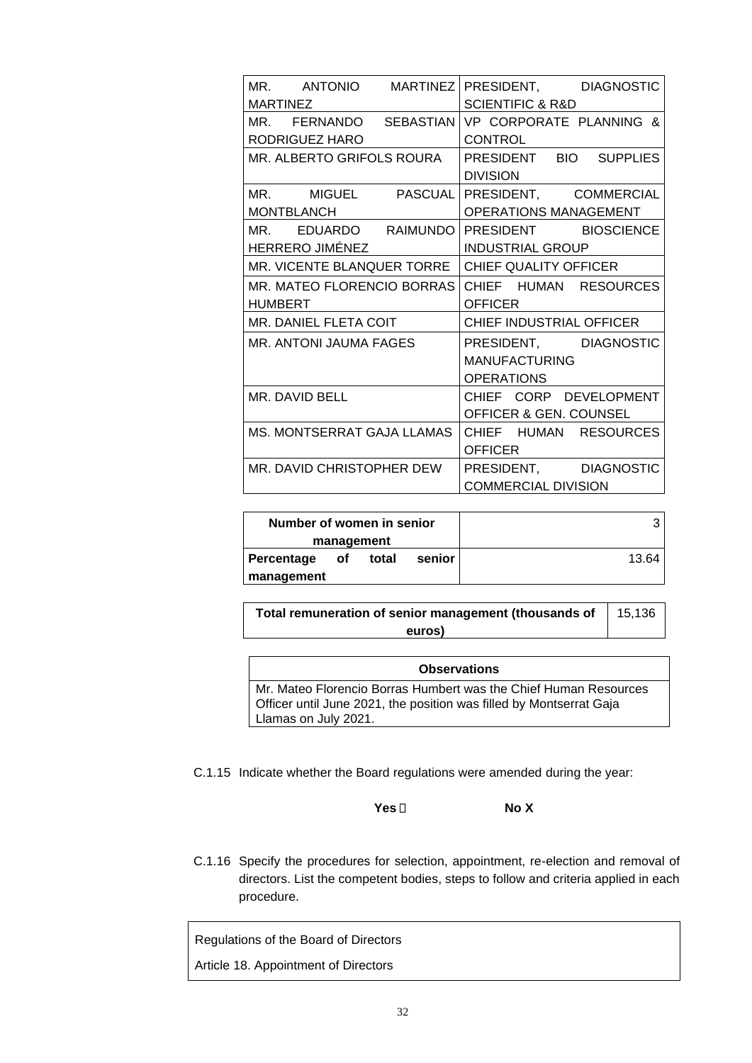|                                   | MR. ANTONIO MARTINEZ PRESIDENT, DIAGNOSTIC     |
|-----------------------------------|------------------------------------------------|
| <b>MARTINEZ</b>                   | <b>SCIENTIFIC &amp; R&amp;D</b>                |
|                                   | MR. FERNANDO SEBASTIAN VP CORPORATE PLANNING & |
| RODRIGUEZ HARO                    | <b>CONTROL</b>                                 |
| MR. ALBERTO GRIFOLS ROURA         | PRESIDENT BIO SUPPLIES                         |
|                                   | <b>DIVISION</b>                                |
|                                   | MR. MIGUEL PASCUAL PRESIDENT, COMMERCIAL       |
| <b>MONTBLANCH</b>                 | OPERATIONS MANAGEMENT                          |
|                                   | MR. EDUARDO RAIMUNDO PRESIDENT BIOSCIENCE      |
| HERRERO JIMÉNEZ                   | <b>INDUSTRIAL GROUP</b>                        |
| MR. VICENTE BLANQUER TORRE        | <b>CHIEF QUALITY OFFICER</b>                   |
| <b>MR. MATEO FLORENCIO BORRAS</b> | CHIEF HUMAN RESOURCES                          |
| <b>HUMBERT</b>                    | <b>OFFICER</b>                                 |
| MR. DANIEL FLETA COIT             | CHIEF INDUSTRIAL OFFICER                       |
| MR. ANTONI JAUMA FAGES            | PRESIDENT, DIAGNOSTIC                          |
|                                   | <b>MANUFACTURING</b>                           |
|                                   | <b>OPERATIONS</b>                              |
| MR. DAVID BELL                    | CHIEF CORP DEVELOPMENT                         |
|                                   | <b>OFFICER &amp; GEN. COUNSEL</b>              |
| MS. MONTSERRAT GAJA LLAMAS        | CHIEF HUMAN RESOURCES                          |
|                                   | <b>OFFICER</b>                                 |
| MR. DAVID CHRISTOPHER DEW         | PRESIDENT, DIAGNOSTIC                          |
|                                   | <b>COMMERCIAL DIVISION</b>                     |

| Number of women in senior           |       |
|-------------------------------------|-------|
| management                          |       |
| senior<br>total<br>Percentage<br>of | 13.64 |
| management                          |       |

**Total remuneration of senior management (thousands of euros)** 15,136

| <b>Observations</b>                                                                         |  |
|---------------------------------------------------------------------------------------------|--|
| Mr. Mateo Florencio Borras Humbert was the Chief Human Resources                            |  |
| Officer until June 2021, the position was filled by Montserrat Gaja<br>Llamas on July 2021. |  |

C.1.15 Indicate whether the Board regulations were amended during the year:

**Yes No X**

C.1.16 Specify the procedures for selection, appointment, re-election and removal of directors. List the competent bodies, steps to follow and criteria applied in each procedure.

Regulations of the Board of Directors

Article 18. Appointment of Directors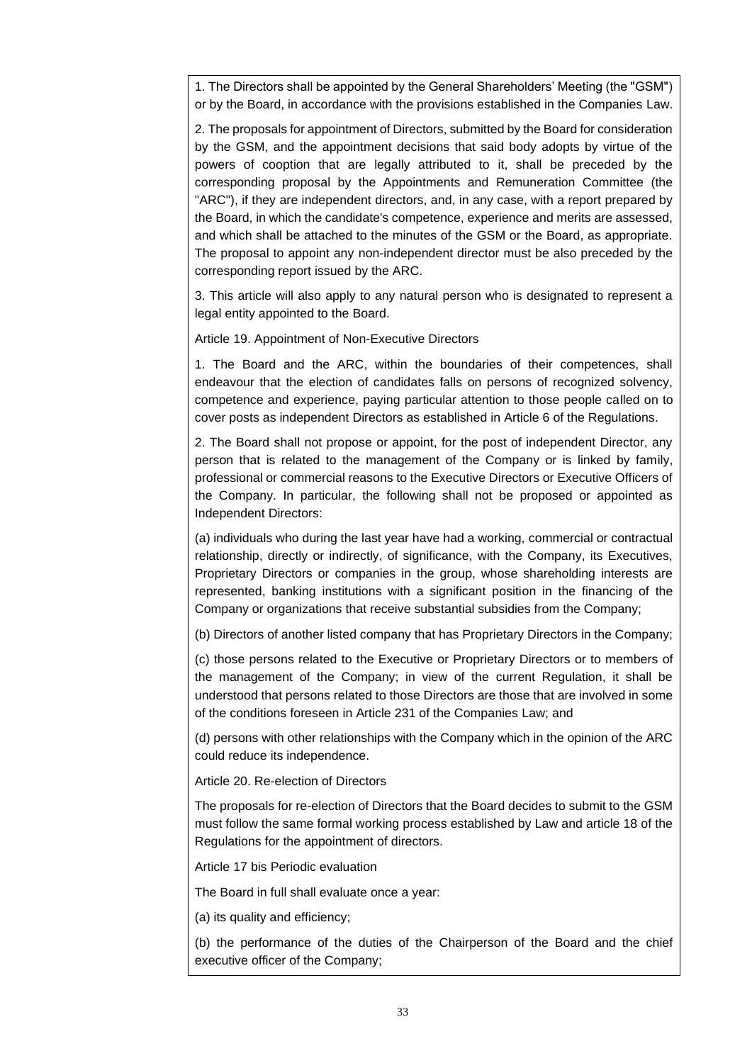1. The Directors shall be appointed by the General Shareholders' Meeting (the "GSM") or by the Board, in accordance with the provisions established in the Companies Law.

2. The proposals for appointment of Directors, submitted by the Board for consideration by the GSM, and the appointment decisions that said body adopts by virtue of the powers of cooption that are legally attributed to it, shall be preceded by the corresponding proposal by the Appointments and Remuneration Committee (the "ARC"), if they are independent directors, and, in any case, with a report prepared by the Board, in which the candidate's competence, experience and merits are assessed, and which shall be attached to the minutes of the GSM or the Board, as appropriate. The proposal to appoint any non-independent director must be also preceded by the corresponding report issued by the ARC.

3. This article will also apply to any natural person who is designated to represent a legal entity appointed to the Board.

Article 19. Appointment of Non-Executive Directors

1. The Board and the ARC, within the boundaries of their competences, shall endeavour that the election of candidates falls on persons of recognized solvency, competence and experience, paying particular attention to those people called on to cover posts as independent Directors as established in Article 6 of the Regulations.

2. The Board shall not propose or appoint, for the post of independent Director, any person that is related to the management of the Company or is linked by family, professional or commercial reasons to the Executive Directors or Executive Officers of the Company. In particular, the following shall not be proposed or appointed as Independent Directors:

(a) individuals who during the last year have had a working, commercial or contractual relationship, directly or indirectly, of significance, with the Company, its Executives, Proprietary Directors or companies in the group, whose shareholding interests are represented, banking institutions with a significant position in the financing of the Company or organizations that receive substantial subsidies from the Company;

(b) Directors of another listed company that has Proprietary Directors in the Company;

(c) those persons related to the Executive or Proprietary Directors or to members of the management of the Company; in view of the current Regulation, it shall be understood that persons related to those Directors are those that are involved in some of the conditions foreseen in Article 231 of the Companies Law; and

(d) persons with other relationships with the Company which in the opinion of the ARC could reduce its independence.

Article 20. Re-election of Directors

The proposals for re-election of Directors that the Board decides to submit to the GSM must follow the same formal working process established by Law and article 18 of the Regulations for the appointment of directors.

Article 17 bis Periodic evaluation

The Board in full shall evaluate once a year:

(a) its quality and efficiency;

(b) the performance of the duties of the Chairperson of the Board and the chief executive officer of the Company;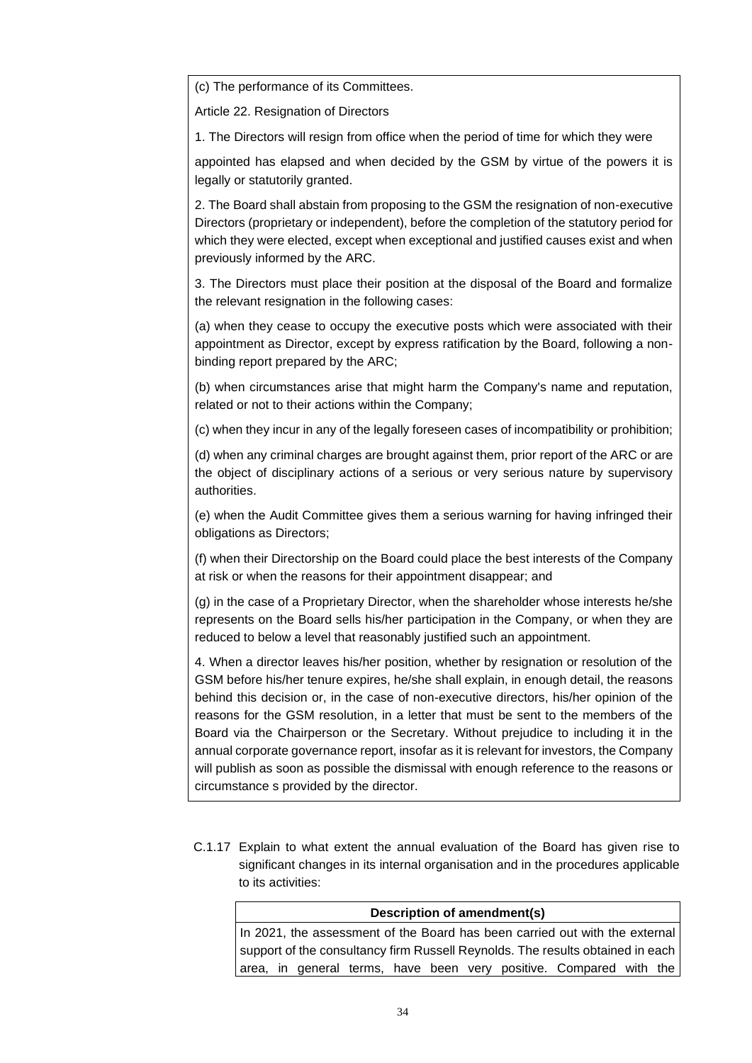(c) The performance of its Committees.

Article 22. Resignation of Directors

1. The Directors will resign from office when the period of time for which they were

appointed has elapsed and when decided by the GSM by virtue of the powers it is legally or statutorily granted.

2. The Board shall abstain from proposing to the GSM the resignation of non-executive Directors (proprietary or independent), before the completion of the statutory period for which they were elected, except when exceptional and justified causes exist and when previously informed by the ARC.

3. The Directors must place their position at the disposal of the Board and formalize the relevant resignation in the following cases:

(a) when they cease to occupy the executive posts which were associated with their appointment as Director, except by express ratification by the Board, following a nonbinding report prepared by the ARC;

(b) when circumstances arise that might harm the Company's name and reputation, related or not to their actions within the Company;

(c) when they incur in any of the legally foreseen cases of incompatibility or prohibition;

(d) when any criminal charges are brought against them, prior report of the ARC or are the object of disciplinary actions of a serious or very serious nature by supervisory authorities.

(e) when the Audit Committee gives them a serious warning for having infringed their obligations as Directors;

(f) when their Directorship on the Board could place the best interests of the Company at risk or when the reasons for their appointment disappear; and

(g) in the case of a Proprietary Director, when the shareholder whose interests he/she represents on the Board sells his/her participation in the Company, or when they are reduced to below a level that reasonably justified such an appointment.

4. When a director leaves his/her position, whether by resignation or resolution of the GSM before his/her tenure expires, he/she shall explain, in enough detail, the reasons behind this decision or, in the case of non-executive directors, his/her opinion of the reasons for the GSM resolution, in a letter that must be sent to the members of the Board via the Chairperson or the Secretary. Without prejudice to including it in the annual corporate governance report, insofar as it is relevant for investors, the Company will publish as soon as possible the dismissal with enough reference to the reasons or circumstance s provided by the director.

C.1.17 Explain to what extent the annual evaluation of the Board has given rise to significant changes in its internal organisation and in the procedures applicable to its activities:

| Description of amendment(s)                                                    |  |  |
|--------------------------------------------------------------------------------|--|--|
| In 2021, the assessment of the Board has been carried out with the external    |  |  |
| support of the consultancy firm Russell Reynolds. The results obtained in each |  |  |
| area, in general terms, have been very positive. Compared with the             |  |  |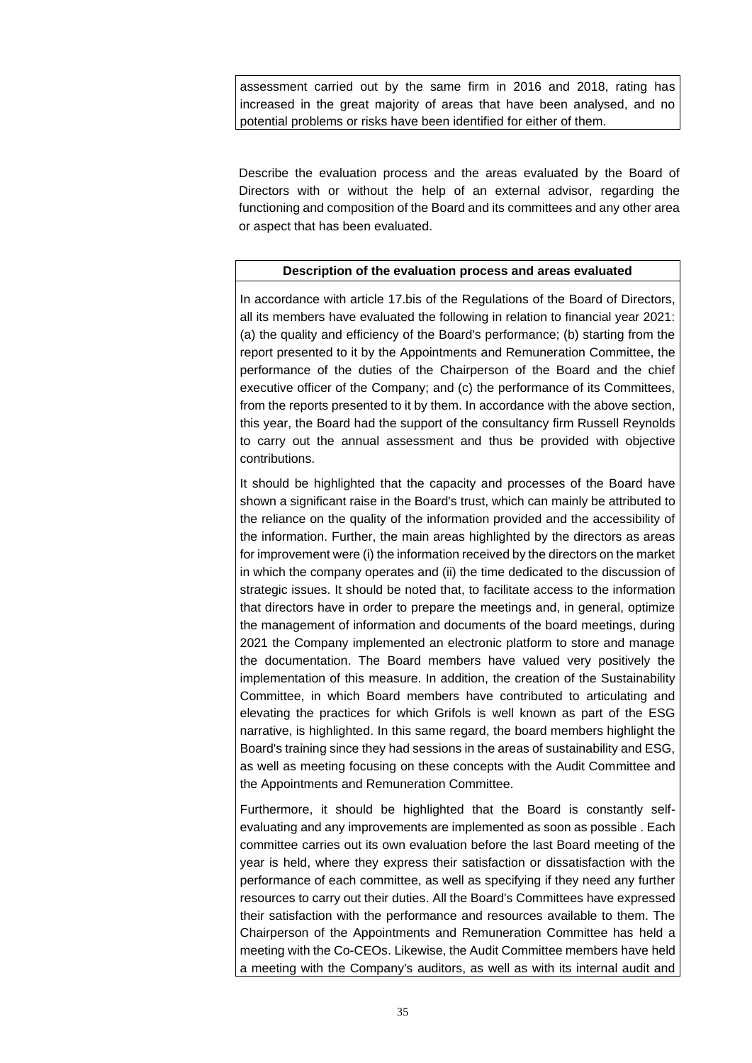assessment carried out by the same firm in 2016 and 2018, rating has increased in the great majority of areas that have been analysed, and no potential problems or risks have been identified for either of them.

Describe the evaluation process and the areas evaluated by the Board of Directors with or without the help of an external advisor, regarding the functioning and composition of the Board and its committees and any other area or aspect that has been evaluated.

### **Description of the evaluation process and areas evaluated**

In accordance with article 17.bis of the Regulations of the Board of Directors, all its members have evaluated the following in relation to financial year 2021: (a) the quality and efficiency of the Board's performance; (b) starting from the report presented to it by the Appointments and Remuneration Committee, the performance of the duties of the Chairperson of the Board and the chief executive officer of the Company; and (c) the performance of its Committees, from the reports presented to it by them. In accordance with the above section, this year, the Board had the support of the consultancy firm Russell Reynolds to carry out the annual assessment and thus be provided with objective contributions.

It should be highlighted that the capacity and processes of the Board have shown a significant raise in the Board's trust, which can mainly be attributed to the reliance on the quality of the information provided and the accessibility of the information. Further, the main areas highlighted by the directors as areas for improvement were (i) the information received by the directors on the market in which the company operates and (ii) the time dedicated to the discussion of strategic issues. It should be noted that, to facilitate access to the information that directors have in order to prepare the meetings and, in general, optimize the management of information and documents of the board meetings, during 2021 the Company implemented an electronic platform to store and manage the documentation. The Board members have valued very positively the implementation of this measure. In addition, the creation of the Sustainability Committee, in which Board members have contributed to articulating and elevating the practices for which Grifols is well known as part of the ESG narrative, is highlighted. In this same regard, the board members highlight the Board's training since they had sessions in the areas of sustainability and ESG, as well as meeting focusing on these concepts with the Audit Committee and the Appointments and Remuneration Committee.

Furthermore, it should be highlighted that the Board is constantly selfevaluating and any improvements are implemented as soon as possible . Each committee carries out its own evaluation before the last Board meeting of the year is held, where they express their satisfaction or dissatisfaction with the performance of each committee, as well as specifying if they need any further resources to carry out their duties. All the Board's Committees have expressed their satisfaction with the performance and resources available to them. The Chairperson of the Appointments and Remuneration Committee has held a meeting with the Co-CEOs. Likewise, the Audit Committee members have held a meeting with the Company's auditors, as well as with its internal audit and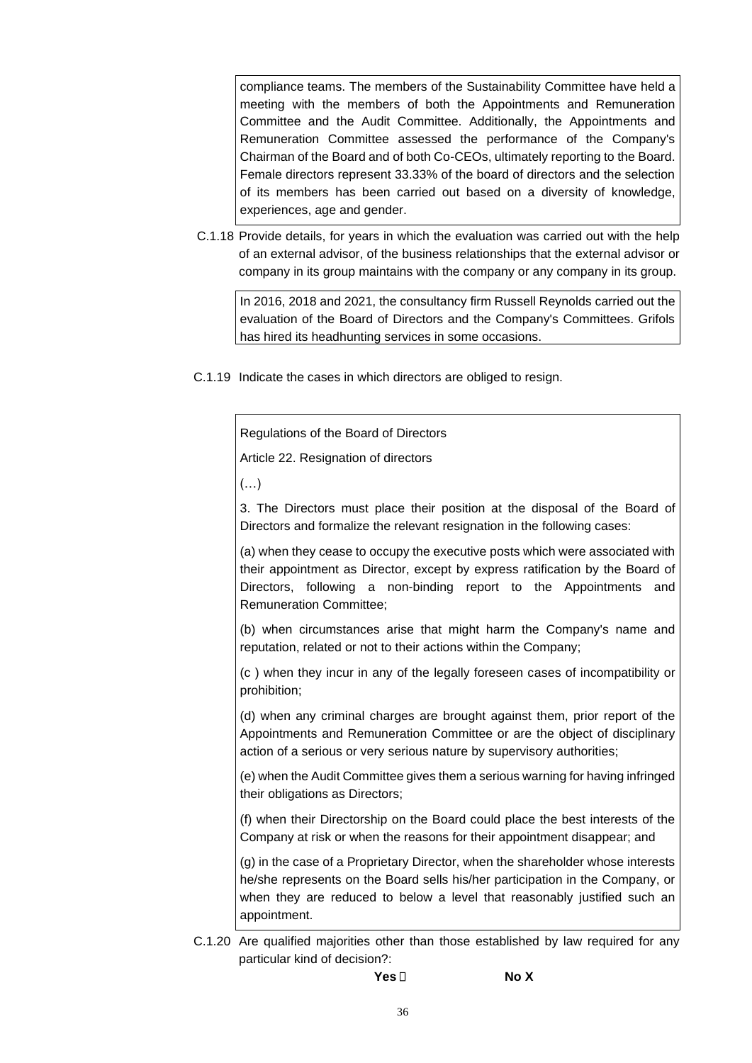compliance teams. The members of the Sustainability Committee have held a meeting with the members of both the Appointments and Remuneration Committee and the Audit Committee. Additionally, the Appointments and Remuneration Committee assessed the performance of the Company's Chairman of the Board and of both Co-CEOs, ultimately reporting to the Board. Female directors represent 33.33% of the board of directors and the selection of its members has been carried out based on a diversity of knowledge, experiences, age and gender.

C.1.18 Provide details, for years in which the evaluation was carried out with the help of an external advisor, of the business relationships that the external advisor or company in its group maintains with the company or any company in its group.

In 2016, 2018 and 2021, the consultancy firm Russell Reynolds carried out the evaluation of the Board of Directors and the Company's Committees. Grifols has hired its headhunting services in some occasions.

C.1.19 Indicate the cases in which directors are obliged to resign.

Regulations of the Board of Directors

Article 22. Resignation of directors

(…)

3. The Directors must place their position at the disposal of the Board of Directors and formalize the relevant resignation in the following cases:

(a) when they cease to occupy the executive posts which were associated with their appointment as Director, except by express ratification by the Board of Directors, following a non-binding report to the Appointments and Remuneration Committee;

(b) when circumstances arise that might harm the Company's name and reputation, related or not to their actions within the Company;

(c ) when they incur in any of the legally foreseen cases of incompatibility or prohibition;

(d) when any criminal charges are brought against them, prior report of the Appointments and Remuneration Committee or are the object of disciplinary action of a serious or very serious nature by supervisory authorities;

(e) when the Audit Committee gives them a serious warning for having infringed their obligations as Directors;

(f) when their Directorship on the Board could place the best interests of the Company at risk or when the reasons for their appointment disappear; and

(g) in the case of a Proprietary Director, when the shareholder whose interests he/she represents on the Board sells his/her participation in the Company, or when they are reduced to below a level that reasonably justified such an appointment.

C.1.20 Are qualified majorities other than those established by law required for any particular kind of decision?: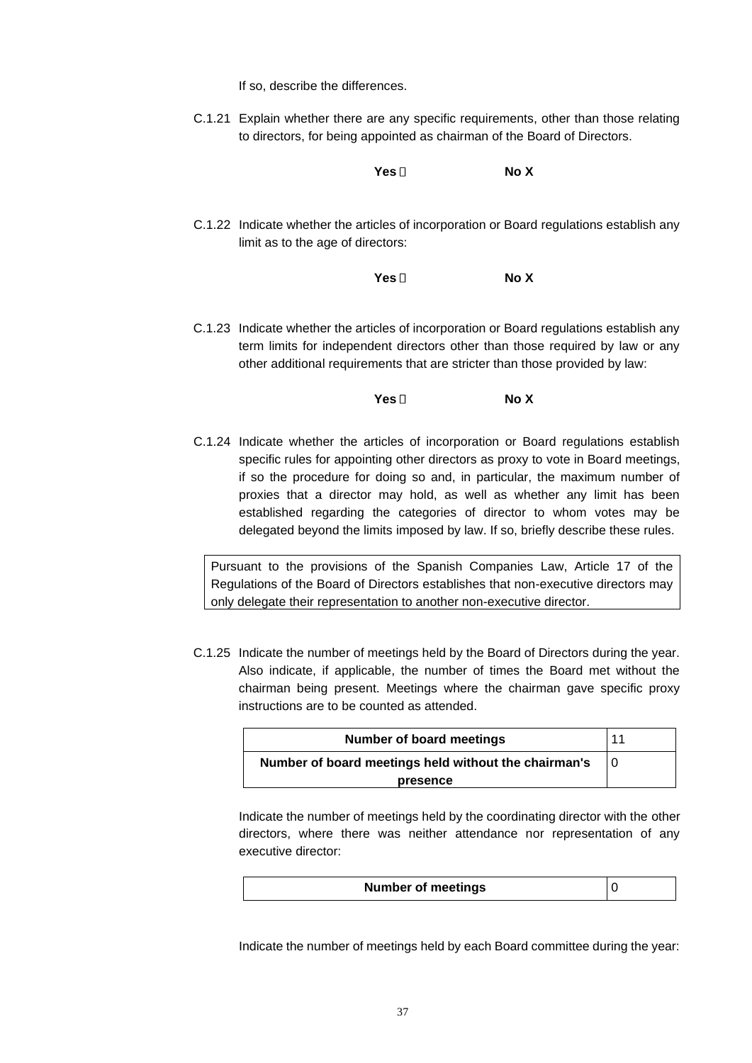If so, describe the differences.

C.1.21 Explain whether there are any specific requirements, other than those relating to directors, for being appointed as chairman of the Board of Directors.

**Yes No X**

C.1.22 Indicate whether the articles of incorporation or Board regulations establish any limit as to the age of directors:

**Yes No X**

C.1.23 Indicate whether the articles of incorporation or Board regulations establish any term limits for independent directors other than those required by law or any other additional requirements that are stricter than those provided by law:

**Yes No X**

C.1.24 Indicate whether the articles of incorporation or Board regulations establish specific rules for appointing other directors as proxy to vote in Board meetings, if so the procedure for doing so and, in particular, the maximum number of proxies that a director may hold, as well as whether any limit has been established regarding the categories of director to whom votes may be delegated beyond the limits imposed by law. If so, briefly describe these rules.

Pursuant to the provisions of the Spanish Companies Law, Article 17 of the Regulations of the Board of Directors establishes that non-executive directors may only delegate their representation to another non-executive director.

C.1.25 Indicate the number of meetings held by the Board of Directors during the year. Also indicate, if applicable, the number of times the Board met without the chairman being present. Meetings where the chairman gave specific proxy instructions are to be counted as attended.

| Number of board meetings                             | 11 |
|------------------------------------------------------|----|
| Number of board meetings held without the chairman's |    |
| presence                                             |    |

Indicate the number of meetings held by the coordinating director with the other directors, where there was neither attendance nor representation of any executive director:

| <b>Number of meetings</b> |  |
|---------------------------|--|
|                           |  |

Indicate the number of meetings held by each Board committee during the year: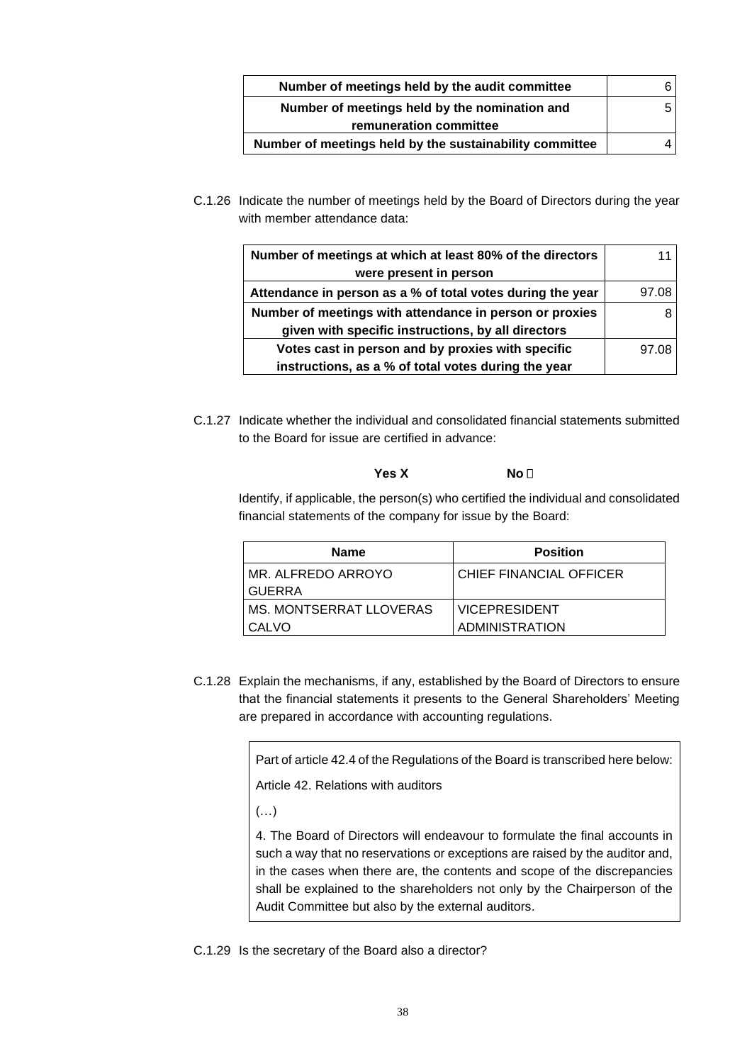| Number of meetings held by the audit committee          |  |
|---------------------------------------------------------|--|
| Number of meetings held by the nomination and           |  |
| remuneration committee                                  |  |
| Number of meetings held by the sustainability committee |  |

C.1.26 Indicate the number of meetings held by the Board of Directors during the year with member attendance data:

| Number of meetings at which at least 80% of the directors  |       |
|------------------------------------------------------------|-------|
| were present in person                                     |       |
| Attendance in person as a % of total votes during the year | 97.08 |
| Number of meetings with attendance in person or proxies    |       |
| given with specific instructions, by all directors         |       |
| Votes cast in person and by proxies with specific          | 97.08 |
| instructions, as a % of total votes during the year        |       |

C.1.27 Indicate whether the individual and consolidated financial statements submitted to the Board for issue are certified in advance:

# **Yes X** No **□**

Identify, if applicable, the person(s) who certified the individual and consolidated financial statements of the company for issue by the Board:

| <b>Name</b>             | <b>Position</b>           |
|-------------------------|---------------------------|
| MR. ALFREDO ARROYO      | I CHIEF FINANCIAL OFFICER |
| <b>GUERRA</b>           |                           |
| MS. MONTSERRAT LLOVERAS | <b>IVICEPRESIDENT</b>     |
| CALVO                   | <b>ADMINISTRATION</b>     |

C.1.28 Explain the mechanisms, if any, established by the Board of Directors to ensure that the financial statements it presents to the General Shareholders' Meeting are prepared in accordance with accounting regulations.

Part of article 42.4 of the Regulations of the Board is transcribed here below:

Article 42. Relations with auditors

 $(\ldots)$ 

4. The Board of Directors will endeavour to formulate the final accounts in such a way that no reservations or exceptions are raised by the auditor and, in the cases when there are, the contents and scope of the discrepancies shall be explained to the shareholders not only by the Chairperson of the Audit Committee but also by the external auditors.

C.1.29 Is the secretary of the Board also a director?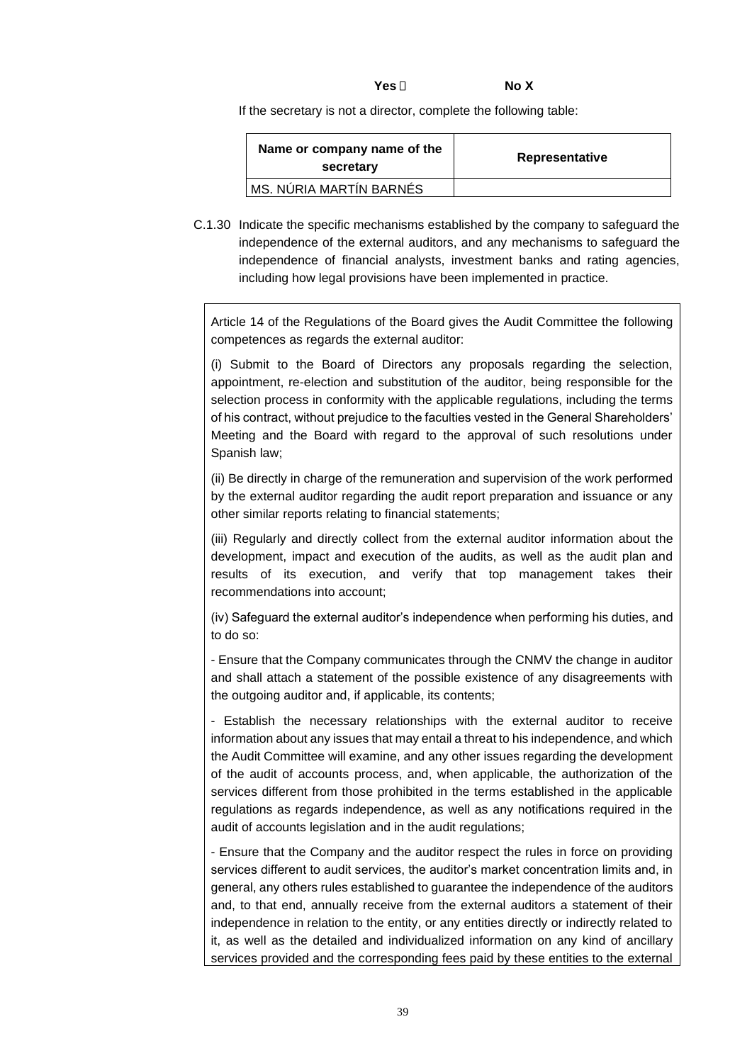| Yes $\square$ | No X |  |
|---------------|------|--|
|---------------|------|--|

If the secretary is not a director, complete the following table:

| Name or company name of the<br>secretary | Representative |
|------------------------------------------|----------------|
| <b>MS. NÚRIA MARTÍN BARNÉS</b>           |                |

C.1.30 Indicate the specific mechanisms established by the company to safeguard the independence of the external auditors, and any mechanisms to safeguard the independence of financial analysts, investment banks and rating agencies, including how legal provisions have been implemented in practice.

Article 14 of the Regulations of the Board gives the Audit Committee the following competences as regards the external auditor:

(i) Submit to the Board of Directors any proposals regarding the selection, appointment, re-election and substitution of the auditor, being responsible for the selection process in conformity with the applicable regulations, including the terms of his contract, without prejudice to the faculties vested in the General Shareholders' Meeting and the Board with regard to the approval of such resolutions under Spanish law;

(ii) Be directly in charge of the remuneration and supervision of the work performed by the external auditor regarding the audit report preparation and issuance or any other similar reports relating to financial statements;

(iii) Regularly and directly collect from the external auditor information about the development, impact and execution of the audits, as well as the audit plan and results of its execution, and verify that top management takes their recommendations into account;

(iv) Safeguard the external auditor's independence when performing his duties, and to do so:

- Ensure that the Company communicates through the CNMV the change in auditor and shall attach a statement of the possible existence of any disagreements with the outgoing auditor and, if applicable, its contents;

- Establish the necessary relationships with the external auditor to receive information about any issues that may entail a threat to his independence, and which the Audit Committee will examine, and any other issues regarding the development of the audit of accounts process, and, when applicable, the authorization of the services different from those prohibited in the terms established in the applicable regulations as regards independence, as well as any notifications required in the audit of accounts legislation and in the audit regulations;

- Ensure that the Company and the auditor respect the rules in force on providing services different to audit services, the auditor's market concentration limits and, in general, any others rules established to guarantee the independence of the auditors and, to that end, annually receive from the external auditors a statement of their independence in relation to the entity, or any entities directly or indirectly related to it, as well as the detailed and individualized information on any kind of ancillary services provided and the corresponding fees paid by these entities to the external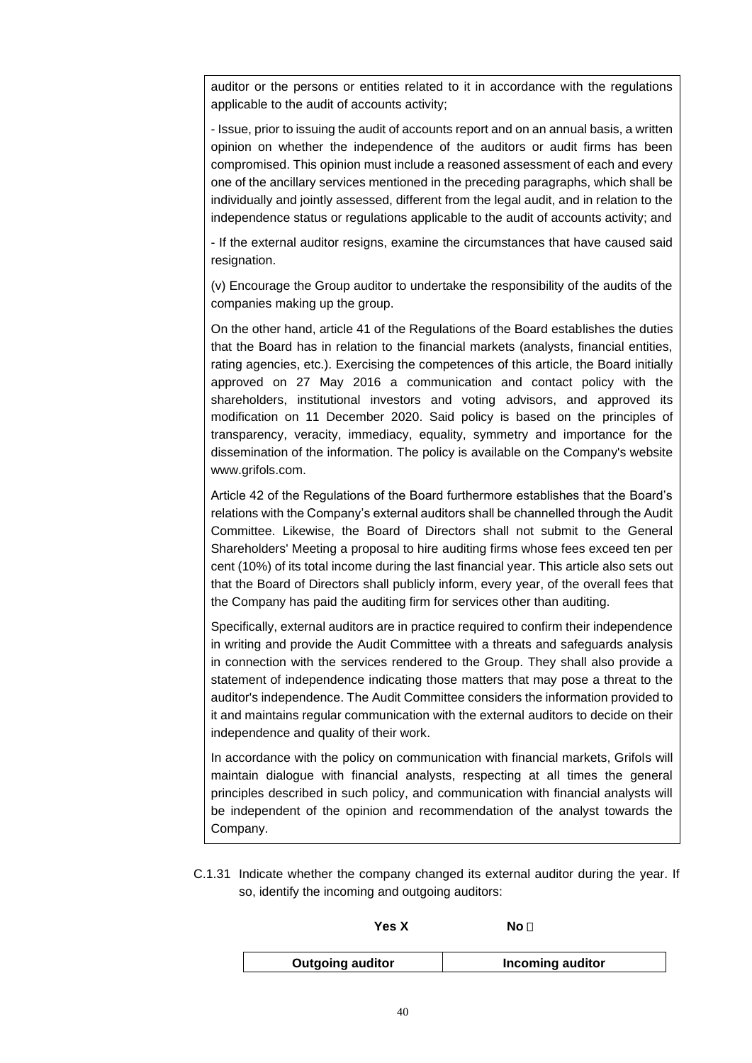auditor or the persons or entities related to it in accordance with the regulations applicable to the audit of accounts activity;

- Issue, prior to issuing the audit of accounts report and on an annual basis, a written opinion on whether the independence of the auditors or audit firms has been compromised. This opinion must include a reasoned assessment of each and every one of the ancillary services mentioned in the preceding paragraphs, which shall be individually and jointly assessed, different from the legal audit, and in relation to the independence status or regulations applicable to the audit of accounts activity; and

- If the external auditor resigns, examine the circumstances that have caused said resignation.

(v) Encourage the Group auditor to undertake the responsibility of the audits of the companies making up the group.

On the other hand, article 41 of the Regulations of the Board establishes the duties that the Board has in relation to the financial markets (analysts, financial entities, rating agencies, etc.). Exercising the competences of this article, the Board initially approved on 27 May 2016 a communication and contact policy with the shareholders, institutional investors and voting advisors, and approved its modification on 11 December 2020. Said policy is based on the principles of transparency, veracity, immediacy, equality, symmetry and importance for the dissemination of the information. The policy is available on the Company's website www.grifols.com.

Article 42 of the Regulations of the Board furthermore establishes that the Board's relations with the Company's external auditors shall be channelled through the Audit Committee. Likewise, the Board of Directors shall not submit to the General Shareholders' Meeting a proposal to hire auditing firms whose fees exceed ten per cent (10%) of its total income during the last financial year. This article also sets out that the Board of Directors shall publicly inform, every year, of the overall fees that the Company has paid the auditing firm for services other than auditing.

Specifically, external auditors are in practice required to confirm their independence in writing and provide the Audit Committee with a threats and safeguards analysis in connection with the services rendered to the Group. They shall also provide a statement of independence indicating those matters that may pose a threat to the auditor's independence. The Audit Committee considers the information provided to it and maintains regular communication with the external auditors to decide on their independence and quality of their work.

In accordance with the policy on communication with financial markets, Grifols will maintain dialogue with financial analysts, respecting at all times the general principles described in such policy, and communication with financial analysts will be independent of the opinion and recommendation of the analyst towards the Company.

C.1.31 Indicate whether the company changed its external auditor during the year. If so, identify the incoming and outgoing auditors:

| Yes X                   | $\mathsf{No}\,\Gamma$   |
|-------------------------|-------------------------|
| <b>Outgoing auditor</b> | <b>Incoming auditor</b> |

| 40 |  |
|----|--|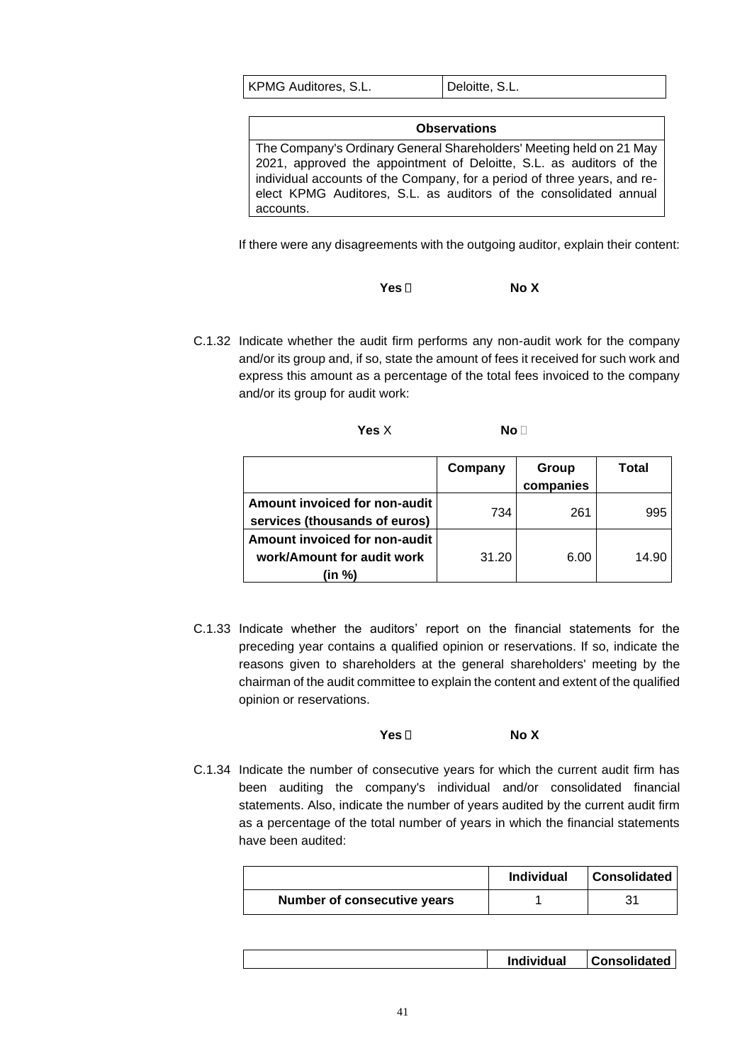| KPMG Auditores, S.L. | Deloitte, S.L. |
|----------------------|----------------|
|----------------------|----------------|

| <b>Observations</b>                                                      |
|--------------------------------------------------------------------------|
| The Company's Ordinary General Shareholders' Meeting held on 21 May      |
| 2021, approved the appointment of Deloitte, S.L. as auditors of the      |
| individual accounts of the Company, for a period of three years, and re- |
| elect KPMG Auditores, S.L. as auditors of the consolidated annual        |
| accounts.                                                                |

If there were any disagreements with the outgoing auditor, explain their content:

| Yes $\Box$ | No X |
|------------|------|
|------------|------|

C.1.32 Indicate whether the audit firm performs any non-audit work for the company and/or its group and, if so, state the amount of fees it received for such work and express this amount as a percentage of the total fees invoiced to the company and/or its group for audit work:

| Yes X | No. |  |
|-------|-----|--|
|       |     |  |
|       |     |  |

|                                                                       | Company | Group     | Total |
|-----------------------------------------------------------------------|---------|-----------|-------|
|                                                                       |         | companies |       |
| Amount invoiced for non-audit<br>services (thousands of euros)        | 734     | 261       | 995   |
| Amount invoiced for non-audit<br>work/Amount for audit work<br>(in %) | 31.20   | 6.00      | 14.90 |

C.1.33 Indicate whether the auditors' report on the financial statements for the preceding year contains a qualified opinion or reservations. If so, indicate the reasons given to shareholders at the general shareholders' meeting by the chairman of the audit committee to explain the content and extent of the qualified opinion or reservations.

**Yes No X**

C.1.34 Indicate the number of consecutive years for which the current audit firm has been auditing the company's individual and/or consolidated financial statements. Also, indicate the number of years audited by the current audit firm as a percentage of the total number of years in which the financial statements have been audited:

|                             | <b>Individual</b> | <b>Consolidated</b> |
|-----------------------------|-------------------|---------------------|
| Number of consecutive years |                   | 21                  |

|  |  | <b>Individual</b> | <b>Consolidated</b> |
|--|--|-------------------|---------------------|
|--|--|-------------------|---------------------|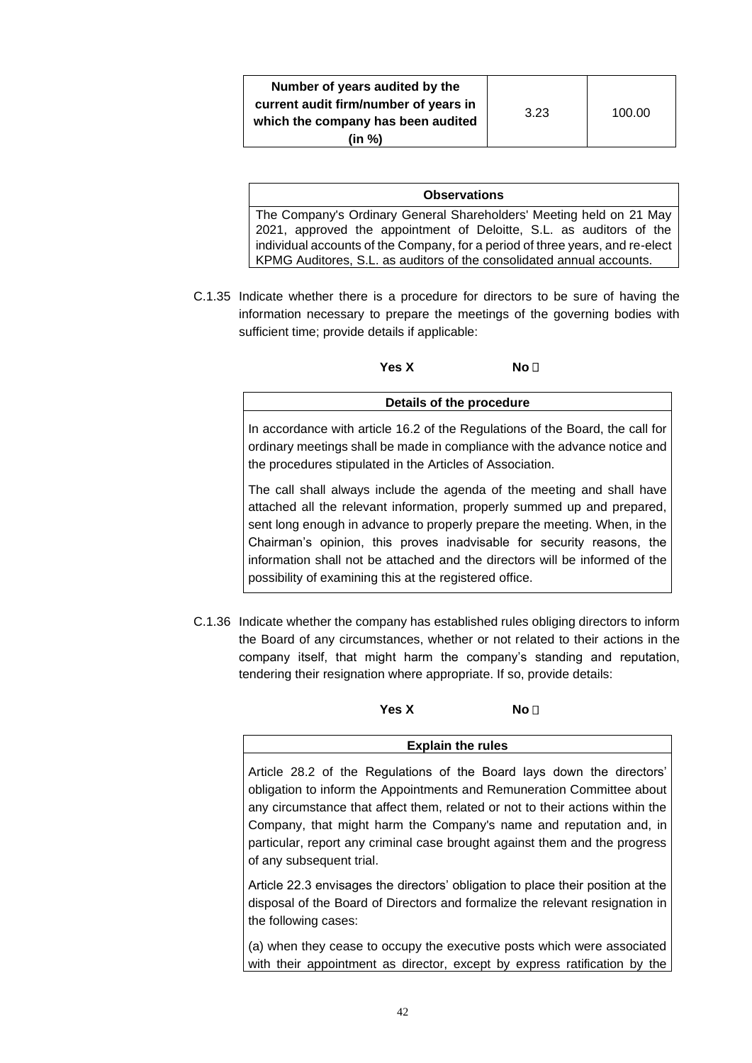#### **Observations**

The Company's Ordinary General Shareholders' Meeting held on 21 May 2021, approved the appointment of Deloitte, S.L. as auditors of the individual accounts of the Company, for a period of three years, and re-elect KPMG Auditores, S.L. as auditors of the consolidated annual accounts.

C.1.35 Indicate whether there is a procedure for directors to be sure of having the information necessary to prepare the meetings of the governing bodies with sufficient time; provide details if applicable:

Yes X No **No** D

**Details of the procedure**

In accordance with article 16.2 of the Regulations of the Board, the call for ordinary meetings shall be made in compliance with the advance notice and the procedures stipulated in the Articles of Association.

The call shall always include the agenda of the meeting and shall have attached all the relevant information, properly summed up and prepared, sent long enough in advance to properly prepare the meeting. When, in the Chairman's opinion, this proves inadvisable for security reasons, the information shall not be attached and the directors will be informed of the possibility of examining this at the registered office.

C.1.36 Indicate whether the company has established rules obliging directors to inform the Board of any circumstances, whether or not related to their actions in the company itself, that might harm the company's standing and reputation, tendering their resignation where appropriate. If so, provide details:

**Yes X** No □

**Explain the rules**

Article 28.2 of the Regulations of the Board lays down the directors' obligation to inform the Appointments and Remuneration Committee about any circumstance that affect them, related or not to their actions within the Company, that might harm the Company's name and reputation and, in particular, report any criminal case brought against them and the progress of any subsequent trial.

Article 22.3 envisages the directors' obligation to place their position at the disposal of the Board of Directors and formalize the relevant resignation in the following cases:

(a) when they cease to occupy the executive posts which were associated with their appointment as director, except by express ratification by the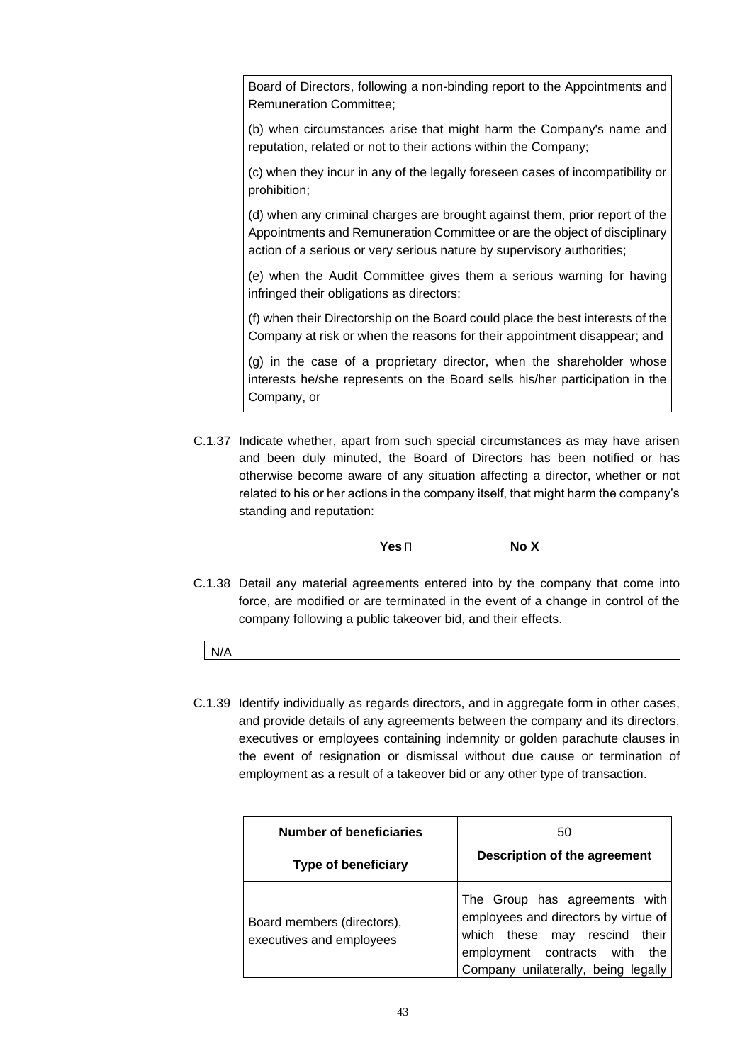Board of Directors, following a non-binding report to the Appointments and Remuneration Committee;

(b) when circumstances arise that might harm the Company's name and reputation, related or not to their actions within the Company;

(c) when they incur in any of the legally foreseen cases of incompatibility or prohibition;

(d) when any criminal charges are brought against them, prior report of the Appointments and Remuneration Committee or are the object of disciplinary action of a serious or very serious nature by supervisory authorities;

(e) when the Audit Committee gives them a serious warning for having infringed their obligations as directors;

(f) when their Directorship on the Board could place the best interests of the Company at risk or when the reasons for their appointment disappear; and

(g) in the case of a proprietary director, when the shareholder whose interests he/she represents on the Board sells his/her participation in the Company, or

C.1.37 Indicate whether, apart from such special circumstances as may have arisen and been duly minuted, the Board of Directors has been notified or has otherwise become aware of any situation affecting a director, whether or not related to his or her actions in the company itself, that might harm the company's standing and reputation:

**Yes No X**

- C.1.38 Detail any material agreements entered into by the company that come into force, are modified or are terminated in the event of a change in control of the company following a public takeover bid, and their effects.
	- N/A
- C.1.39 Identify individually as regards directors, and in aggregate form in other cases, and provide details of any agreements between the company and its directors, executives or employees containing indemnity or golden parachute clauses in the event of resignation or dismissal without due cause or termination of employment as a result of a takeover bid or any other type of transaction.

| <b>Number of beneficiaries</b>                         | 50                                                                                                                                                                                |
|--------------------------------------------------------|-----------------------------------------------------------------------------------------------------------------------------------------------------------------------------------|
| <b>Type of beneficiary</b>                             | Description of the agreement                                                                                                                                                      |
| Board members (directors),<br>executives and employees | The Group has agreements with<br>employees and directors by virtue of<br>which these may rescind their<br>employment contracts with<br>the<br>Company unilaterally, being legally |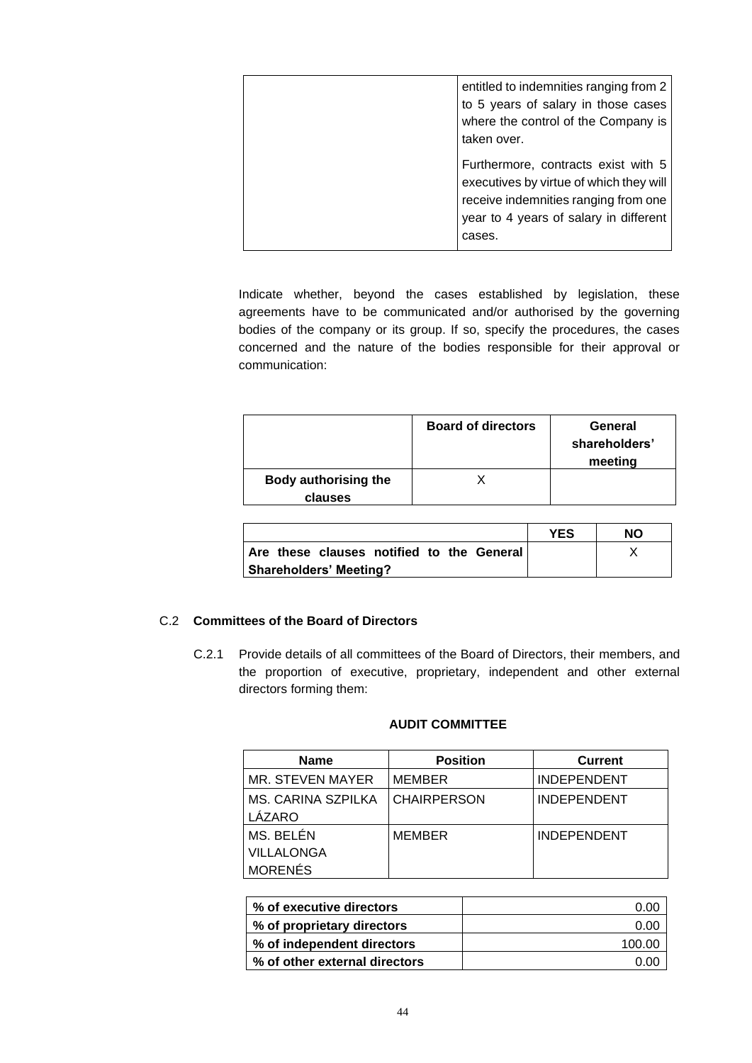| entitled to indemnities ranging from 2<br>to 5 years of salary in those cases<br>where the control of the Company is                                                            |
|---------------------------------------------------------------------------------------------------------------------------------------------------------------------------------|
| taken over.<br>Furthermore, contracts exist with 5<br>executives by virtue of which they will<br>receive indemnities ranging from one<br>year to 4 years of salary in different |
| cases.                                                                                                                                                                          |

Indicate whether, beyond the cases established by legislation, these agreements have to be communicated and/or authorised by the governing bodies of the company or its group. If so, specify the procedures, the cases concerned and the nature of the bodies responsible for their approval or communication:

|                                        | <b>Board of directors</b> | General<br>shareholders'<br>meeting |
|----------------------------------------|---------------------------|-------------------------------------|
| <b>Body authorising the</b><br>clauses |                           |                                     |

|                                           | YFS | NΟ |
|-------------------------------------------|-----|----|
| Are these clauses notified to the General |     |    |
| Shareholders' Meeting?                    |     |    |

# C.2 **Committees of the Board of Directors**

C.2.1 Provide details of all committees of the Board of Directors, their members, and the proportion of executive, proprietary, independent and other external directors forming them:

# **AUDIT COMMITTEE**

| <b>Name</b>        | <b>Position</b>    | <b>Current</b>     |
|--------------------|--------------------|--------------------|
| MR. STEVEN MAYER   | <b>MEMBER</b>      | <b>INDEPENDENT</b> |
| MS. CARINA SZPILKA | <b>CHAIRPERSON</b> | <b>INDEPENDENT</b> |
| LÁZARO             |                    |                    |
| MS. BELÉN          | <b>MEMBER</b>      | <b>INDEPENDENT</b> |
| <b>VILLALONGA</b>  |                    |                    |
| <b>MORENÉS</b>     |                    |                    |

| % of executive directors      | ი იი   |
|-------------------------------|--------|
| % of proprietary directors    | 0.00   |
| % of independent directors    | 100.00 |
| % of other external directors |        |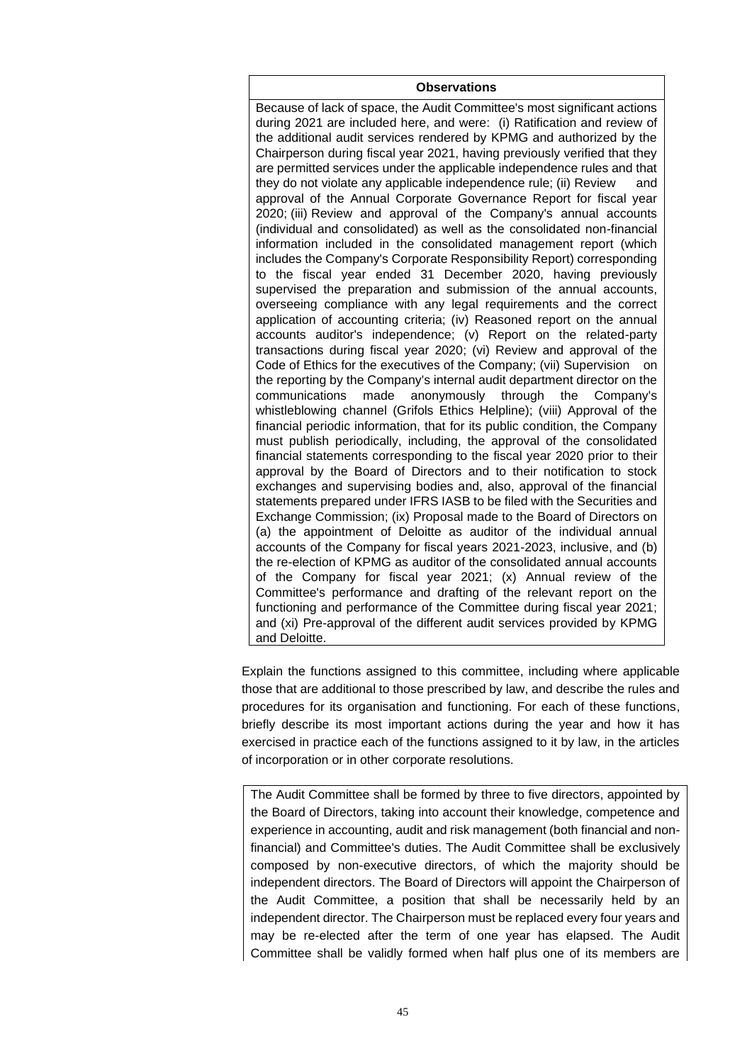## **Observations**

Because of lack of space, the Audit Committee's most significant actions during 2021 are included here, and were: (i) Ratification and review of the additional audit services rendered by KPMG and authorized by the Chairperson during fiscal year 2021, having previously verified that they are permitted services under the applicable independence rules and that they do not violate any applicable independence rule; (ii) Review and approval of the Annual Corporate Governance Report for fiscal year 2020; (iii) Review and approval of the Company's annual accounts (individual and consolidated) as well as the consolidated non-financial information included in the consolidated management report (which includes the Company's Corporate Responsibility Report) corresponding to the fiscal year ended 31 December 2020, having previously supervised the preparation and submission of the annual accounts, overseeing compliance with any legal requirements and the correct application of accounting criteria; (iv) Reasoned report on the annual accounts auditor's independence; (v) Report on the related-party transactions during fiscal year 2020; (vi) Review and approval of the Code of Ethics for the executives of the Company; (vii) Supervision on the reporting by the Company's internal audit department director on the communications made anonymously through the Company's whistleblowing channel (Grifols Ethics Helpline); (viii) Approval of the financial periodic information, that for its public condition, the Company must publish periodically, including, the approval of the consolidated financial statements corresponding to the fiscal year 2020 prior to their approval by the Board of Directors and to their notification to stock exchanges and supervising bodies and, also, approval of the financial statements prepared under IFRS IASB to be filed with the Securities and Exchange Commission; (ix) Proposal made to the Board of Directors on (a) the appointment of Deloitte as auditor of the individual annual accounts of the Company for fiscal years 2021-2023, inclusive, and (b) the re-election of KPMG as auditor of the consolidated annual accounts of the Company for fiscal year 2021; (x) Annual review of the Committee's performance and drafting of the relevant report on the functioning and performance of the Committee during fiscal year 2021; and (xi) Pre-approval of the different audit services provided by KPMG and Deloitte.

Explain the functions assigned to this committee, including where applicable those that are additional to those prescribed by law, and describe the rules and procedures for its organisation and functioning. For each of these functions, briefly describe its most important actions during the year and how it has exercised in practice each of the functions assigned to it by law, in the articles of incorporation or in other corporate resolutions.

The Audit Committee shall be formed by three to five directors, appointed by the Board of Directors, taking into account their knowledge, competence and experience in accounting, audit and risk management (both financial and nonfinancial) and Committee's duties. The Audit Committee shall be exclusively composed by non-executive directors, of which the majority should be independent directors. The Board of Directors will appoint the Chairperson of the Audit Committee, a position that shall be necessarily held by an independent director. The Chairperson must be replaced every four years and may be re-elected after the term of one year has elapsed. The Audit Committee shall be validly formed when half plus one of its members are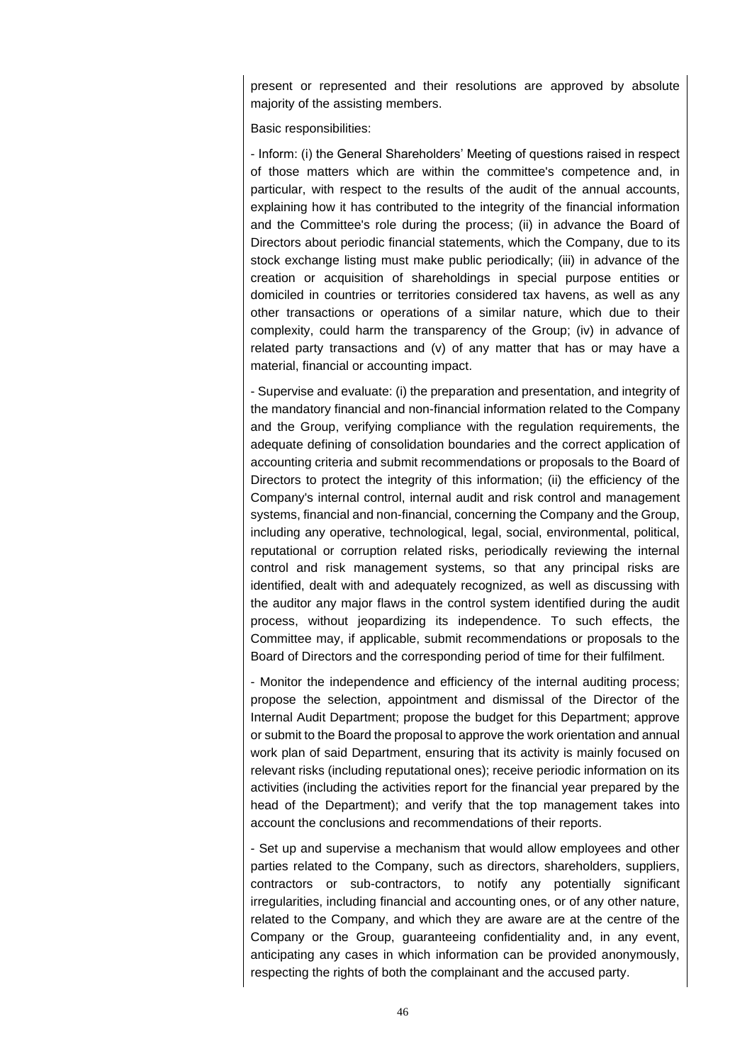present or represented and their resolutions are approved by absolute majority of the assisting members.

## Basic responsibilities:

- Inform: (i) the General Shareholders' Meeting of questions raised in respect of those matters which are within the committee's competence and, in particular, with respect to the results of the audit of the annual accounts, explaining how it has contributed to the integrity of the financial information and the Committee's role during the process; (ii) in advance the Board of Directors about periodic financial statements, which the Company, due to its stock exchange listing must make public periodically; (iii) in advance of the creation or acquisition of shareholdings in special purpose entities or domiciled in countries or territories considered tax havens, as well as any other transactions or operations of a similar nature, which due to their complexity, could harm the transparency of the Group; (iv) in advance of related party transactions and (v) of any matter that has or may have a material, financial or accounting impact.

- Supervise and evaluate: (i) the preparation and presentation, and integrity of the mandatory financial and non-financial information related to the Company and the Group, verifying compliance with the regulation requirements, the adequate defining of consolidation boundaries and the correct application of accounting criteria and submit recommendations or proposals to the Board of Directors to protect the integrity of this information; (ii) the efficiency of the Company's internal control, internal audit and risk control and management systems, financial and non-financial, concerning the Company and the Group, including any operative, technological, legal, social, environmental, political, reputational or corruption related risks, periodically reviewing the internal control and risk management systems, so that any principal risks are identified, dealt with and adequately recognized, as well as discussing with the auditor any major flaws in the control system identified during the audit process, without jeopardizing its independence. To such effects, the Committee may, if applicable, submit recommendations or proposals to the Board of Directors and the corresponding period of time for their fulfilment.

- Monitor the independence and efficiency of the internal auditing process; propose the selection, appointment and dismissal of the Director of the Internal Audit Department; propose the budget for this Department; approve or submit to the Board the proposal to approve the work orientation and annual work plan of said Department, ensuring that its activity is mainly focused on relevant risks (including reputational ones); receive periodic information on its activities (including the activities report for the financial year prepared by the head of the Department); and verify that the top management takes into account the conclusions and recommendations of their reports.

- Set up and supervise a mechanism that would allow employees and other parties related to the Company, such as directors, shareholders, suppliers, contractors or sub-contractors, to notify any potentially significant irregularities, including financial and accounting ones, or of any other nature, related to the Company, and which they are aware are at the centre of the Company or the Group, guaranteeing confidentiality and, in any event, anticipating any cases in which information can be provided anonymously, respecting the rights of both the complainant and the accused party.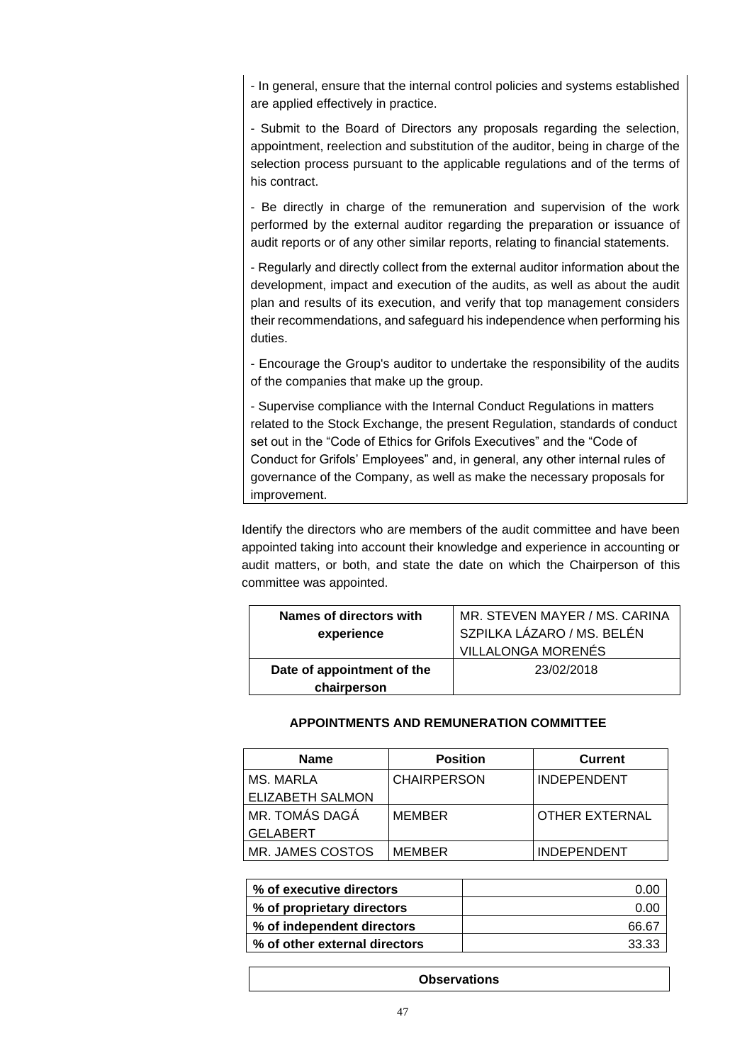- In general, ensure that the internal control policies and systems established are applied effectively in practice.

- Submit to the Board of Directors any proposals regarding the selection, appointment, reelection and substitution of the auditor, being in charge of the selection process pursuant to the applicable regulations and of the terms of his contract.

- Be directly in charge of the remuneration and supervision of the work performed by the external auditor regarding the preparation or issuance of audit reports or of any other similar reports, relating to financial statements.

- Regularly and directly collect from the external auditor information about the development, impact and execution of the audits, as well as about the audit plan and results of its execution, and verify that top management considers their recommendations, and safeguard his independence when performing his duties.

- Encourage the Group's auditor to undertake the responsibility of the audits of the companies that make up the group.

- Supervise compliance with the Internal Conduct Regulations in matters related to the Stock Exchange, the present Regulation, standards of conduct set out in the "Code of Ethics for Grifols Executives" and the "Code of Conduct for Grifols' Employees" and, in general, any other internal rules of governance of the Company, as well as make the necessary proposals for improvement.

Identify the directors who are members of the audit committee and have been appointed taking into account their knowledge and experience in accounting or audit matters, or both, and state the date on which the Chairperson of this committee was appointed.

| Names of directors with    | MR. STEVEN MAYER / MS. CARINA |
|----------------------------|-------------------------------|
| experience                 | SZPILKA LÁZARO / MS. BELÉN    |
|                            | <b>VILLALONGA MORENÉS</b>     |
| Date of appointment of the | 23/02/2018                    |
| chairperson                |                               |

# **APPOINTMENTS AND REMUNERATION COMMITTEE**

| <b>Name</b>             | <b>Position</b>    | <b>Current</b>     |
|-------------------------|--------------------|--------------------|
| MS. MARLA               | <b>CHAIRPERSON</b> | <b>INDEPENDENT</b> |
| <b>ELIZABETH SALMON</b> |                    |                    |
| MR. TOMÁS DAGÁ          | <b>MEMBER</b>      | OTHER EXTERNAL     |
| <b>GELABERT</b>         |                    |                    |
| MR. JAMES COSTOS        | <b>MEMBER</b>      | <b>INDEPENDENT</b> |

| % of executive directors      | o oc               |
|-------------------------------|--------------------|
| % of proprietary directors    | 0.00               |
| % of independent directors    | 66.67              |
| % of other external directors | 33.33 <sup>.</sup> |

**Observations**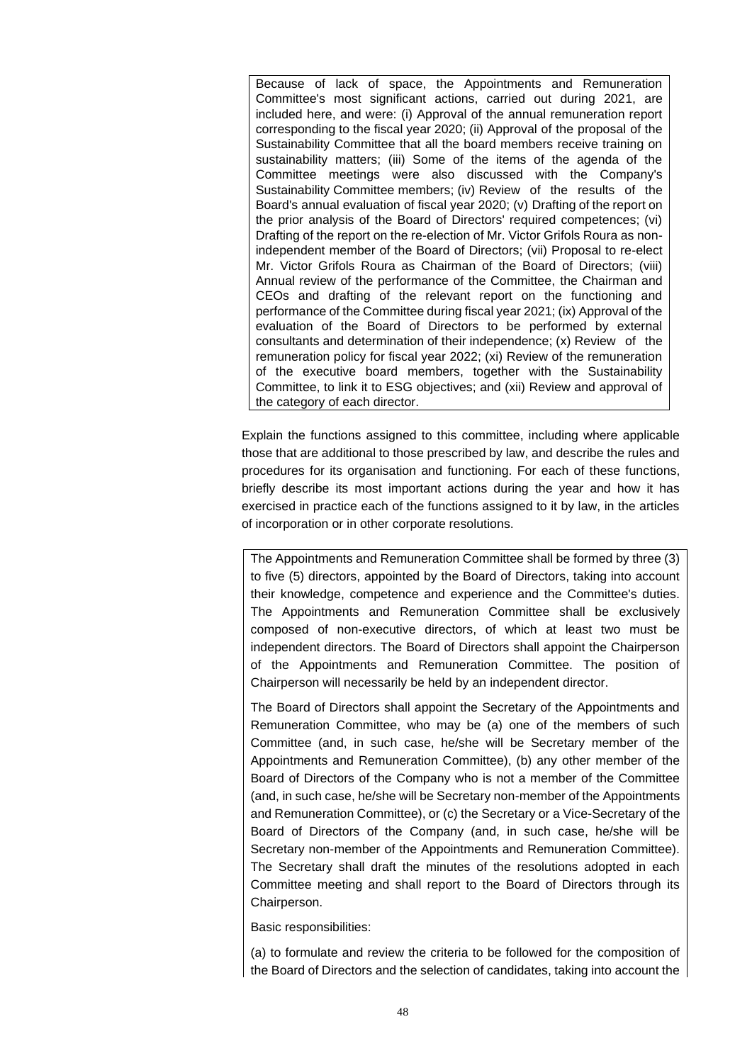Because of lack of space, the Appointments and Remuneration Committee's most significant actions, carried out during 2021, are included here, and were: (i) Approval of the annual remuneration report corresponding to the fiscal year 2020; (ii) Approval of the proposal of the Sustainability Committee that all the board members receive training on sustainability matters; (iii) Some of the items of the agenda of the Committee meetings were also discussed with the Company's Sustainability Committee members; (iv) Review of the results of the Board's annual evaluation of fiscal year 2020; (v) Drafting of the report on the prior analysis of the Board of Directors' required competences; (vi) Drafting of the report on the re-election of Mr. Victor Grifols Roura as nonindependent member of the Board of Directors; (vii) Proposal to re-elect Mr. Victor Grifols Roura as Chairman of the Board of Directors; (viii) Annual review of the performance of the Committee, the Chairman and CEOs and drafting of the relevant report on the functioning and performance of the Committee during fiscal year 2021; (ix) Approval of the evaluation of the Board of Directors to be performed by external consultants and determination of their independence; (x) Review of the remuneration policy for fiscal year 2022; (xi) Review of the remuneration of the executive board members, together with the Sustainability Committee, to link it to ESG objectives; and (xii) Review and approval of the category of each director.

Explain the functions assigned to this committee, including where applicable those that are additional to those prescribed by law, and describe the rules and procedures for its organisation and functioning. For each of these functions, briefly describe its most important actions during the year and how it has exercised in practice each of the functions assigned to it by law, in the articles of incorporation or in other corporate resolutions.

The Appointments and Remuneration Committee shall be formed by three (3) to five (5) directors, appointed by the Board of Directors, taking into account their knowledge, competence and experience and the Committee's duties. The Appointments and Remuneration Committee shall be exclusively composed of non-executive directors, of which at least two must be independent directors. The Board of Directors shall appoint the Chairperson of the Appointments and Remuneration Committee. The position of Chairperson will necessarily be held by an independent director.

The Board of Directors shall appoint the Secretary of the Appointments and Remuneration Committee, who may be (a) one of the members of such Committee (and, in such case, he/she will be Secretary member of the Appointments and Remuneration Committee), (b) any other member of the Board of Directors of the Company who is not a member of the Committee (and, in such case, he/she will be Secretary non-member of the Appointments and Remuneration Committee), or (c) the Secretary or a Vice-Secretary of the Board of Directors of the Company (and, in such case, he/she will be Secretary non-member of the Appointments and Remuneration Committee). The Secretary shall draft the minutes of the resolutions adopted in each Committee meeting and shall report to the Board of Directors through its Chairperson.

Basic responsibilities:

(a) to formulate and review the criteria to be followed for the composition of the Board of Directors and the selection of candidates, taking into account the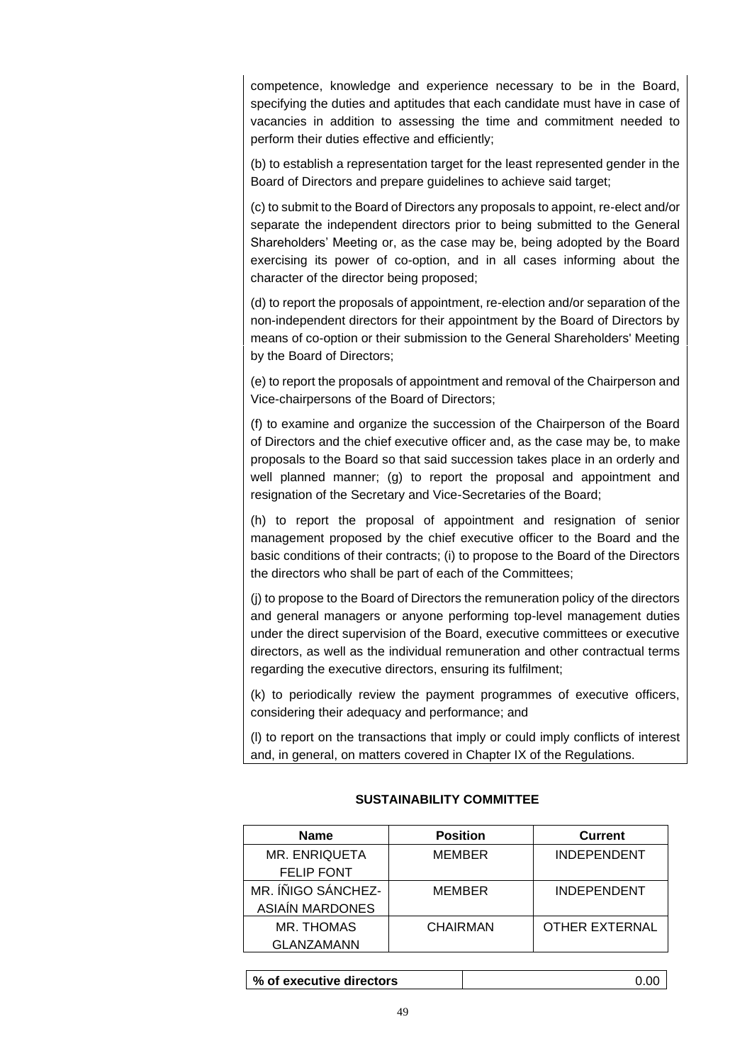competence, knowledge and experience necessary to be in the Board, specifying the duties and aptitudes that each candidate must have in case of vacancies in addition to assessing the time and commitment needed to perform their duties effective and efficiently;

(b) to establish a representation target for the least represented gender in the Board of Directors and prepare guidelines to achieve said target;

(c) to submit to the Board of Directors any proposals to appoint, re-elect and/or separate the independent directors prior to being submitted to the General Shareholders' Meeting or, as the case may be, being adopted by the Board exercising its power of co-option, and in all cases informing about the character of the director being proposed;

(d) to report the proposals of appointment, re-election and/or separation of the non-independent directors for their appointment by the Board of Directors by means of co-option or their submission to the General Shareholders' Meeting by the Board of Directors;

(e) to report the proposals of appointment and removal of the Chairperson and Vice-chairpersons of the Board of Directors;

(f) to examine and organize the succession of the Chairperson of the Board of Directors and the chief executive officer and, as the case may be, to make proposals to the Board so that said succession takes place in an orderly and well planned manner; (g) to report the proposal and appointment and resignation of the Secretary and Vice-Secretaries of the Board;

(h) to report the proposal of appointment and resignation of senior management proposed by the chief executive officer to the Board and the basic conditions of their contracts; (i) to propose to the Board of the Directors the directors who shall be part of each of the Committees;

(j) to propose to the Board of Directors the remuneration policy of the directors and general managers or anyone performing top-level management duties under the direct supervision of the Board, executive committees or executive directors, as well as the individual remuneration and other contractual terms regarding the executive directors, ensuring its fulfilment;

(k) to periodically review the payment programmes of executive officers, considering their adequacy and performance; and

(l) to report on the transactions that imply or could imply conflicts of interest and, in general, on matters covered in Chapter IX of the Regulations.

# **SUSTAINABILITY COMMITTEE**

| <b>Name</b>            | <b>Position</b> | <b>Current</b>        |
|------------------------|-----------------|-----------------------|
| <b>MR. ENRIQUETA</b>   | <b>MEMBER</b>   | <b>INDEPENDENT</b>    |
| <b>FELIP FONT</b>      |                 |                       |
| MR. ÍÑIGO SÁNCHEZ-     | <b>MEMBER</b>   | <b>INDEPENDENT</b>    |
| <b>ASIAÍN MARDONES</b> |                 |                       |
| MR. THOMAS             | CHAIRMAN        | <b>OTHER EXTERNAL</b> |
| <b>GLANZAMANN</b>      |                 |                       |

**% of executive directors** 0.00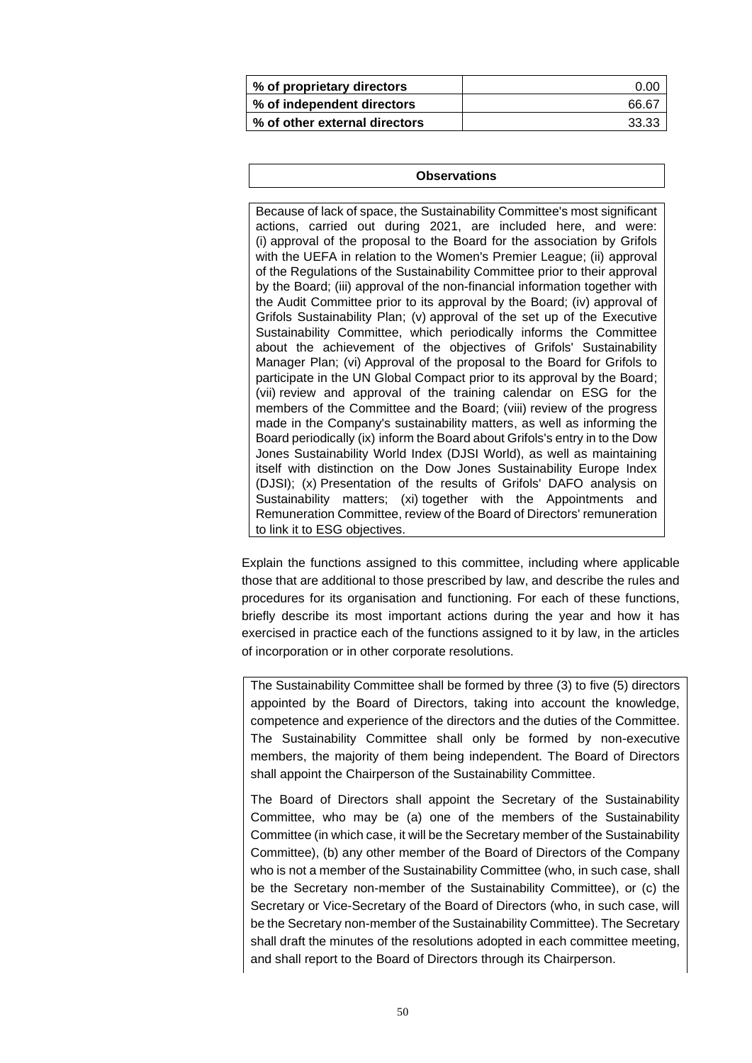| % of proprietary directors    | 0.00  |
|-------------------------------|-------|
| % of independent directors    | 66.67 |
| % of other external directors | 33.33 |

#### **Observations**

Because of lack of space, the Sustainability Committee's most significant actions, carried out during 2021, are included here, and were: (i) approval of the proposal to the Board for the association by Grifols with the UEFA in relation to the Women's Premier League; (ii) approval of the Regulations of the Sustainability Committee prior to their approval by the Board; (iii) approval of the non-financial information together with the Audit Committee prior to its approval by the Board; (iv) approval of Grifols Sustainability Plan; (v) approval of the set up of the Executive Sustainability Committee, which periodically informs the Committee about the achievement of the objectives of Grifols' Sustainability Manager Plan; (vi) Approval of the proposal to the Board for Grifols to participate in the UN Global Compact prior to its approval by the Board; (vii) review and approval of the training calendar on ESG for the members of the Committee and the Board; (viii) review of the progress made in the Company's sustainability matters, as well as informing the Board periodically (ix) inform the Board about Grifols's entry in to the Dow Jones Sustainability World Index (DJSI World), as well as maintaining itself with distinction on the Dow Jones Sustainability Europe Index (DJSI); (x) Presentation of the results of Grifols' DAFO analysis on Sustainability matters; (xi) together with the Appointments and Remuneration Committee, review of the Board of Directors' remuneration to link it to ESG objectives.

Explain the functions assigned to this committee, including where applicable those that are additional to those prescribed by law, and describe the rules and procedures for its organisation and functioning. For each of these functions, briefly describe its most important actions during the year and how it has exercised in practice each of the functions assigned to it by law, in the articles of incorporation or in other corporate resolutions.

The Sustainability Committee shall be formed by three (3) to five (5) directors appointed by the Board of Directors, taking into account the knowledge, competence and experience of the directors and the duties of the Committee. The Sustainability Committee shall only be formed by non-executive members, the majority of them being independent. The Board of Directors shall appoint the Chairperson of the Sustainability Committee.

The Board of Directors shall appoint the Secretary of the Sustainability Committee, who may be (a) one of the members of the Sustainability Committee (in which case, it will be the Secretary member of the Sustainability Committee), (b) any other member of the Board of Directors of the Company who is not a member of the Sustainability Committee (who, in such case, shall be the Secretary non-member of the Sustainability Committee), or (c) the Secretary or Vice-Secretary of the Board of Directors (who, in such case, will be the Secretary non-member of the Sustainability Committee). The Secretary shall draft the minutes of the resolutions adopted in each committee meeting, and shall report to the Board of Directors through its Chairperson.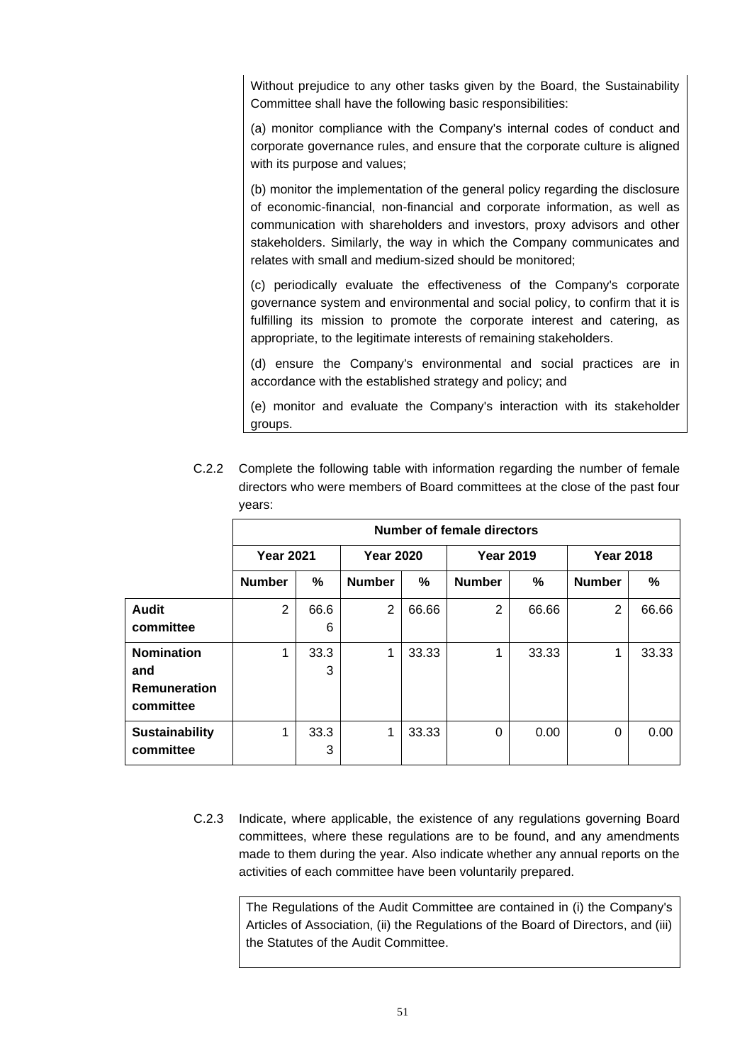Without prejudice to any other tasks given by the Board, the Sustainability Committee shall have the following basic responsibilities:

(a) monitor compliance with the Company's internal codes of conduct and corporate governance rules, and ensure that the corporate culture is aligned with its purpose and values;

(b) monitor the implementation of the general policy regarding the disclosure of economic-financial, non-financial and corporate information, as well as communication with shareholders and investors, proxy advisors and other stakeholders. Similarly, the way in which the Company communicates and relates with small and medium-sized should be monitored;

(c) periodically evaluate the effectiveness of the Company's corporate governance system and environmental and social policy, to confirm that it is fulfilling its mission to promote the corporate interest and catering, as appropriate, to the legitimate interests of remaining stakeholders.

(d) ensure the Company's environmental and social practices are in accordance with the established strategy and policy; and

(e) monitor and evaluate the Company's interaction with its stakeholder groups.

|                                                              | Number of female directors |           |                  |       |                  |       |                  |       |
|--------------------------------------------------------------|----------------------------|-----------|------------------|-------|------------------|-------|------------------|-------|
|                                                              | <b>Year 2021</b>           |           | <b>Year 2020</b> |       | <b>Year 2019</b> |       | <b>Year 2018</b> |       |
|                                                              | <b>Number</b>              | %         | <b>Number</b>    | %     | <b>Number</b>    | %     | <b>Number</b>    | %     |
| <b>Audit</b><br>committee                                    | $\overline{2}$             | 66.6<br>6 | $\overline{2}$   | 66.66 | 2                | 66.66 | 2                | 66.66 |
| <b>Nomination</b><br>and<br><b>Remuneration</b><br>committee |                            | 33.3<br>3 | 1                | 33.33 | 4                | 33.33 | 1                | 33.33 |
| <b>Sustainability</b><br>committee                           |                            | 33.3<br>3 | 1                | 33.33 | 0                | 0.00  | 0                | 0.00  |

C.2.2 Complete the following table with information regarding the number of female directors who were members of Board committees at the close of the past four years:

C.2.3 Indicate, where applicable, the existence of any regulations governing Board committees, where these regulations are to be found, and any amendments made to them during the year. Also indicate whether any annual reports on the activities of each committee have been voluntarily prepared.

> The Regulations of the Audit Committee are contained in (i) the Company's Articles of Association, (ii) the Regulations of the Board of Directors, and (iii) the Statutes of the Audit Committee.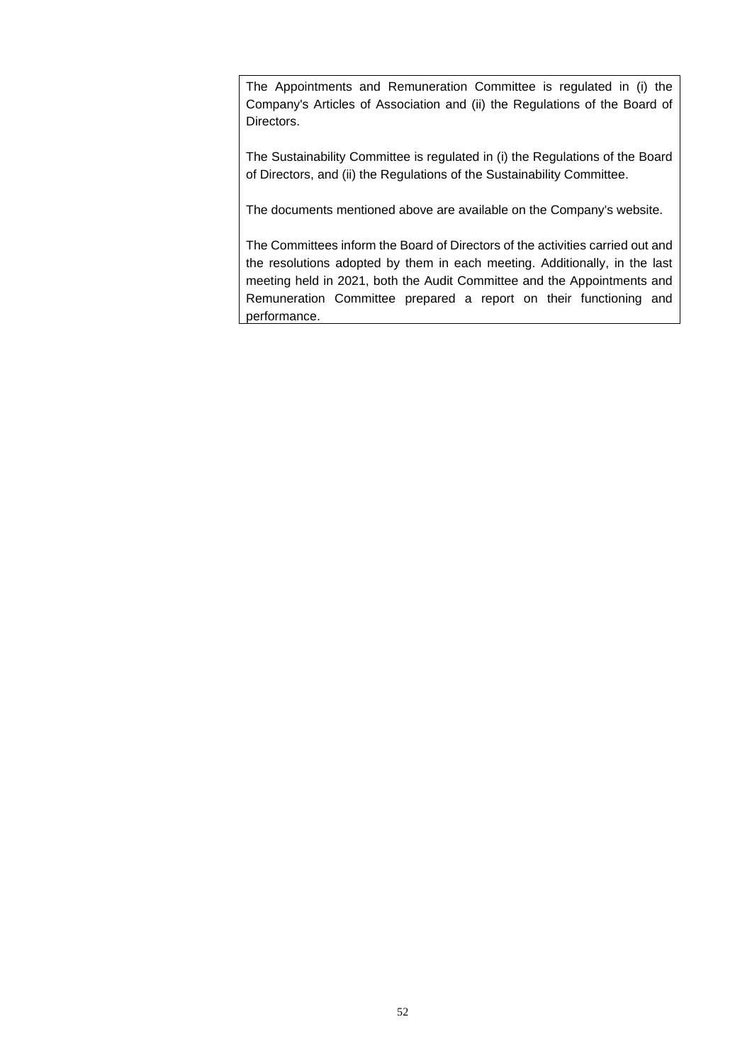The Appointments and Remuneration Committee is regulated in (i) the Company's Articles of Association and (ii) the Regulations of the Board of Directors.

The Sustainability Committee is regulated in (i) the Regulations of the Board of Directors, and (ii) the Regulations of the Sustainability Committee.

The documents mentioned above are available on the Company's website.

The Committees inform the Board of Directors of the activities carried out and the resolutions adopted by them in each meeting. Additionally, in the last meeting held in 2021, both the Audit Committee and the Appointments and Remuneration Committee prepared a report on their functioning and performance.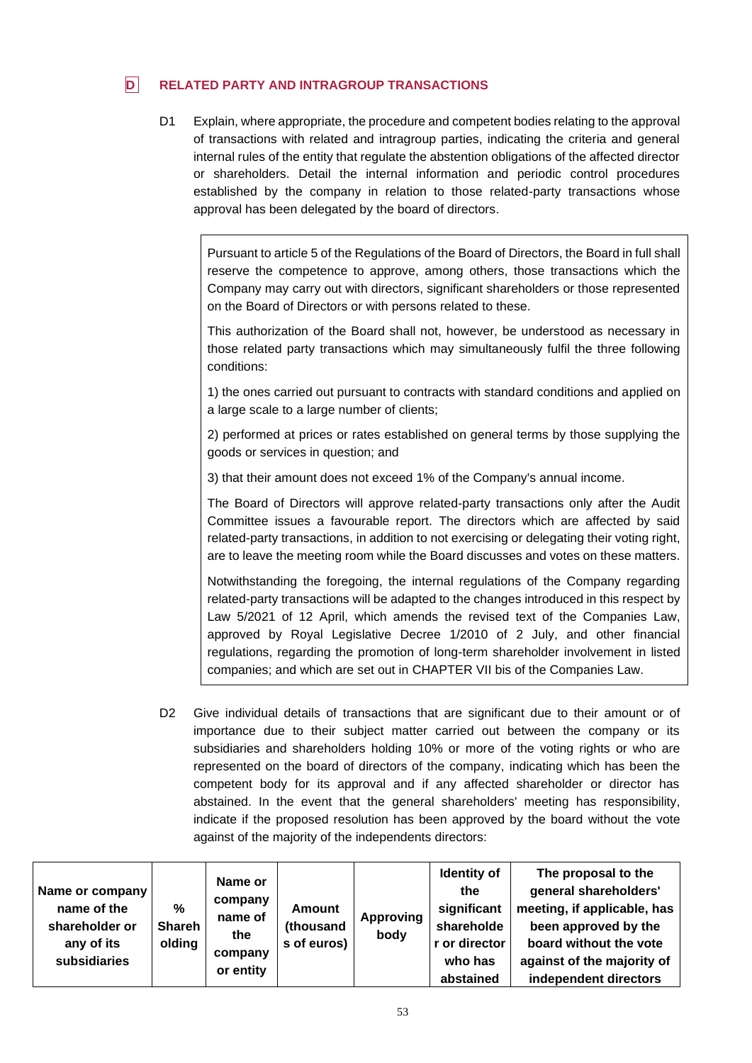# **D RELATED PARTY AND INTRAGROUP TRANSACTIONS**

D1 Explain, where appropriate, the procedure and competent bodies relating to the approval of transactions with related and intragroup parties, indicating the criteria and general internal rules of the entity that regulate the abstention obligations of the affected director or shareholders. Detail the internal information and periodic control procedures established by the company in relation to those related-party transactions whose approval has been delegated by the board of directors.

Pursuant to article 5 of the Regulations of the Board of Directors, the Board in full shall reserve the competence to approve, among others, those transactions which the Company may carry out with directors, significant shareholders or those represented on the Board of Directors or with persons related to these.

This authorization of the Board shall not, however, be understood as necessary in those related party transactions which may simultaneously fulfil the three following conditions:

1) the ones carried out pursuant to contracts with standard conditions and applied on a large scale to a large number of clients;

2) performed at prices or rates established on general terms by those supplying the goods or services in question; and

3) that their amount does not exceed 1% of the Company's annual income.

The Board of Directors will approve related-party transactions only after the Audit Committee issues a favourable report. The directors which are affected by said related-party transactions, in addition to not exercising or delegating their voting right, are to leave the meeting room while the Board discusses and votes on these matters.

Notwithstanding the foregoing, the internal regulations of the Company regarding related-party transactions will be adapted to the changes introduced in this respect by Law 5/2021 of 12 April, which amends the revised text of the Companies Law, approved by Royal Legislative Decree 1/2010 of 2 July, and other financial regulations, regarding the promotion of long-term shareholder involvement in listed companies; and which are set out in CHAPTER VII bis of the Companies Law.

D2 Give individual details of transactions that are significant due to their amount or of importance due to their subject matter carried out between the company or its subsidiaries and shareholders holding 10% or more of the voting rights or who are represented on the board of directors of the company, indicating which has been the competent body for its approval and if any affected shareholder or director has abstained. In the event that the general shareholders' meeting has responsibility, indicate if the proposed resolution has been approved by the board without the vote against of the majority of the independents directors:

| Name or company<br>name of the<br>shareholder or<br>any of its<br><b>subsidiaries</b> | $\%$<br><b>Shareh</b><br>olding | Name or<br>company<br>name of<br>the<br>company<br>or entity | Amount<br>(thousand<br>s of euros) | <b>Approving</b><br>body | Identity of<br>the<br>significant<br>shareholde<br>r or director<br>who has<br>abstained | The proposal to the<br>general shareholders'<br>meeting, if applicable, has<br>been approved by the<br>board without the vote<br>against of the majority of<br>independent directors |
|---------------------------------------------------------------------------------------|---------------------------------|--------------------------------------------------------------|------------------------------------|--------------------------|------------------------------------------------------------------------------------------|--------------------------------------------------------------------------------------------------------------------------------------------------------------------------------------|
|---------------------------------------------------------------------------------------|---------------------------------|--------------------------------------------------------------|------------------------------------|--------------------------|------------------------------------------------------------------------------------------|--------------------------------------------------------------------------------------------------------------------------------------------------------------------------------------|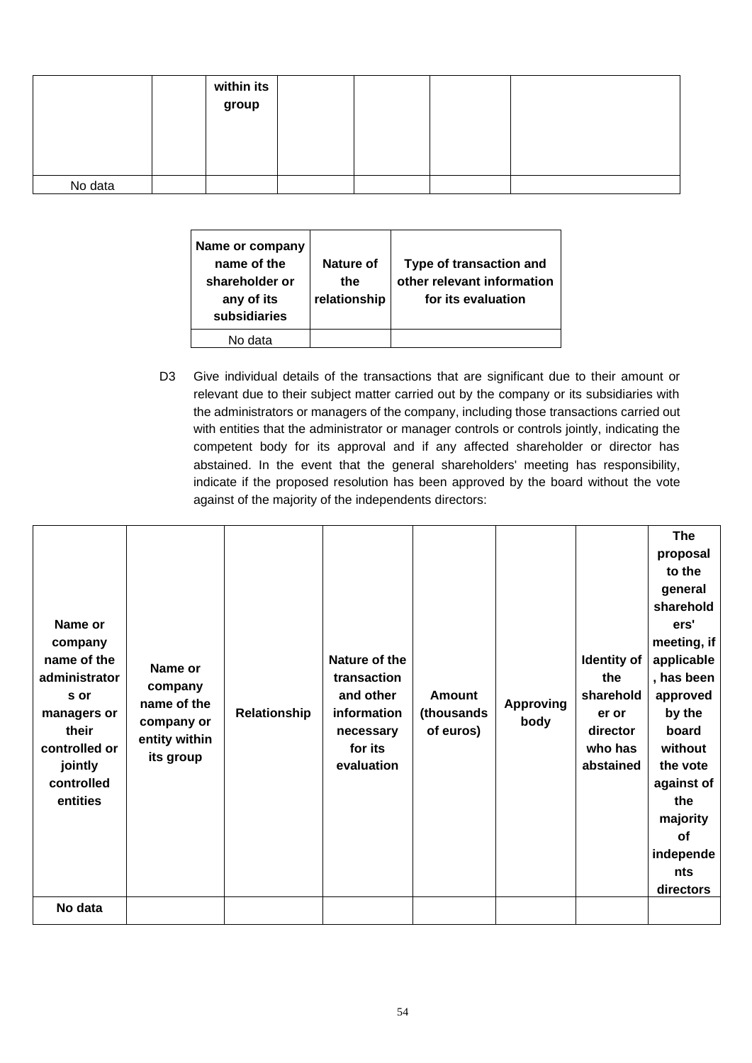|         | within its<br>group |  |  |
|---------|---------------------|--|--|
|         |                     |  |  |
| No data |                     |  |  |

| Name or company<br>name of the<br>shareholder or<br>any of its<br>subsidiaries | Nature of<br>the<br>relationship | Type of transaction and<br>other relevant information<br>for its evaluation |
|--------------------------------------------------------------------------------|----------------------------------|-----------------------------------------------------------------------------|
| No data                                                                        |                                  |                                                                             |

D3 Give individual details of the transactions that are significant due to their amount or relevant due to their subject matter carried out by the company or its subsidiaries with the administrators or managers of the company, including those transactions carried out with entities that the administrator or manager controls or controls jointly, indicating the competent body for its approval and if any affected shareholder or director has abstained. In the event that the general shareholders' meeting has responsibility, indicate if the proposed resolution has been approved by the board without the vote against of the majority of the independents directors:

| Name or<br>company<br>name of the<br>administrator<br>s or<br>managers or<br>their<br>controlled or<br>jointly<br>controlled<br>entities | Name or<br>company<br>name of the<br>company or<br>entity within<br>its group | Relationship | Nature of the<br>transaction<br>and other<br>information<br>necessary<br>for its<br>evaluation | <b>Amount</b><br>(thousands<br>of euros) | <b>Approving</b><br>body | Identity of<br>the<br>sharehold<br>er or<br>director<br>who has<br>abstained | <b>The</b><br>proposal<br>to the<br>general<br>sharehold<br>ers'<br>meeting, if<br>applicable<br>, has been<br>approved<br>by the<br>board<br>without<br>the vote<br>against of<br>the<br>majority<br><b>of</b><br>independe<br>nts<br>directors |
|------------------------------------------------------------------------------------------------------------------------------------------|-------------------------------------------------------------------------------|--------------|------------------------------------------------------------------------------------------------|------------------------------------------|--------------------------|------------------------------------------------------------------------------|--------------------------------------------------------------------------------------------------------------------------------------------------------------------------------------------------------------------------------------------------|
| No data                                                                                                                                  |                                                                               |              |                                                                                                |                                          |                          |                                                                              |                                                                                                                                                                                                                                                  |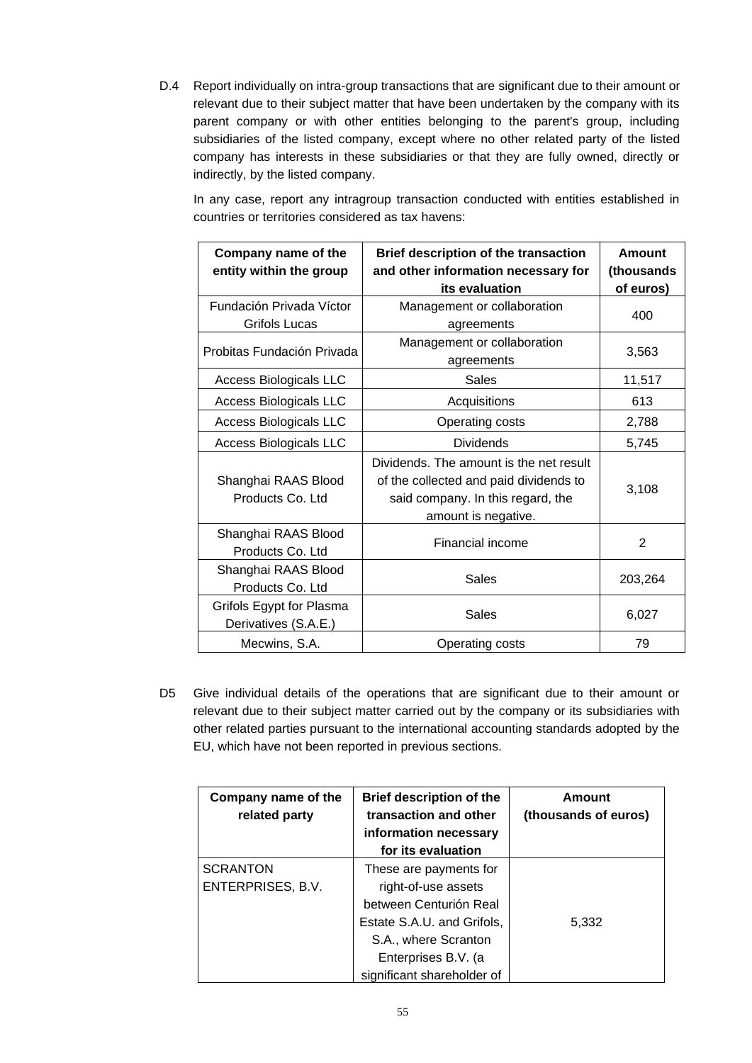D.4 Report individually on intra-group transactions that are significant due to their amount or relevant due to their subject matter that have been undertaken by the company with its parent company or with other entities belonging to the parent's group, including subsidiaries of the listed company, except where no other related party of the listed company has interests in these subsidiaries or that they are fully owned, directly or indirectly, by the listed company.

In any case, report any intragroup transaction conducted with entities established in countries or territories considered as tax havens:

| Company name of the<br>entity within the group   | Brief description of the transaction<br>and other information necessary for<br>its evaluation                                                 | Amount<br>(thousands<br>of euros) |
|--------------------------------------------------|-----------------------------------------------------------------------------------------------------------------------------------------------|-----------------------------------|
| Fundación Privada Víctor<br>Grifols Lucas        | Management or collaboration<br>agreements                                                                                                     | 400                               |
| Probitas Fundación Privada                       | Management or collaboration<br>agreements                                                                                                     | 3,563                             |
| <b>Access Biologicals LLC</b>                    | Sales                                                                                                                                         | 11,517                            |
| <b>Access Biologicals LLC</b>                    | Acquisitions                                                                                                                                  | 613                               |
| <b>Access Biologicals LLC</b>                    | Operating costs                                                                                                                               | 2,788                             |
| <b>Access Biologicals LLC</b>                    | <b>Dividends</b>                                                                                                                              | 5,745                             |
| Shanghai RAAS Blood<br>Products Co. Ltd          | Dividends. The amount is the net result<br>of the collected and paid dividends to<br>said company. In this regard, the<br>amount is negative. | 3,108                             |
| Shanghai RAAS Blood<br>Products Co. Ltd          | Financial income                                                                                                                              | $\overline{2}$                    |
| Shanghai RAAS Blood<br>Products Co. Ltd          | Sales                                                                                                                                         | 203,264                           |
| Grifols Egypt for Plasma<br>Derivatives (S.A.E.) | Sales                                                                                                                                         | 6,027                             |
| Mecwins, S.A.                                    | Operating costs                                                                                                                               | 79                                |

D5 Give individual details of the operations that are significant due to their amount or relevant due to their subject matter carried out by the company or its subsidiaries with other related parties pursuant to the international accounting standards adopted by the EU, which have not been reported in previous sections.

| Company name of the<br>related party | <b>Brief description of the</b><br>transaction and other<br>information necessary<br>for its evaluation                                                                            | Amount<br>(thousands of euros) |
|--------------------------------------|------------------------------------------------------------------------------------------------------------------------------------------------------------------------------------|--------------------------------|
| <b>SCRANTON</b><br>ENTERPRISES, B.V. | These are payments for<br>right-of-use assets<br>between Centurión Real<br>Estate S.A.U. and Grifols,<br>S.A., where Scranton<br>Enterprises B.V. (a<br>significant shareholder of | 5,332                          |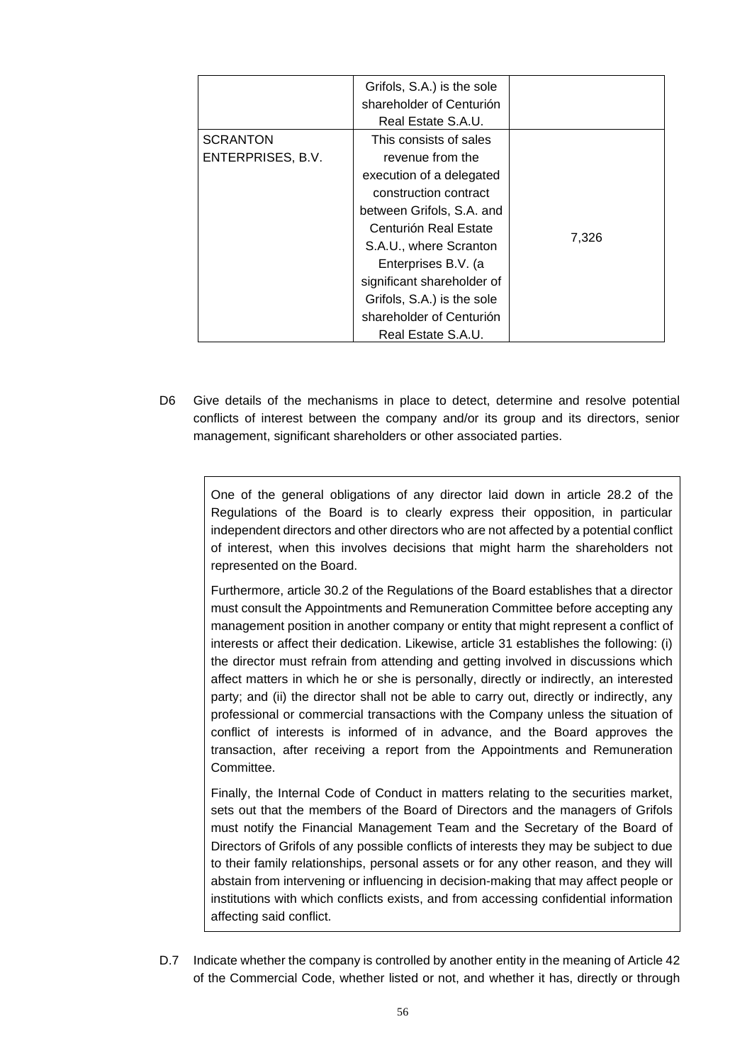|                                      | Grifols, S.A.) is the sole<br>shareholder of Centurión<br>Real Estate S.A.U. |       |
|--------------------------------------|------------------------------------------------------------------------------|-------|
| <b>SCRANTON</b><br>ENTERPRISES, B.V. | This consists of sales<br>revenue from the                                   |       |
|                                      | execution of a delegated<br>construction contract                            |       |
|                                      | between Grifols, S.A. and<br>Centurión Real Estate                           | 7,326 |
|                                      | S.A.U., where Scranton<br>Enterprises B.V. (a                                |       |
|                                      | significant shareholder of<br>Grifols, S.A.) is the sole                     |       |
|                                      | shareholder of Centurión<br>Real Estate S.A.U.                               |       |

D6 Give details of the mechanisms in place to detect, determine and resolve potential conflicts of interest between the company and/or its group and its directors, senior management, significant shareholders or other associated parties.

> One of the general obligations of any director laid down in article 28.2 of the Regulations of the Board is to clearly express their opposition, in particular independent directors and other directors who are not affected by a potential conflict of interest, when this involves decisions that might harm the shareholders not represented on the Board.

> Furthermore, article 30.2 of the Regulations of the Board establishes that a director must consult the Appointments and Remuneration Committee before accepting any management position in another company or entity that might represent a conflict of interests or affect their dedication. Likewise, article 31 establishes the following: (i) the director must refrain from attending and getting involved in discussions which affect matters in which he or she is personally, directly or indirectly, an interested party; and (ii) the director shall not be able to carry out, directly or indirectly, any professional or commercial transactions with the Company unless the situation of conflict of interests is informed of in advance, and the Board approves the transaction, after receiving a report from the Appointments and Remuneration Committee.

> Finally, the Internal Code of Conduct in matters relating to the securities market, sets out that the members of the Board of Directors and the managers of Grifols must notify the Financial Management Team and the Secretary of the Board of Directors of Grifols of any possible conflicts of interests they may be subject to due to their family relationships, personal assets or for any other reason, and they will abstain from intervening or influencing in decision-making that may affect people or institutions with which conflicts exists, and from accessing confidential information affecting said conflict.

D.7 Indicate whether the company is controlled by another entity in the meaning of Article 42 of the Commercial Code, whether listed or not, and whether it has, directly or through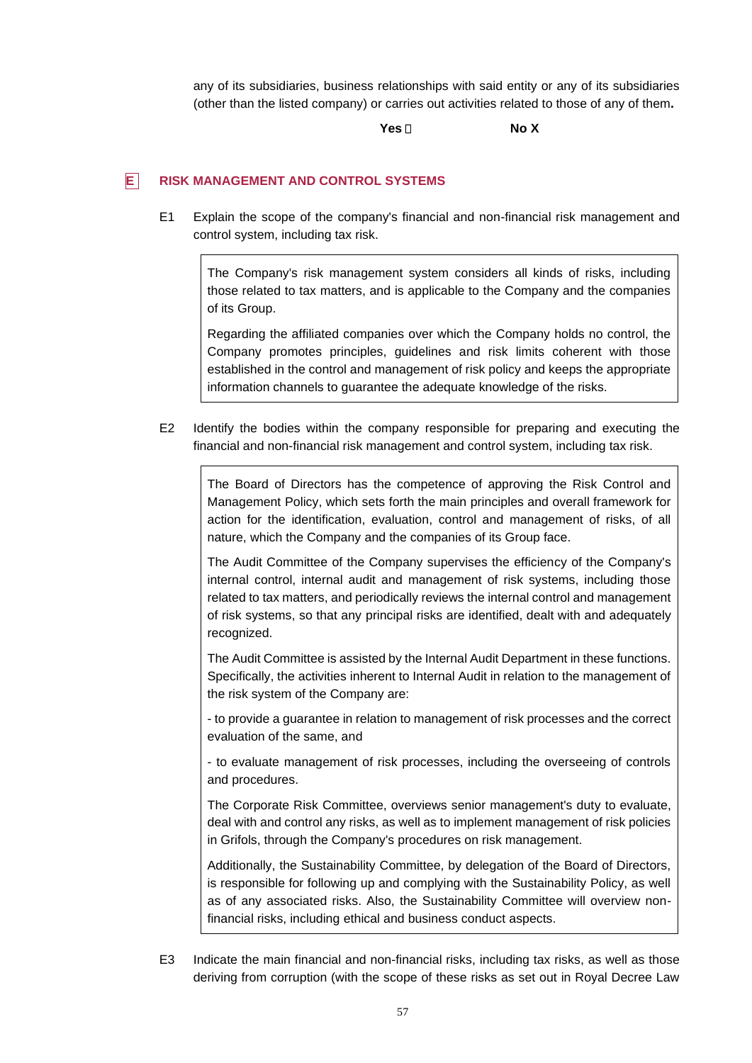any of its subsidiaries, business relationships with said entity or any of its subsidiaries (other than the listed company) or carries out activities related to those of any of them**.**

**Yes No X**

# **E RISK MANAGEMENT AND CONTROL SYSTEMS**

E1 Explain the scope of the company's financial and non-financial risk management and control system, including tax risk.

The Company's risk management system considers all kinds of risks, including those related to tax matters, and is applicable to the Company and the companies of its Group.

Regarding the affiliated companies over which the Company holds no control, the Company promotes principles, guidelines and risk limits coherent with those established in the control and management of risk policy and keeps the appropriate information channels to guarantee the adequate knowledge of the risks.

E2 Identify the bodies within the company responsible for preparing and executing the financial and non-financial risk management and control system, including tax risk.

The Board of Directors has the competence of approving the Risk Control and Management Policy, which sets forth the main principles and overall framework for action for the identification, evaluation, control and management of risks, of all nature, which the Company and the companies of its Group face.

The Audit Committee of the Company supervises the efficiency of the Company's internal control, internal audit and management of risk systems, including those related to tax matters, and periodically reviews the internal control and management of risk systems, so that any principal risks are identified, dealt with and adequately recognized.

The Audit Committee is assisted by the Internal Audit Department in these functions. Specifically, the activities inherent to Internal Audit in relation to the management of the risk system of the Company are:

- to provide a guarantee in relation to management of risk processes and the correct evaluation of the same, and

- to evaluate management of risk processes, including the overseeing of controls and procedures.

The Corporate Risk Committee, overviews senior management's duty to evaluate, deal with and control any risks, as well as to implement management of risk policies in Grifols, through the Company's procedures on risk management.

Additionally, the Sustainability Committee, by delegation of the Board of Directors, is responsible for following up and complying with the Sustainability Policy, as well as of any associated risks. Also, the Sustainability Committee will overview nonfinancial risks, including ethical and business conduct aspects.

E3 Indicate the main financial and non-financial risks, including tax risks, as well as those deriving from corruption (with the scope of these risks as set out in Royal Decree Law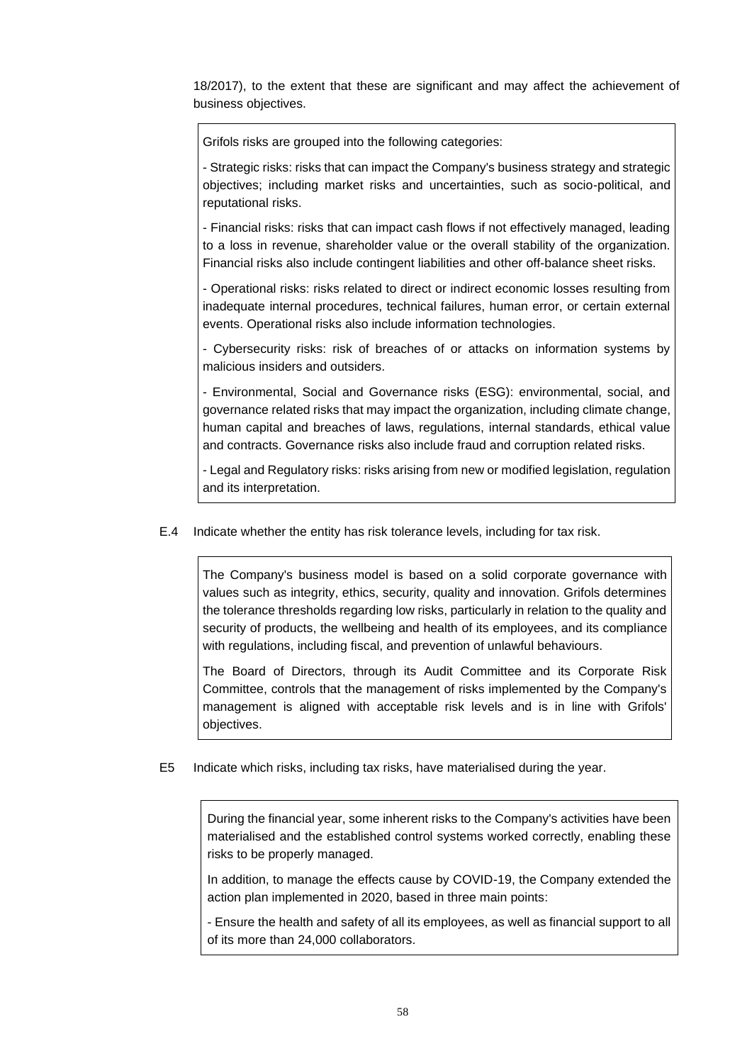18/2017), to the extent that these are significant and may affect the achievement of business objectives.

Grifols risks are grouped into the following categories:

- Strategic risks: risks that can impact the Company's business strategy and strategic objectives; including market risks and uncertainties, such as socio-political, and reputational risks.

- Financial risks: risks that can impact cash flows if not effectively managed, leading to a loss in revenue, shareholder value or the overall stability of the organization. Financial risks also include contingent liabilities and other off-balance sheet risks.

- Operational risks: risks related to direct or indirect economic losses resulting from inadequate internal procedures, technical failures, human error, or certain external events. Operational risks also include information technologies.

- Cybersecurity risks: risk of breaches of or attacks on information systems by malicious insiders and outsiders.

- Environmental, Social and Governance risks (ESG): environmental, social, and governance related risks that may impact the organization, including climate change, human capital and breaches of laws, regulations, internal standards, ethical value and contracts. Governance risks also include fraud and corruption related risks.

- Legal and Regulatory risks: risks arising from new or modified legislation, regulation and its interpretation.

E.4 Indicate whether the entity has risk tolerance levels, including for tax risk.

The Company's business model is based on a solid corporate governance with values such as integrity, ethics, security, quality and innovation. Grifols determines the tolerance thresholds regarding low risks, particularly in relation to the quality and security of products, the wellbeing and health of its employees, and its compliance with regulations, including fiscal, and prevention of unlawful behaviours.

The Board of Directors, through its Audit Committee and its Corporate Risk Committee, controls that the management of risks implemented by the Company's management is aligned with acceptable risk levels and is in line with Grifols' objectives.

E5 Indicate which risks, including tax risks, have materialised during the year.

During the financial year, some inherent risks to the Company's activities have been materialised and the established control systems worked correctly, enabling these risks to be properly managed.

In addition, to manage the effects cause by COVID-19, the Company extended the action plan implemented in 2020, based in three main points:

- Ensure the health and safety of all its employees, as well as financial support to all of its more than 24,000 collaborators.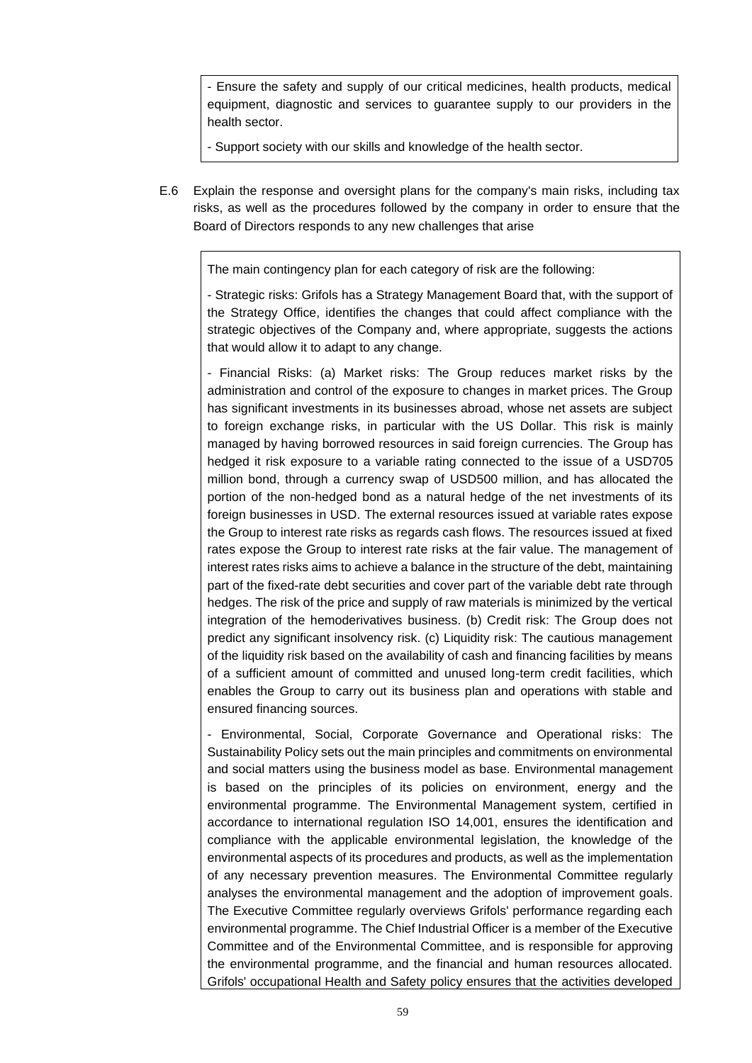- Ensure the safety and supply of our critical medicines, health products, medical equipment, diagnostic and services to guarantee supply to our providers in the health sector.

- Support society with our skills and knowledge of the health sector.

E.6 Explain the response and oversight plans for the company's main risks, including tax risks, as well as the procedures followed by the company in order to ensure that the Board of Directors responds to any new challenges that arise

The main contingency plan for each category of risk are the following:

- Strategic risks: Grifols has a Strategy Management Board that, with the support of the Strategy Office, identifies the changes that could affect compliance with the strategic objectives of the Company and, where appropriate, suggests the actions that would allow it to adapt to any change.

- Financial Risks: (a) Market risks: The Group reduces market risks by the administration and control of the exposure to changes in market prices. The Group has significant investments in its businesses abroad, whose net assets are subject to foreign exchange risks, in particular with the US Dollar. This risk is mainly managed by having borrowed resources in said foreign currencies. The Group has hedged it risk exposure to a variable rating connected to the issue of a USD705 million bond, through a currency swap of USD500 million, and has allocated the portion of the non-hedged bond as a natural hedge of the net investments of its foreign businesses in USD. The external resources issued at variable rates expose the Group to interest rate risks as regards cash flows. The resources issued at fixed rates expose the Group to interest rate risks at the fair value. The management of interest rates risks aims to achieve a balance in the structure of the debt, maintaining part of the fixed-rate debt securities and cover part of the variable debt rate through hedges. The risk of the price and supply of raw materials is minimized by the vertical integration of the hemoderivatives business. (b) Credit risk: The Group does not predict any significant insolvency risk. (c) Liquidity risk: The cautious management of the liquidity risk based on the availability of cash and financing facilities by means of a sufficient amount of committed and unused long-term credit facilities, which enables the Group to carry out its business plan and operations with stable and ensured financing sources.

- Environmental, Social, Corporate Governance and Operational risks: The Sustainability Policy sets out the main principles and commitments on environmental and social matters using the business model as base. Environmental management is based on the principles of its policies on environment, energy and the environmental programme. The Environmental Management system, certified in accordance to international regulation ISO 14,001, ensures the identification and compliance with the applicable environmental legislation, the knowledge of the environmental aspects of its procedures and products, as well as the implementation of any necessary prevention measures. The Environmental Committee regularly analyses the environmental management and the adoption of improvement goals. The Executive Committee regularly overviews Grifols' performance regarding each environmental programme. The Chief Industrial Officer is a member of the Executive Committee and of the Environmental Committee, and is responsible for approving the environmental programme, and the financial and human resources allocated. Grifols' occupational Health and Safety policy ensures that the activities developed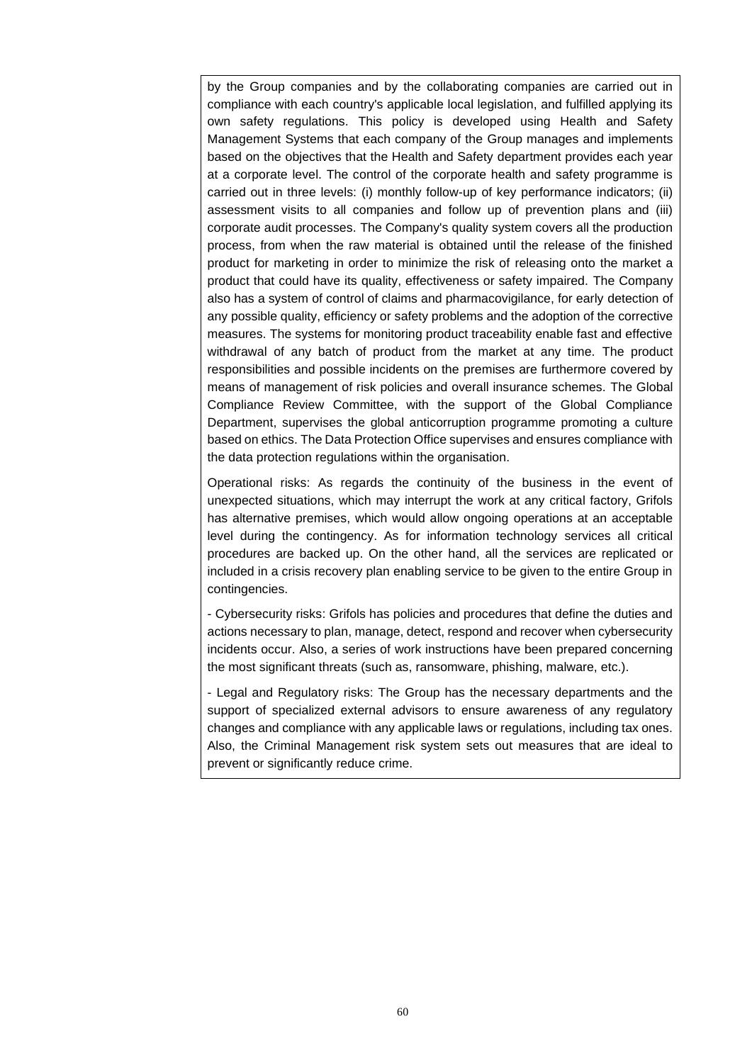by the Group companies and by the collaborating companies are carried out in compliance with each country's applicable local legislation, and fulfilled applying its own safety regulations. This policy is developed using Health and Safety Management Systems that each company of the Group manages and implements based on the objectives that the Health and Safety department provides each year at a corporate level. The control of the corporate health and safety programme is carried out in three levels: (i) monthly follow-up of key performance indicators; (ii) assessment visits to all companies and follow up of prevention plans and (iii) corporate audit processes. The Company's quality system covers all the production process, from when the raw material is obtained until the release of the finished product for marketing in order to minimize the risk of releasing onto the market a product that could have its quality, effectiveness or safety impaired. The Company also has a system of control of claims and pharmacovigilance, for early detection of any possible quality, efficiency or safety problems and the adoption of the corrective measures. The systems for monitoring product traceability enable fast and effective withdrawal of any batch of product from the market at any time. The product responsibilities and possible incidents on the premises are furthermore covered by means of management of risk policies and overall insurance schemes. The Global Compliance Review Committee, with the support of the Global Compliance Department, supervises the global anticorruption programme promoting a culture based on ethics. The Data Protection Office supervises and ensures compliance with the data protection regulations within the organisation.

Operational risks: As regards the continuity of the business in the event of unexpected situations, which may interrupt the work at any critical factory, Grifols has alternative premises, which would allow ongoing operations at an acceptable level during the contingency. As for information technology services all critical procedures are backed up. On the other hand, all the services are replicated or included in a crisis recovery plan enabling service to be given to the entire Group in contingencies.

- Cybersecurity risks: Grifols has policies and procedures that define the duties and actions necessary to plan, manage, detect, respond and recover when cybersecurity incidents occur. Also, a series of work instructions have been prepared concerning the most significant threats (such as, ransomware, phishing, malware, etc.).

- Legal and Regulatory risks: The Group has the necessary departments and the support of specialized external advisors to ensure awareness of any regulatory changes and compliance with any applicable laws or regulations, including tax ones. Also, the Criminal Management risk system sets out measures that are ideal to prevent or significantly reduce crime.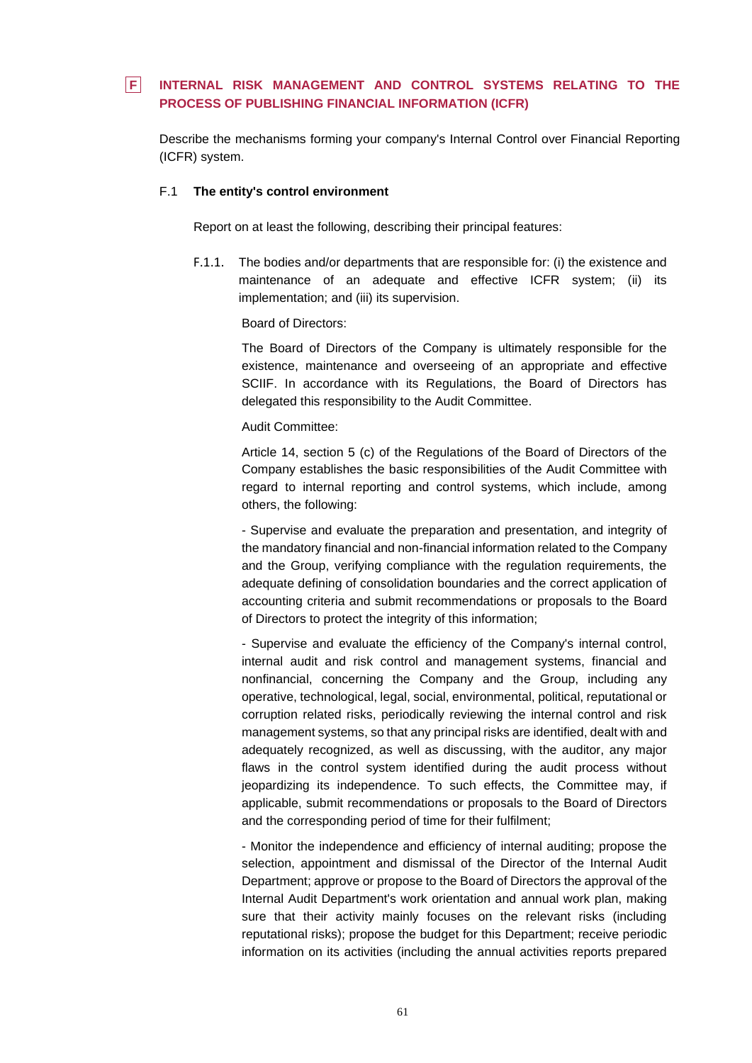# **F INTERNAL RISK MANAGEMENT AND CONTROL SYSTEMS RELATING TO THE PROCESS OF PUBLISHING FINANCIAL INFORMATION (ICFR)**

Describe the mechanisms forming your company's Internal Control over Financial Reporting (ICFR) system.

## F.1 **The entity's control environment**

Report on at least the following, describing their principal features:

F.1.1. The bodies and/or departments that are responsible for: (i) the existence and maintenance of an adequate and effective ICFR system; (ii) its implementation; and (iii) its supervision.

Board of Directors:

The Board of Directors of the Company is ultimately responsible for the existence, maintenance and overseeing of an appropriate and effective SCIIF. In accordance with its Regulations, the Board of Directors has delegated this responsibility to the Audit Committee.

Audit Committee:

Article 14, section 5 (c) of the Regulations of the Board of Directors of the Company establishes the basic responsibilities of the Audit Committee with regard to internal reporting and control systems, which include, among others, the following:

- Supervise and evaluate the preparation and presentation, and integrity of the mandatory financial and non-financial information related to the Company and the Group, verifying compliance with the regulation requirements, the adequate defining of consolidation boundaries and the correct application of accounting criteria and submit recommendations or proposals to the Board of Directors to protect the integrity of this information;

- Supervise and evaluate the efficiency of the Company's internal control, internal audit and risk control and management systems, financial and nonfinancial, concerning the Company and the Group, including any operative, technological, legal, social, environmental, political, reputational or corruption related risks, periodically reviewing the internal control and risk management systems, so that any principal risks are identified, dealt with and adequately recognized, as well as discussing, with the auditor, any major flaws in the control system identified during the audit process without jeopardizing its independence. To such effects, the Committee may, if applicable, submit recommendations or proposals to the Board of Directors and the corresponding period of time for their fulfilment;

- Monitor the independence and efficiency of internal auditing; propose the selection, appointment and dismissal of the Director of the Internal Audit Department; approve or propose to the Board of Directors the approval of the Internal Audit Department's work orientation and annual work plan, making sure that their activity mainly focuses on the relevant risks (including reputational risks); propose the budget for this Department; receive periodic information on its activities (including the annual activities reports prepared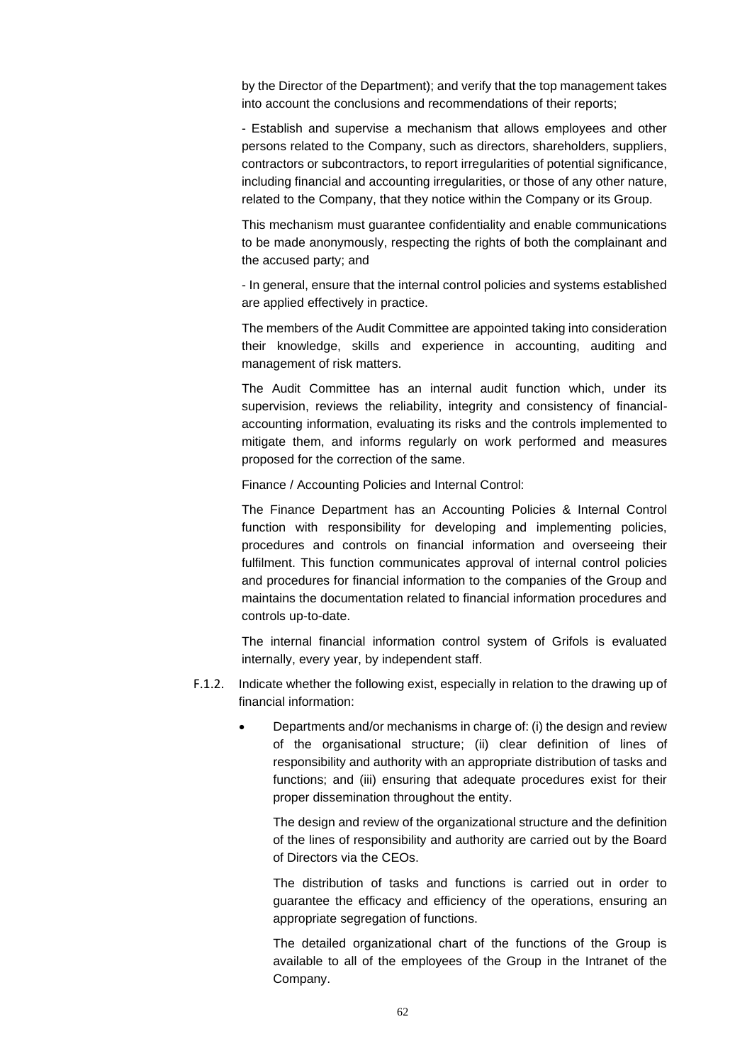by the Director of the Department); and verify that the top management takes into account the conclusions and recommendations of their reports;

- Establish and supervise a mechanism that allows employees and other persons related to the Company, such as directors, shareholders, suppliers, contractors or subcontractors, to report irregularities of potential significance, including financial and accounting irregularities, or those of any other nature, related to the Company, that they notice within the Company or its Group.

This mechanism must guarantee confidentiality and enable communications to be made anonymously, respecting the rights of both the complainant and the accused party; and

- In general, ensure that the internal control policies and systems established are applied effectively in practice.

The members of the Audit Committee are appointed taking into consideration their knowledge, skills and experience in accounting, auditing and management of risk matters.

The Audit Committee has an internal audit function which, under its supervision, reviews the reliability, integrity and consistency of financialaccounting information, evaluating its risks and the controls implemented to mitigate them, and informs regularly on work performed and measures proposed for the correction of the same.

Finance / Accounting Policies and Internal Control:

The Finance Department has an Accounting Policies & Internal Control function with responsibility for developing and implementing policies, procedures and controls on financial information and overseeing their fulfilment. This function communicates approval of internal control policies and procedures for financial information to the companies of the Group and maintains the documentation related to financial information procedures and controls up-to-date.

The internal financial information control system of Grifols is evaluated internally, every year, by independent staff.

- F.1.2. Indicate whether the following exist, especially in relation to the drawing up of financial information:
	- Departments and/or mechanisms in charge of: (i) the design and review of the organisational structure; (ii) clear definition of lines of responsibility and authority with an appropriate distribution of tasks and functions; and (iii) ensuring that adequate procedures exist for their proper dissemination throughout the entity.

The design and review of the organizational structure and the definition of the lines of responsibility and authority are carried out by the Board of Directors via the CEOs.

The distribution of tasks and functions is carried out in order to guarantee the efficacy and efficiency of the operations, ensuring an appropriate segregation of functions.

The detailed organizational chart of the functions of the Group is available to all of the employees of the Group in the Intranet of the Company.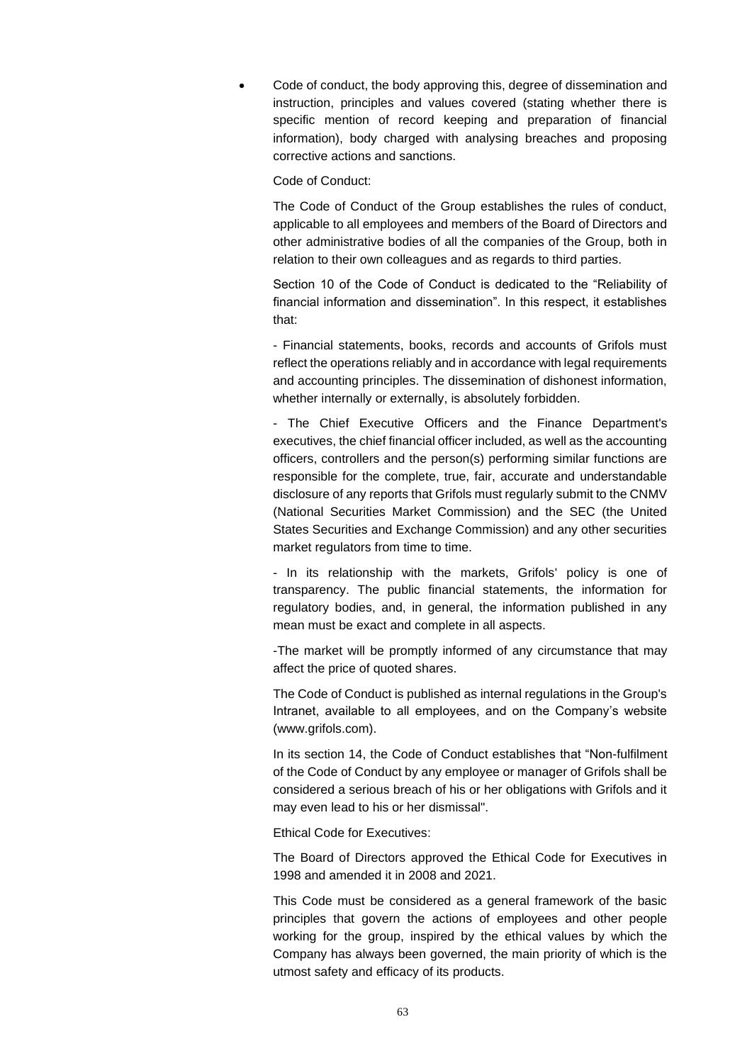• Code of conduct, the body approving this, degree of dissemination and instruction, principles and values covered (stating whether there is specific mention of record keeping and preparation of financial information), body charged with analysing breaches and proposing corrective actions and sanctions.

Code of Conduct:

The Code of Conduct of the Group establishes the rules of conduct, applicable to all employees and members of the Board of Directors and other administrative bodies of all the companies of the Group, both in relation to their own colleagues and as regards to third parties.

Section 10 of the Code of Conduct is dedicated to the "Reliability of financial information and dissemination". In this respect, it establishes that:

- Financial statements, books, records and accounts of Grifols must reflect the operations reliably and in accordance with legal requirements and accounting principles. The dissemination of dishonest information, whether internally or externally, is absolutely forbidden.

- The Chief Executive Officers and the Finance Department's executives, the chief financial officer included, as well as the accounting officers, controllers and the person(s) performing similar functions are responsible for the complete, true, fair, accurate and understandable disclosure of any reports that Grifols must regularly submit to the CNMV (National Securities Market Commission) and the SEC (the United States Securities and Exchange Commission) and any other securities market regulators from time to time.

- In its relationship with the markets, Grifols' policy is one of transparency. The public financial statements, the information for regulatory bodies, and, in general, the information published in any mean must be exact and complete in all aspects.

-The market will be promptly informed of any circumstance that may affect the price of quoted shares.

The Code of Conduct is published as internal regulations in the Group's Intranet, available to all employees, and on the Company's website (www.grifols.com).

In its section 14, the Code of Conduct establishes that "Non-fulfilment of the Code of Conduct by any employee or manager of Grifols shall be considered a serious breach of his or her obligations with Grifols and it may even lead to his or her dismissal".

Ethical Code for Executives:

The Board of Directors approved the Ethical Code for Executives in 1998 and amended it in 2008 and 2021.

This Code must be considered as a general framework of the basic principles that govern the actions of employees and other people working for the group, inspired by the ethical values by which the Company has always been governed, the main priority of which is the utmost safety and efficacy of its products.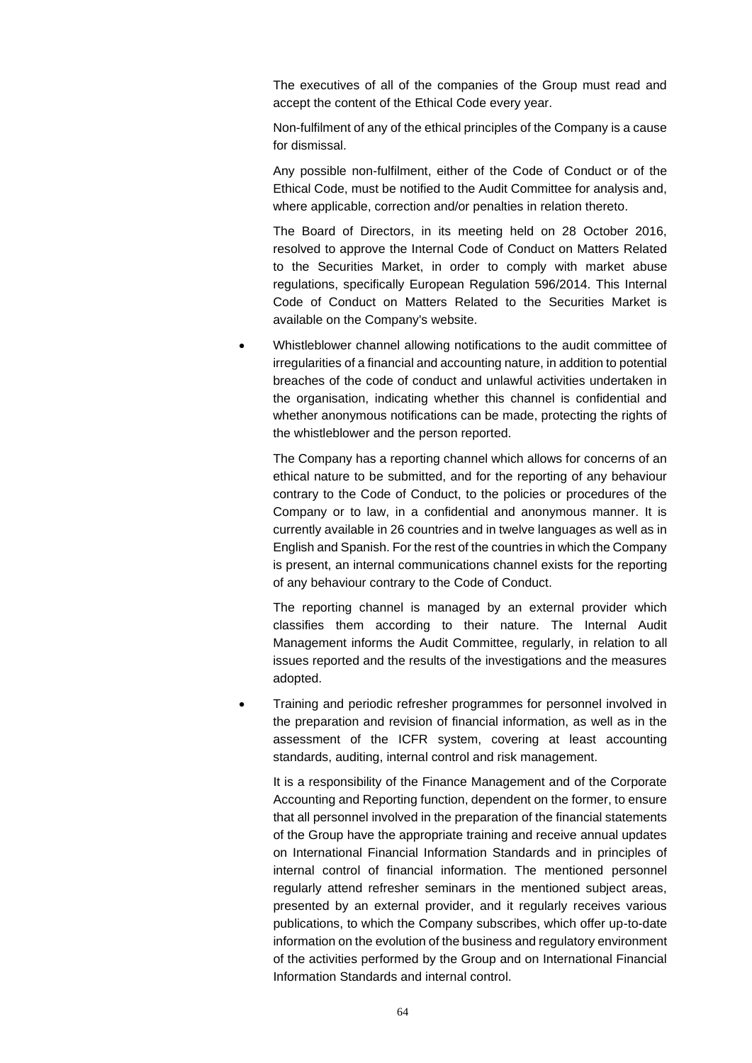The executives of all of the companies of the Group must read and accept the content of the Ethical Code every year.

Non-fulfilment of any of the ethical principles of the Company is a cause for dismissal.

Any possible non-fulfilment, either of the Code of Conduct or of the Ethical Code, must be notified to the Audit Committee for analysis and, where applicable, correction and/or penalties in relation thereto.

The Board of Directors, in its meeting held on 28 October 2016, resolved to approve the Internal Code of Conduct on Matters Related to the Securities Market, in order to comply with market abuse regulations, specifically European Regulation 596/2014. This Internal Code of Conduct on Matters Related to the Securities Market is available on the Company's website.

• Whistleblower channel allowing notifications to the audit committee of irregularities of a financial and accounting nature, in addition to potential breaches of the code of conduct and unlawful activities undertaken in the organisation, indicating whether this channel is confidential and whether anonymous notifications can be made, protecting the rights of the whistleblower and the person reported.

The Company has a reporting channel which allows for concerns of an ethical nature to be submitted, and for the reporting of any behaviour contrary to the Code of Conduct, to the policies or procedures of the Company or to law, in a confidential and anonymous manner. It is currently available in 26 countries and in twelve languages as well as in English and Spanish. For the rest of the countries in which the Company is present, an internal communications channel exists for the reporting of any behaviour contrary to the Code of Conduct.

The reporting channel is managed by an external provider which classifies them according to their nature. The Internal Audit Management informs the Audit Committee, regularly, in relation to all issues reported and the results of the investigations and the measures adopted.

• Training and periodic refresher programmes for personnel involved in the preparation and revision of financial information, as well as in the assessment of the ICFR system, covering at least accounting standards, auditing, internal control and risk management.

It is a responsibility of the Finance Management and of the Corporate Accounting and Reporting function, dependent on the former, to ensure that all personnel involved in the preparation of the financial statements of the Group have the appropriate training and receive annual updates on International Financial Information Standards and in principles of internal control of financial information. The mentioned personnel regularly attend refresher seminars in the mentioned subject areas, presented by an external provider, and it regularly receives various publications, to which the Company subscribes, which offer up-to-date information on the evolution of the business and regulatory environment of the activities performed by the Group and on International Financial Information Standards and internal control.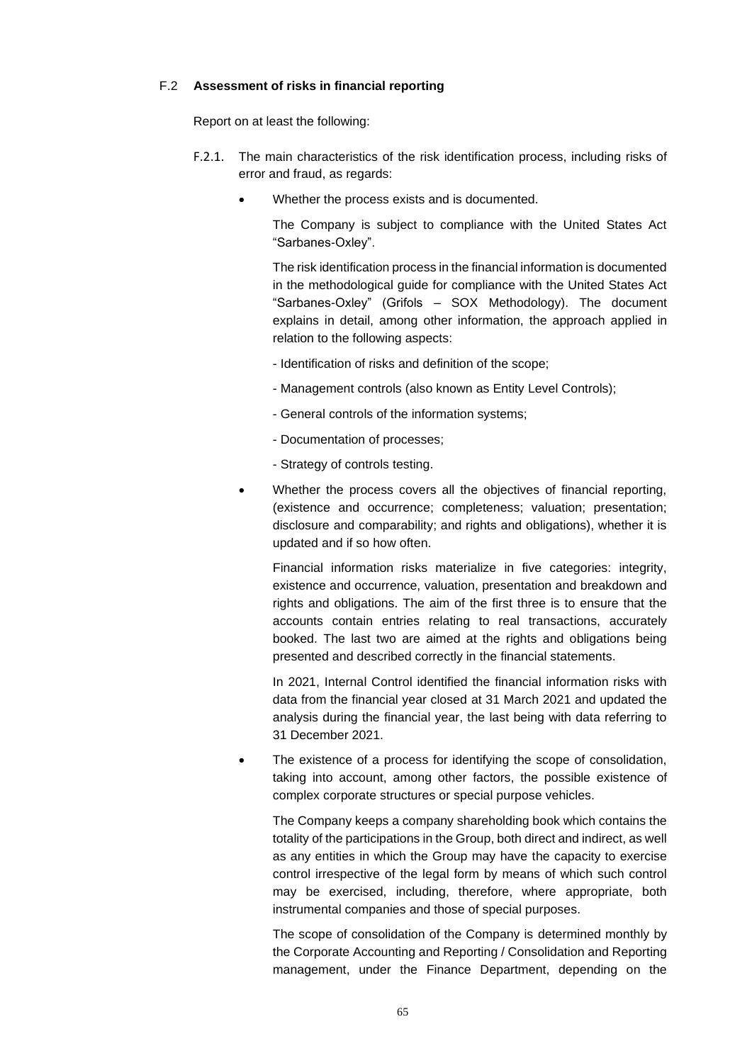## F.2 **Assessment of risks in financial reporting**

Report on at least the following:

- F.2.1. The main characteristics of the risk identification process, including risks of error and fraud, as regards:
	- Whether the process exists and is documented.

The Company is subject to compliance with the United States Act "Sarbanes-Oxley".

The risk identification process in the financial information is documented in the methodological guide for compliance with the United States Act "Sarbanes-Oxley" (Grifols – SOX Methodology). The document explains in detail, among other information, the approach applied in relation to the following aspects:

- Identification of risks and definition of the scope;
- Management controls (also known as Entity Level Controls);
- General controls of the information systems;
- Documentation of processes;
- Strategy of controls testing.
- Whether the process covers all the objectives of financial reporting, (existence and occurrence; completeness; valuation; presentation; disclosure and comparability; and rights and obligations), whether it is updated and if so how often.

Financial information risks materialize in five categories: integrity, existence and occurrence, valuation, presentation and breakdown and rights and obligations. The aim of the first three is to ensure that the accounts contain entries relating to real transactions, accurately booked. The last two are aimed at the rights and obligations being presented and described correctly in the financial statements.

In 2021, Internal Control identified the financial information risks with data from the financial year closed at 31 March 2021 and updated the analysis during the financial year, the last being with data referring to 31 December 2021.

The existence of a process for identifying the scope of consolidation, taking into account, among other factors, the possible existence of complex corporate structures or special purpose vehicles.

The Company keeps a company shareholding book which contains the totality of the participations in the Group, both direct and indirect, as well as any entities in which the Group may have the capacity to exercise control irrespective of the legal form by means of which such control may be exercised, including, therefore, where appropriate, both instrumental companies and those of special purposes.

The scope of consolidation of the Company is determined monthly by the Corporate Accounting and Reporting / Consolidation and Reporting management, under the Finance Department, depending on the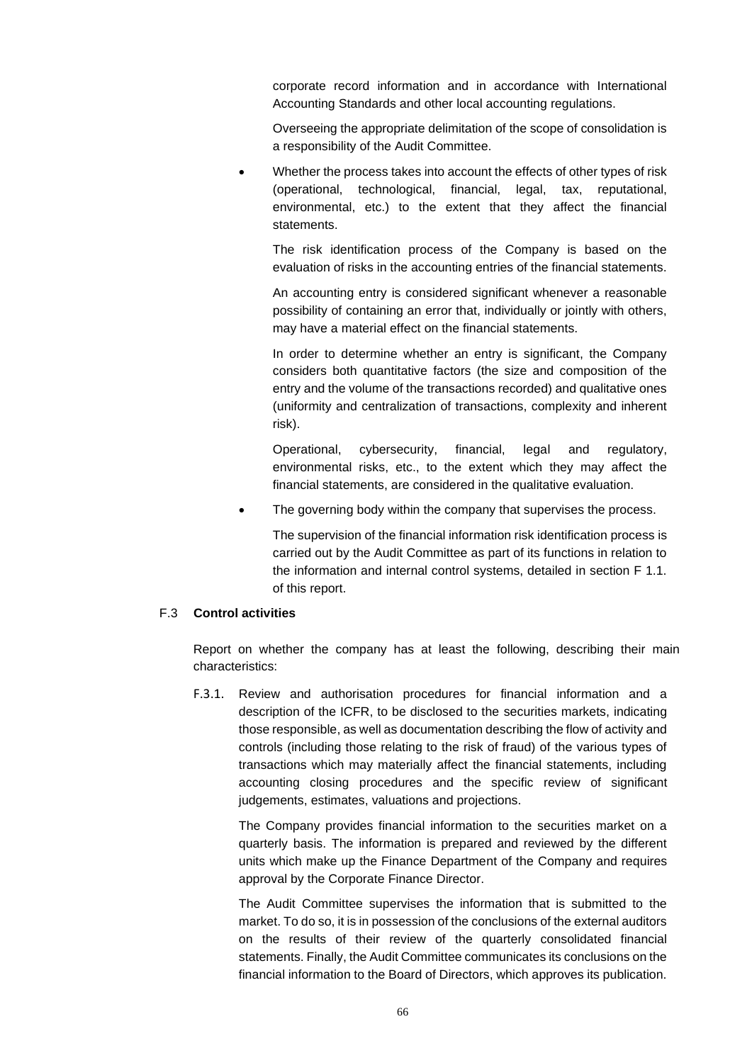corporate record information and in accordance with International Accounting Standards and other local accounting regulations.

Overseeing the appropriate delimitation of the scope of consolidation is a responsibility of the Audit Committee.

Whether the process takes into account the effects of other types of risk (operational, technological, financial, legal, tax, reputational, environmental, etc.) to the extent that they affect the financial statements.

The risk identification process of the Company is based on the evaluation of risks in the accounting entries of the financial statements.

An accounting entry is considered significant whenever a reasonable possibility of containing an error that, individually or jointly with others, may have a material effect on the financial statements.

In order to determine whether an entry is significant, the Company considers both quantitative factors (the size and composition of the entry and the volume of the transactions recorded) and qualitative ones (uniformity and centralization of transactions, complexity and inherent risk).

Operational, cybersecurity, financial, legal and regulatory, environmental risks, etc., to the extent which they may affect the financial statements, are considered in the qualitative evaluation.

The governing body within the company that supervises the process.

The supervision of the financial information risk identification process is carried out by the Audit Committee as part of its functions in relation to the information and internal control systems, detailed in section F 1.1. of this report.

# F.3 **Control activities**

Report on whether the company has at least the following, describing their main characteristics:

F.3.1. Review and authorisation procedures for financial information and a description of the ICFR, to be disclosed to the securities markets, indicating those responsible, as well as documentation describing the flow of activity and controls (including those relating to the risk of fraud) of the various types of transactions which may materially affect the financial statements, including accounting closing procedures and the specific review of significant judgements, estimates, valuations and projections.

The Company provides financial information to the securities market on a quarterly basis. The information is prepared and reviewed by the different units which make up the Finance Department of the Company and requires approval by the Corporate Finance Director.

The Audit Committee supervises the information that is submitted to the market. To do so, it is in possession of the conclusions of the external auditors on the results of their review of the quarterly consolidated financial statements. Finally, the Audit Committee communicates its conclusions on the financial information to the Board of Directors, which approves its publication.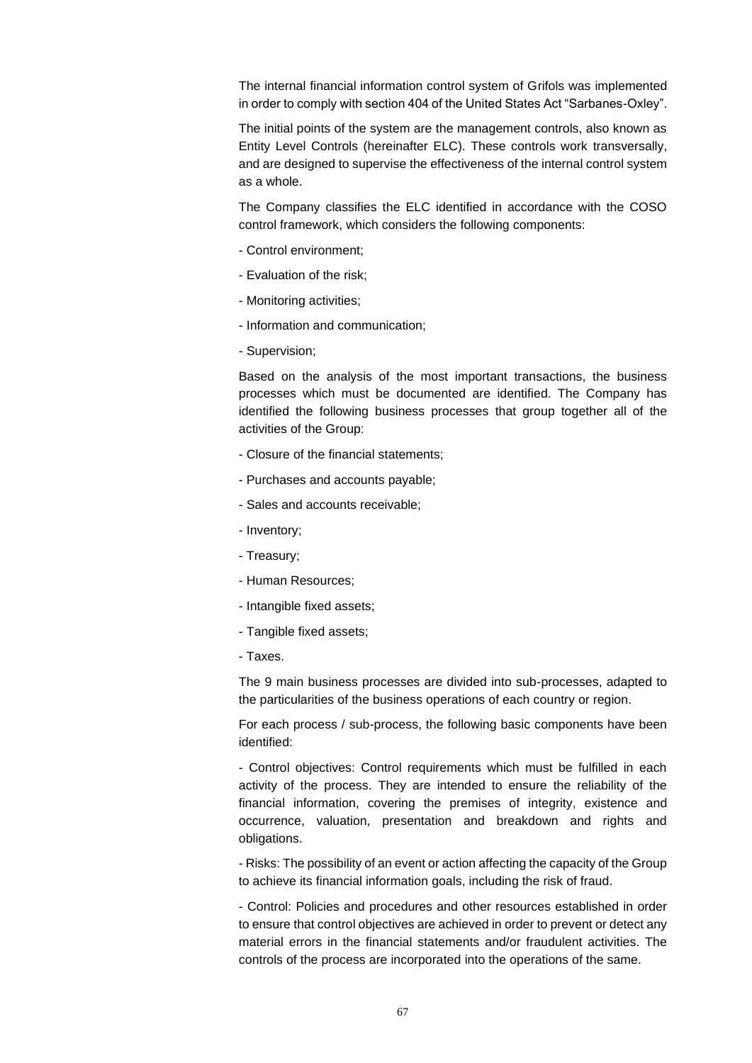The internal financial information control system of Grifols was implemented in order to comply with section 404 of the United States Act "Sarbanes-Oxley".

The initial points of the system are the management controls, also known as Entity Level Controls (hereinafter ELC). These controls work transversally, and are designed to supervise the effectiveness of the internal control system as a whole.

The Company classifies the ELC identified in accordance with the COSO control framework, which considers the following components:

- Control environment;
- Evaluation of the risk;
- Monitoring activities;
- Information and communication;
- Supervision;

Based on the analysis of the most important transactions, the business processes which must be documented are identified. The Company has identified the following business processes that group together all of the activities of the Group:

- Closure of the financial statements;
- Purchases and accounts payable;
- Sales and accounts receivable;
- Inventory;
- Treasury;
- Human Resources;
- Intangible fixed assets;
- Tangible fixed assets;
- Taxes.

The 9 main business processes are divided into sub-processes, adapted to the particularities of the business operations of each country or region.

For each process / sub-process, the following basic components have been identified:

- Control objectives: Control requirements which must be fulfilled in each activity of the process. They are intended to ensure the reliability of the financial information, covering the premises of integrity, existence and occurrence, valuation, presentation and breakdown and rights and obligations.

- Risks: The possibility of an event or action affecting the capacity of the Group to achieve its financial information goals, including the risk of fraud.

- Control: Policies and procedures and other resources established in order to ensure that control objectives are achieved in order to prevent or detect any material errors in the financial statements and/or fraudulent activities. The controls of the process are incorporated into the operations of the same.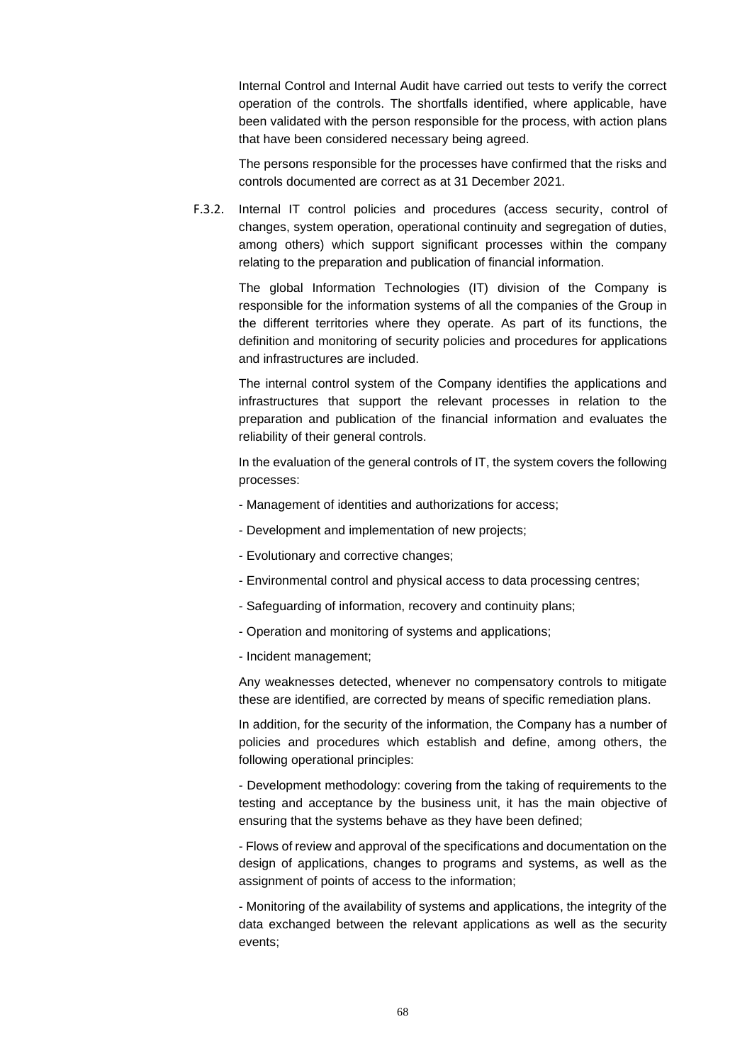Internal Control and Internal Audit have carried out tests to verify the correct operation of the controls. The shortfalls identified, where applicable, have been validated with the person responsible for the process, with action plans that have been considered necessary being agreed.

The persons responsible for the processes have confirmed that the risks and controls documented are correct as at 31 December 2021.

F.3.2. Internal IT control policies and procedures (access security, control of changes, system operation, operational continuity and segregation of duties, among others) which support significant processes within the company relating to the preparation and publication of financial information.

The global Information Technologies (IT) division of the Company is responsible for the information systems of all the companies of the Group in the different territories where they operate. As part of its functions, the definition and monitoring of security policies and procedures for applications and infrastructures are included.

The internal control system of the Company identifies the applications and infrastructures that support the relevant processes in relation to the preparation and publication of the financial information and evaluates the reliability of their general controls.

In the evaluation of the general controls of IT, the system covers the following processes:

- Management of identities and authorizations for access;
- Development and implementation of new projects;
- Evolutionary and corrective changes;
- Environmental control and physical access to data processing centres;
- Safeguarding of information, recovery and continuity plans;
- Operation and monitoring of systems and applications;
- Incident management;

Any weaknesses detected, whenever no compensatory controls to mitigate these are identified, are corrected by means of specific remediation plans.

In addition, for the security of the information, the Company has a number of policies and procedures which establish and define, among others, the following operational principles:

- Development methodology: covering from the taking of requirements to the testing and acceptance by the business unit, it has the main objective of ensuring that the systems behave as they have been defined;

- Flows of review and approval of the specifications and documentation on the design of applications, changes to programs and systems, as well as the assignment of points of access to the information;

- Monitoring of the availability of systems and applications, the integrity of the data exchanged between the relevant applications as well as the security events;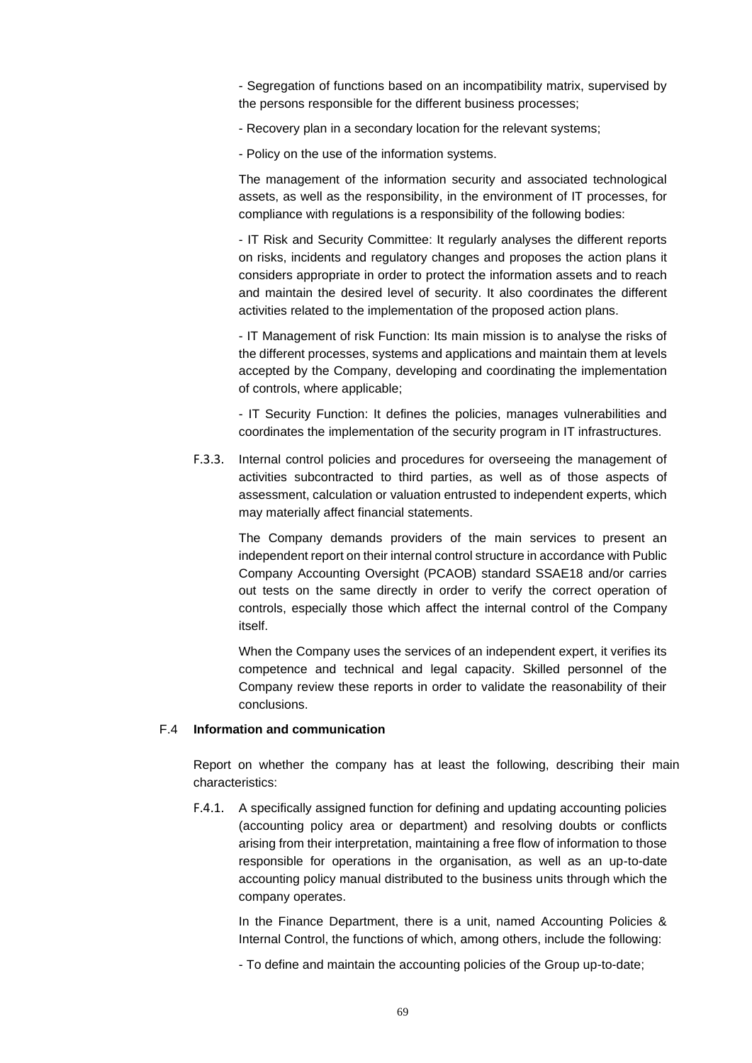- Segregation of functions based on an incompatibility matrix, supervised by the persons responsible for the different business processes;

- Recovery plan in a secondary location for the relevant systems;

- Policy on the use of the information systems.

The management of the information security and associated technological assets, as well as the responsibility, in the environment of IT processes, for compliance with regulations is a responsibility of the following bodies:

- IT Risk and Security Committee: It regularly analyses the different reports on risks, incidents and regulatory changes and proposes the action plans it considers appropriate in order to protect the information assets and to reach and maintain the desired level of security. It also coordinates the different activities related to the implementation of the proposed action plans.

- IT Management of risk Function: Its main mission is to analyse the risks of the different processes, systems and applications and maintain them at levels accepted by the Company, developing and coordinating the implementation of controls, where applicable;

- IT Security Function: It defines the policies, manages vulnerabilities and coordinates the implementation of the security program in IT infrastructures.

F.3.3. Internal control policies and procedures for overseeing the management of activities subcontracted to third parties, as well as of those aspects of assessment, calculation or valuation entrusted to independent experts, which may materially affect financial statements.

The Company demands providers of the main services to present an independent report on their internal control structure in accordance with Public Company Accounting Oversight (PCAOB) standard SSAE18 and/or carries out tests on the same directly in order to verify the correct operation of controls, especially those which affect the internal control of the Company itself.

When the Company uses the services of an independent expert, it verifies its competence and technical and legal capacity. Skilled personnel of the Company review these reports in order to validate the reasonability of their conclusions.

## F.4 **Information and communication**

Report on whether the company has at least the following, describing their main characteristics:

F.4.1. A specifically assigned function for defining and updating accounting policies (accounting policy area or department) and resolving doubts or conflicts arising from their interpretation, maintaining a free flow of information to those responsible for operations in the organisation, as well as an up-to-date accounting policy manual distributed to the business units through which the company operates.

In the Finance Department, there is a unit, named Accounting Policies & Internal Control, the functions of which, among others, include the following:

- To define and maintain the accounting policies of the Group up-to-date;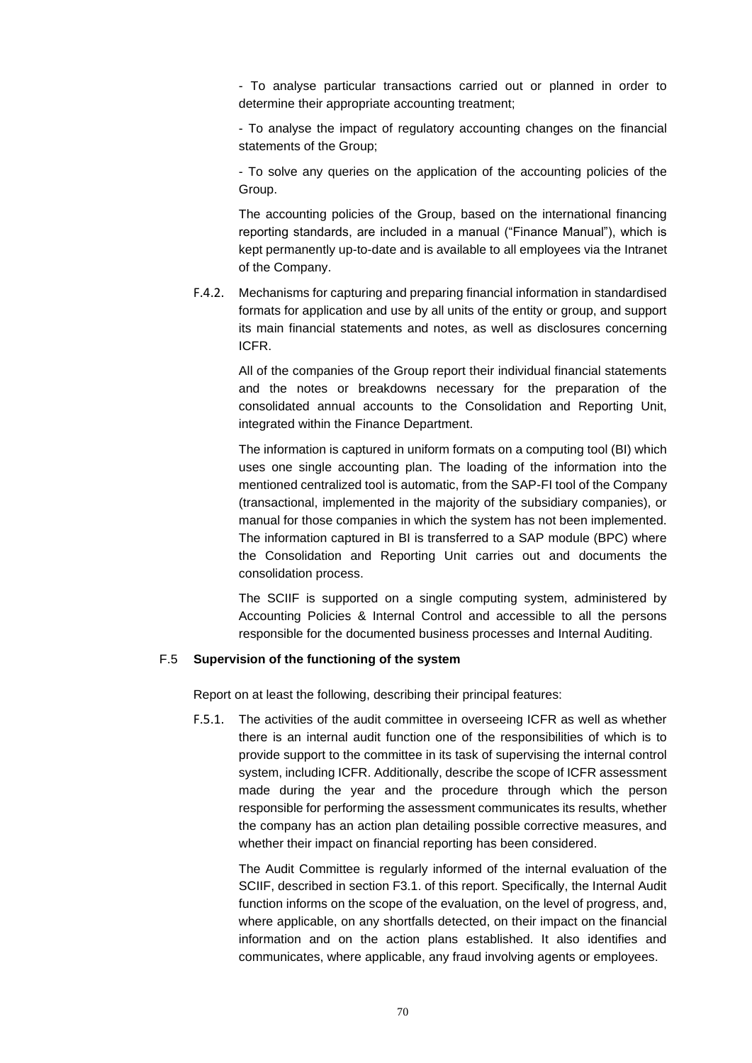- To analyse particular transactions carried out or planned in order to determine their appropriate accounting treatment;

- To analyse the impact of regulatory accounting changes on the financial statements of the Group;

- To solve any queries on the application of the accounting policies of the Group.

The accounting policies of the Group, based on the international financing reporting standards, are included in a manual ("Finance Manual"), which is kept permanently up-to-date and is available to all employees via the Intranet of the Company.

F.4.2. Mechanisms for capturing and preparing financial information in standardised formats for application and use by all units of the entity or group, and support its main financial statements and notes, as well as disclosures concerning ICFR.

All of the companies of the Group report their individual financial statements and the notes or breakdowns necessary for the preparation of the consolidated annual accounts to the Consolidation and Reporting Unit, integrated within the Finance Department.

The information is captured in uniform formats on a computing tool (BI) which uses one single accounting plan. The loading of the information into the mentioned centralized tool is automatic, from the SAP-FI tool of the Company (transactional, implemented in the majority of the subsidiary companies), or manual for those companies in which the system has not been implemented. The information captured in BI is transferred to a SAP module (BPC) where the Consolidation and Reporting Unit carries out and documents the consolidation process.

The SCIIF is supported on a single computing system, administered by Accounting Policies & Internal Control and accessible to all the persons responsible for the documented business processes and Internal Auditing.

# F.5 **Supervision of the functioning of the system**

Report on at least the following, describing their principal features:

F.5.1. The activities of the audit committee in overseeing ICFR as well as whether there is an internal audit function one of the responsibilities of which is to provide support to the committee in its task of supervising the internal control system, including ICFR. Additionally, describe the scope of ICFR assessment made during the year and the procedure through which the person responsible for performing the assessment communicates its results, whether the company has an action plan detailing possible corrective measures, and whether their impact on financial reporting has been considered.

The Audit Committee is regularly informed of the internal evaluation of the SCIIF, described in section F3.1. of this report. Specifically, the Internal Audit function informs on the scope of the evaluation, on the level of progress, and, where applicable, on any shortfalls detected, on their impact on the financial information and on the action plans established. It also identifies and communicates, where applicable, any fraud involving agents or employees.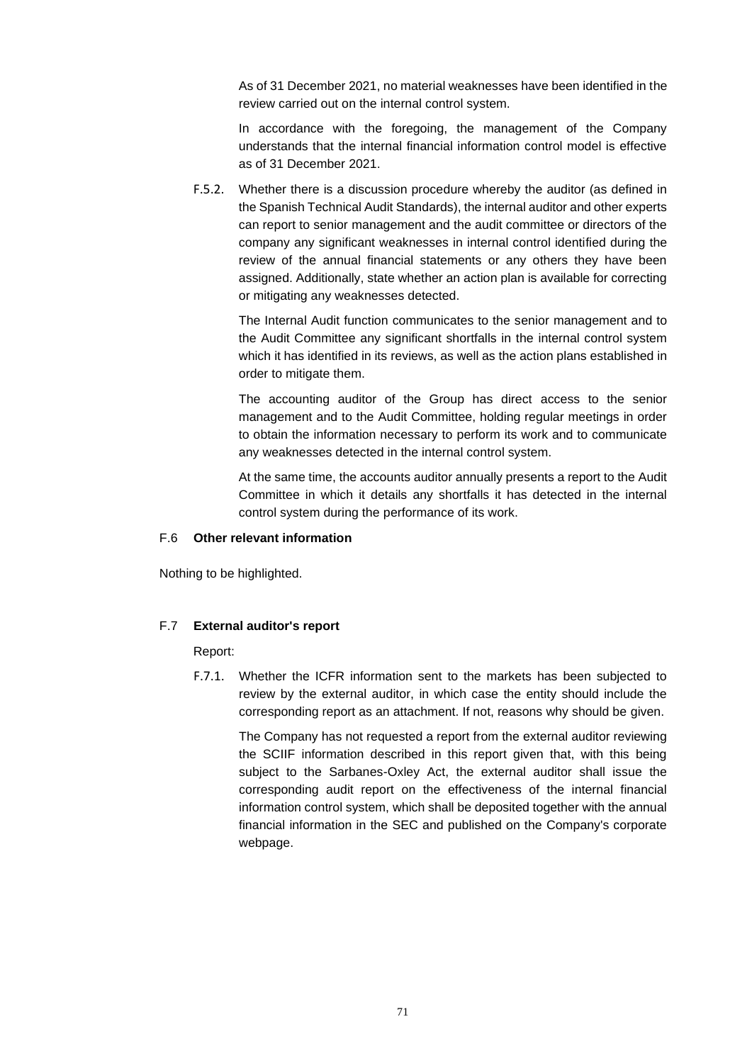As of 31 December 2021, no material weaknesses have been identified in the review carried out on the internal control system.

In accordance with the foregoing, the management of the Company understands that the internal financial information control model is effective as of 31 December 2021.

F.5.2. Whether there is a discussion procedure whereby the auditor (as defined in the Spanish Technical Audit Standards), the internal auditor and other experts can report to senior management and the audit committee or directors of the company any significant weaknesses in internal control identified during the review of the annual financial statements or any others they have been assigned. Additionally, state whether an action plan is available for correcting or mitigating any weaknesses detected.

The Internal Audit function communicates to the senior management and to the Audit Committee any significant shortfalls in the internal control system which it has identified in its reviews, as well as the action plans established in order to mitigate them.

The accounting auditor of the Group has direct access to the senior management and to the Audit Committee, holding regular meetings in order to obtain the information necessary to perform its work and to communicate any weaknesses detected in the internal control system.

At the same time, the accounts auditor annually presents a report to the Audit Committee in which it details any shortfalls it has detected in the internal control system during the performance of its work.

# F.6 **Other relevant information**

Nothing to be highlighted.

# F.7 **External auditor's report**

Report:

F.7.1. Whether the ICFR information sent to the markets has been subjected to review by the external auditor, in which case the entity should include the corresponding report as an attachment. If not, reasons why should be given.

The Company has not requested a report from the external auditor reviewing the SCIIF information described in this report given that, with this being subject to the Sarbanes-Oxley Act, the external auditor shall issue the corresponding audit report on the effectiveness of the internal financial information control system, which shall be deposited together with the annual financial information in the SEC and published on the Company's corporate webpage.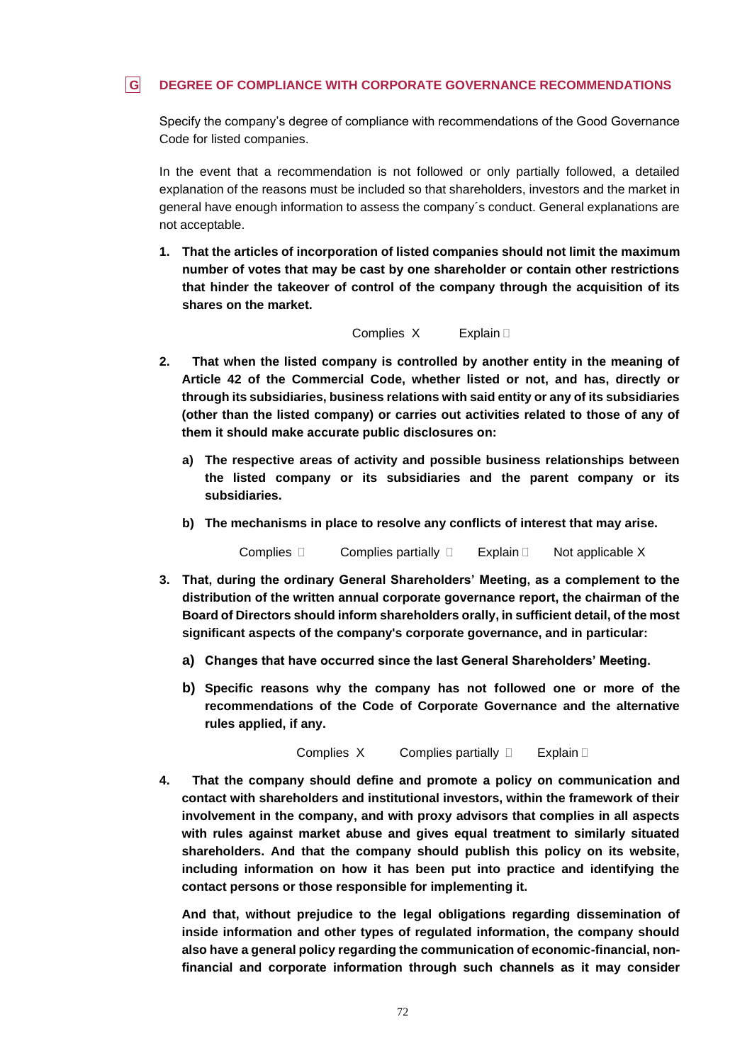# **G DEGREE OF COMPLIANCE WITH CORPORATE GOVERNANCE RECOMMENDATIONS**

Specify the company's degree of compliance with recommendations of the Good Governance Code for listed companies.

In the event that a recommendation is not followed or only partially followed, a detailed explanation of the reasons must be included so that shareholders, investors and the market in general have enough information to assess the company´s conduct. General explanations are not acceptable.

**1. That the articles of incorporation of listed companies should not limit the maximum number of votes that may be cast by one shareholder or contain other restrictions that hinder the takeover of control of the company through the acquisition of its shares on the market.** 

#### Complies X Explain D

- **2. That when the listed company is controlled by another entity in the meaning of Article 42 of the Commercial Code, whether listed or not, and has, directly or through its subsidiaries, business relations with said entity or any of its subsidiaries (other than the listed company) or carries out activities related to those of any of them it should make accurate public disclosures on:** 
	- **a) The respective areas of activity and possible business relationships between the listed company or its subsidiaries and the parent company or its subsidiaries.**
	- **b) The mechanisms in place to resolve any conflicts of interest that may arise.**

Complies  $\Box$  Complies partially  $\Box$  Explain  $\Box$  Not applicable X

- **3. That, during the ordinary General Shareholders' Meeting, as a complement to the distribution of the written annual corporate governance report, the chairman of the Board of Directors should inform shareholders orally, in sufficient detail, of the most significant aspects of the company's corporate governance, and in particular:**
	- **a) Changes that have occurred since the last General Shareholders' Meeting.**
	- **b) Specific reasons why the company has not followed one or more of the recommendations of the Code of Corporate Governance and the alternative rules applied, if any.**

Complies  $X$  Complies partially  $\Box$  Explain  $\Box$ 

**4. That the company should define and promote a policy on communication and contact with shareholders and institutional investors, within the framework of their involvement in the company, and with proxy advisors that complies in all aspects with rules against market abuse and gives equal treatment to similarly situated shareholders. And that the company should publish this policy on its website, including information on how it has been put into practice and identifying the contact persons or those responsible for implementing it.** 

**And that, without prejudice to the legal obligations regarding dissemination of inside information and other types of regulated information, the company should also have a general policy regarding the communication of economic-financial, nonfinancial and corporate information through such channels as it may consider**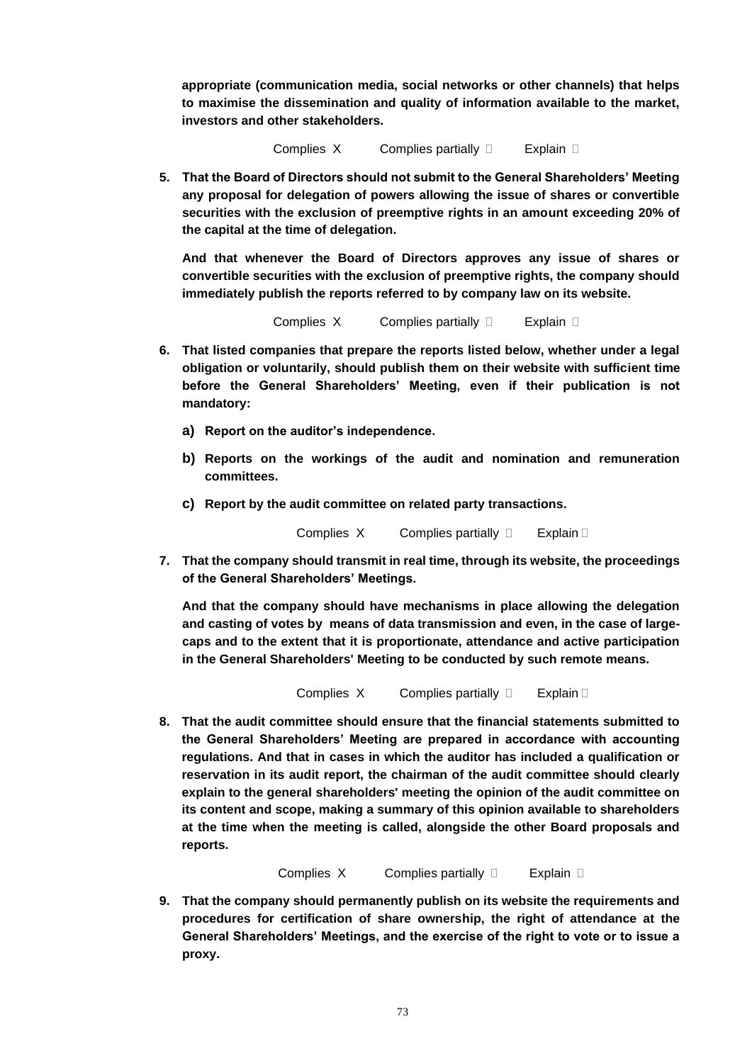**appropriate (communication media, social networks or other channels) that helps to maximise the dissemination and quality of information available to the market, investors and other stakeholders.**

Complies  $X$  Complies partially  $\Box$  Explain  $\Box$ 

**5. That the Board of Directors should not submit to the General Shareholders' Meeting any proposal for delegation of powers allowing the issue of shares or convertible securities with the exclusion of preemptive rights in an amount exceeding 20% of the capital at the time of delegation.**

**And that whenever the Board of Directors approves any issue of shares or convertible securities with the exclusion of preemptive rights, the company should immediately publish the reports referred to by company law on its website.**

Complies  $X$  Complies partially  $\Box$  Explain  $\Box$ 

- **6. That listed companies that prepare the reports listed below, whether under a legal obligation or voluntarily, should publish them on their website with sufficient time before the General Shareholders' Meeting, even if their publication is not mandatory:**
	- **a) Report on the auditor's independence.**
	- **b) Reports on the workings of the audit and nomination and remuneration committees.**
	- **c) Report by the audit committee on related party transactions.**

Complies  $X$  Complies partially  $\Box$  Explain  $\Box$ 

**7. That the company should transmit in real time, through its website, the proceedings of the General Shareholders' Meetings.**

**And that the company should have mechanisms in place allowing the delegation and casting of votes by means of data transmission and even, in the case of largecaps and to the extent that it is proportionate, attendance and active participation in the General Shareholders' Meeting to be conducted by such remote means.**

Complies  $X$  Complies partially  $\Box$  Explain  $\Box$ 

**8. That the audit committee should ensure that the financial statements submitted to the General Shareholders' Meeting are prepared in accordance with accounting regulations. And that in cases in which the auditor has included a qualification or reservation in its audit report, the chairman of the audit committee should clearly explain to the general shareholders' meeting the opinion of the audit committee on its content and scope, making a summary of this opinion available to shareholders at the time when the meeting is called, alongside the other Board proposals and reports.**

**Complies X Complies partially**  Explain **D** 

**9. That the company should permanently publish on its website the requirements and procedures for certification of share ownership, the right of attendance at the General Shareholders' Meetings, and the exercise of the right to vote or to issue a proxy.**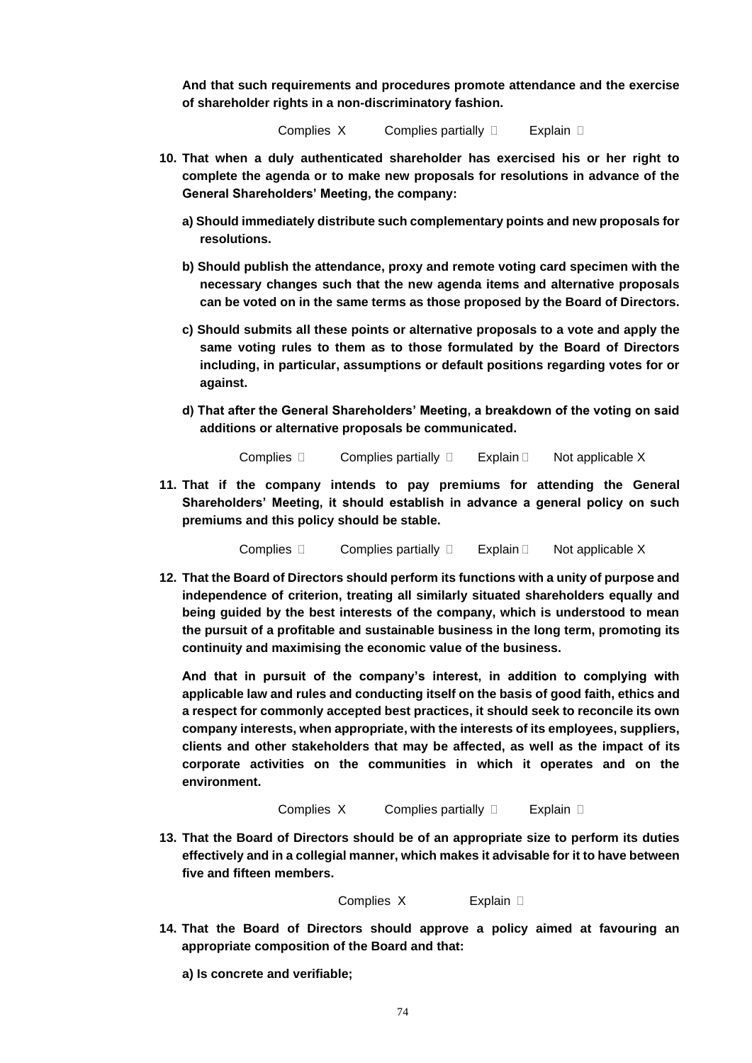**And that such requirements and procedures promote attendance and the exercise of shareholder rights in a non-discriminatory fashion.**

**Complies X Complies partially**  Explain **D** 

- **10. That when a duly authenticated shareholder has exercised his or her right to complete the agenda or to make new proposals for resolutions in advance of the General Shareholders' Meeting, the company:**
	- **a) Should immediately distribute such complementary points and new proposals for resolutions.**
	- **b) Should publish the attendance, proxy and remote voting card specimen with the necessary changes such that the new agenda items and alternative proposals can be voted on in the same terms as those proposed by the Board of Directors.**
	- **c) Should submits all these points or alternative proposals to a vote and apply the same voting rules to them as to those formulated by the Board of Directors including, in particular, assumptions or default positions regarding votes for or against.**
	- **d) That after the General Shareholders' Meeting, a breakdown of the voting on said additions or alternative proposals be communicated.**

Complies  $\Box$  Complies partially  $\Box$  Explain  $\Box$  Not applicable X

**11. That if the company intends to pay premiums for attending the General Shareholders' Meeting, it should establish in advance a general policy on such premiums and this policy should be stable.** 

Complies  $\Box$  Complies partially  $\Box$  Explain  $\Box$  Not applicable X

**12. That the Board of Directors should perform its functions with a unity of purpose and independence of criterion, treating all similarly situated shareholders equally and being guided by the best interests of the company, which is understood to mean the pursuit of a profitable and sustainable business in the long term, promoting its continuity and maximising the economic value of the business.** 

**And that in pursuit of the company's interest, in addition to complying with applicable law and rules and conducting itself on the basis of good faith, ethics and a respect for commonly accepted best practices, it should seek to reconcile its own company interests, when appropriate, with the interests of its employees, suppliers, clients and other stakeholders that may be affected, as well as the impact of its corporate activities on the communities in which it operates and on the environment.**

```
Complies X Complies partially  Explain D
```
**13. That the Board of Directors should be of an appropriate size to perform its duties effectively and in a collegial manner, which makes it advisable for it to have between five and fifteen members.** 

Complies XExplain

**14. That the Board of Directors should approve a policy aimed at favouring an appropriate composition of the Board and that:** 

**a) Is concrete and verifiable;**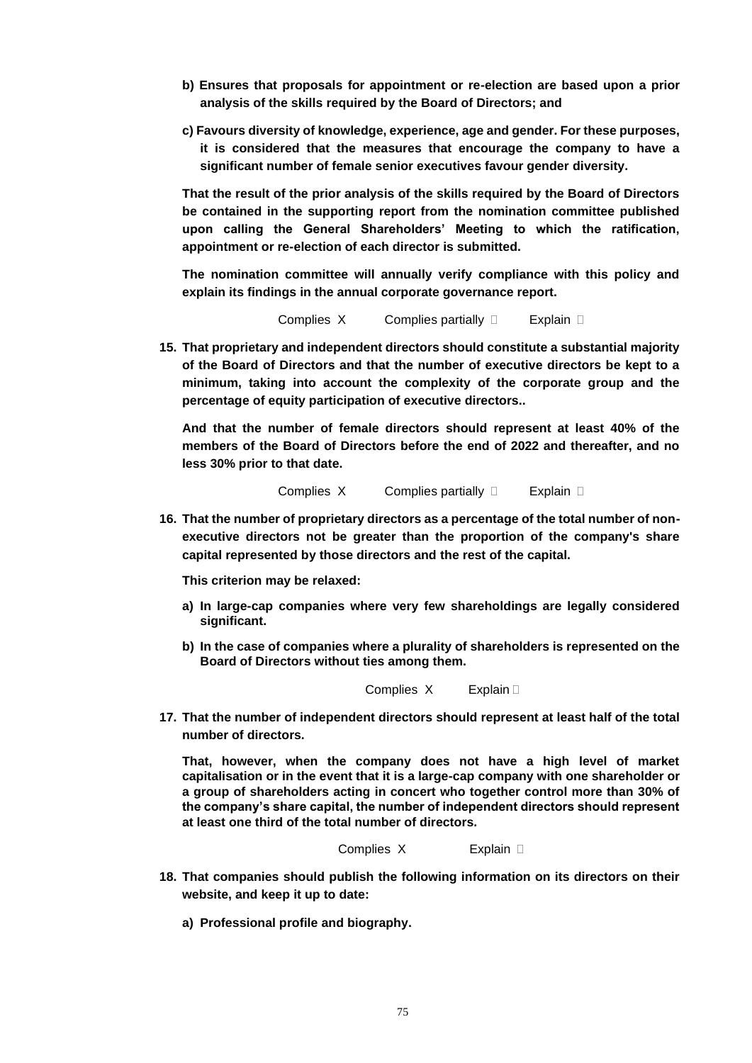- **b) Ensures that proposals for appointment or re-election are based upon a prior analysis of the skills required by the Board of Directors; and**
- **c) Favours diversity of knowledge, experience, age and gender. For these purposes, it is considered that the measures that encourage the company to have a significant number of female senior executives favour gender diversity.**

**That the result of the prior analysis of the skills required by the Board of Directors be contained in the supporting report from the nomination committee published upon calling the General Shareholders' Meeting to which the ratification, appointment or re-election of each director is submitted.** 

**The nomination committee will annually verify compliance with this policy and explain its findings in the annual corporate governance report.**

```
Complies X Complies partially  Explain D
```
**15. That proprietary and independent directors should constitute a substantial majority of the Board of Directors and that the number of executive directors be kept to a minimum, taking into account the complexity of the corporate group and the percentage of equity participation of executive directors..**

**And that the number of female directors should represent at least 40% of the members of the Board of Directors before the end of 2022 and thereafter, and no less 30% prior to that date.**

Complies XComplies partially Explain

**16. That the number of proprietary directors as a percentage of the total number of nonexecutive directors not be greater than the proportion of the company's share capital represented by those directors and the rest of the capital.**

**This criterion may be relaxed:**

- **a) In large-cap companies where very few shareholdings are legally considered significant.**
- **b) In the case of companies where a plurality of shareholders is represented on the Board of Directors without ties among them.**

Complies X Explain D

**17. That the number of independent directors should represent at least half of the total number of directors.**

**That, however, when the company does not have a high level of market capitalisation or in the event that it is a large-cap company with one shareholder or a group of shareholders acting in concert who together control more than 30% of the company's share capital, the number of independent directors should represent at least one third of the total number of directors.**

```
Complies X Explain
```
- **18. That companies should publish the following information on its directors on their website, and keep it up to date:**
	- **a) Professional profile and biography.**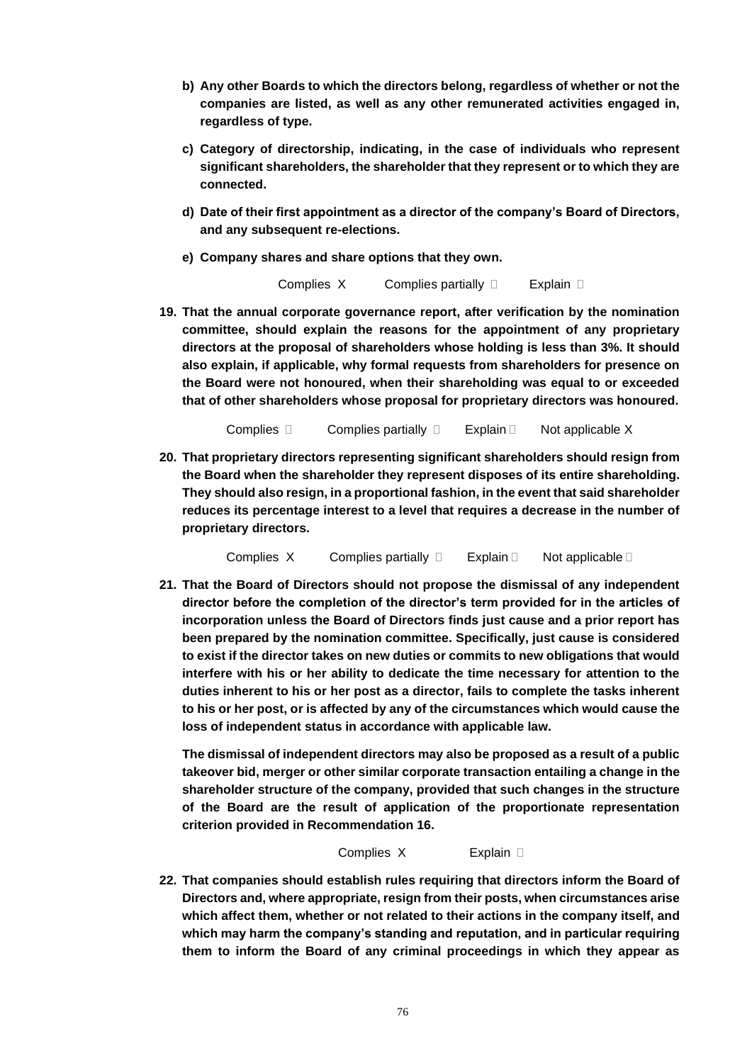- **b) Any other Boards to which the directors belong, regardless of whether or not the companies are listed, as well as any other remunerated activities engaged in, regardless of type.**
- **c) Category of directorship, indicating, in the case of individuals who represent significant shareholders, the shareholder that they represent or to which they are connected.**
- **d) Date of their first appointment as a director of the company's Board of Directors, and any subsequent re-elections.**
- **e) Company shares and share options that they own.**

**19. That the annual corporate governance report, after verification by the nomination committee, should explain the reasons for the appointment of any proprietary directors at the proposal of shareholders whose holding is less than 3%. It should also explain, if applicable, why formal requests from shareholders for presence on the Board were not honoured, when their shareholding was equal to or exceeded that of other shareholders whose proposal for proprietary directors was honoured.**

Complies  $\Box$  Complies partially  $\Box$  Explain  $\Box$  Not applicable X

**20. That proprietary directors representing significant shareholders should resign from the Board when the shareholder they represent disposes of its entire shareholding. They should also resign, in a proportional fashion, in the event that said shareholder reduces its percentage interest to a level that requires a decrease in the number of proprietary directors.**

Complies X Complies partially  $\square$  Explain  $\square$  Not applicable  $\square$ 

**21. That the Board of Directors should not propose the dismissal of any independent director before the completion of the director's term provided for in the articles of incorporation unless the Board of Directors finds just cause and a prior report has been prepared by the nomination committee. Specifically, just cause is considered to exist if the director takes on new duties or commits to new obligations that would interfere with his or her ability to dedicate the time necessary for attention to the duties inherent to his or her post as a director, fails to complete the tasks inherent to his or her post, or is affected by any of the circumstances which would cause the loss of independent status in accordance with applicable law.**

**The dismissal of independent directors may also be proposed as a result of a public takeover bid, merger or other similar corporate transaction entailing a change in the shareholder structure of the company, provided that such changes in the structure of the Board are the result of application of the proportionate representation criterion provided in Recommendation 16.**

Complies XExplain

**22. That companies should establish rules requiring that directors inform the Board of Directors and, where appropriate, resign from their posts, when circumstances arise which affect them, whether or not related to their actions in the company itself, and which may harm the company's standing and reputation, and in particular requiring them to inform the Board of any criminal proceedings in which they appear as**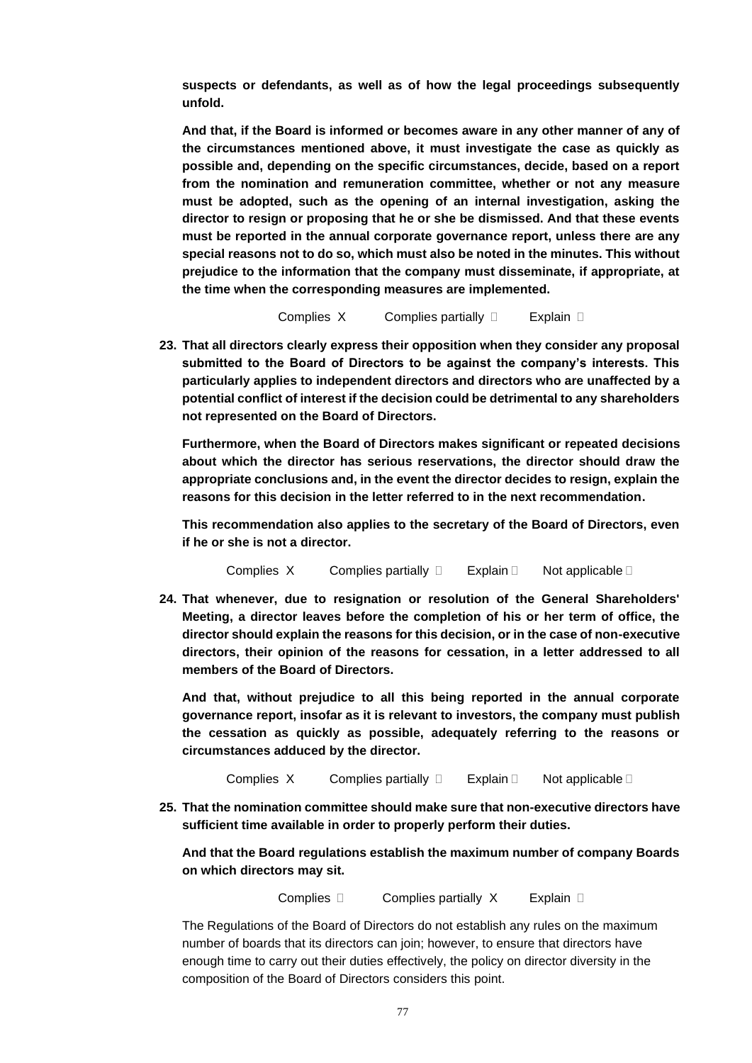**suspects or defendants, as well as of how the legal proceedings subsequently unfold.** 

**And that, if the Board is informed or becomes aware in any other manner of any of the circumstances mentioned above, it must investigate the case as quickly as possible and, depending on the specific circumstances, decide, based on a report from the nomination and remuneration committee, whether or not any measure must be adopted, such as the opening of an internal investigation, asking the director to resign or proposing that he or she be dismissed. And that these events must be reported in the annual corporate governance report, unless there are any special reasons not to do so, which must also be noted in the minutes. This without prejudice to the information that the company must disseminate, if appropriate, at the time when the corresponding measures are implemented.**

**Complies X Complies partially**  Explain **D** 

**23. That all directors clearly express their opposition when they consider any proposal submitted to the Board of Directors to be against the company's interests. This particularly applies to independent directors and directors who are unaffected by a potential conflict of interest if the decision could be detrimental to any shareholders not represented on the Board of Directors.**

**Furthermore, when the Board of Directors makes significant or repeated decisions about which the director has serious reservations, the director should draw the appropriate conclusions and, in the event the director decides to resign, explain the reasons for this decision in the letter referred to in the next recommendation.**

**This recommendation also applies to the secretary of the Board of Directors, even if he or she is not a director.**

Complies X Complies partially  $\square$  Explain  $\square$  Not applicable  $\square$ 

**24. That whenever, due to resignation or resolution of the General Shareholders' Meeting, a director leaves before the completion of his or her term of office, the director should explain the reasons for this decision, or in the case of non-executive directors, their opinion of the reasons for cessation, in a letter addressed to all members of the Board of Directors.** 

**And that, without prejudice to all this being reported in the annual corporate governance report, insofar as it is relevant to investors, the company must publish the cessation as quickly as possible, adequately referring to the reasons or circumstances adduced by the director.**

Complies  $X$  Complies partially  $\Box$  Explain  $\Box$  Not applicable  $\Box$ 

**25. That the nomination committee should make sure that non-executive directors have sufficient time available in order to properly perform their duties.**

**And that the Board regulations establish the maximum number of company Boards on which directors may sit.**

**Complies Complies partially X** Explain **D** 

The Regulations of the Board of Directors do not establish any rules on the maximum number of boards that its directors can join; however, to ensure that directors have enough time to carry out their duties effectively, the policy on director diversity in the composition of the Board of Directors considers this point.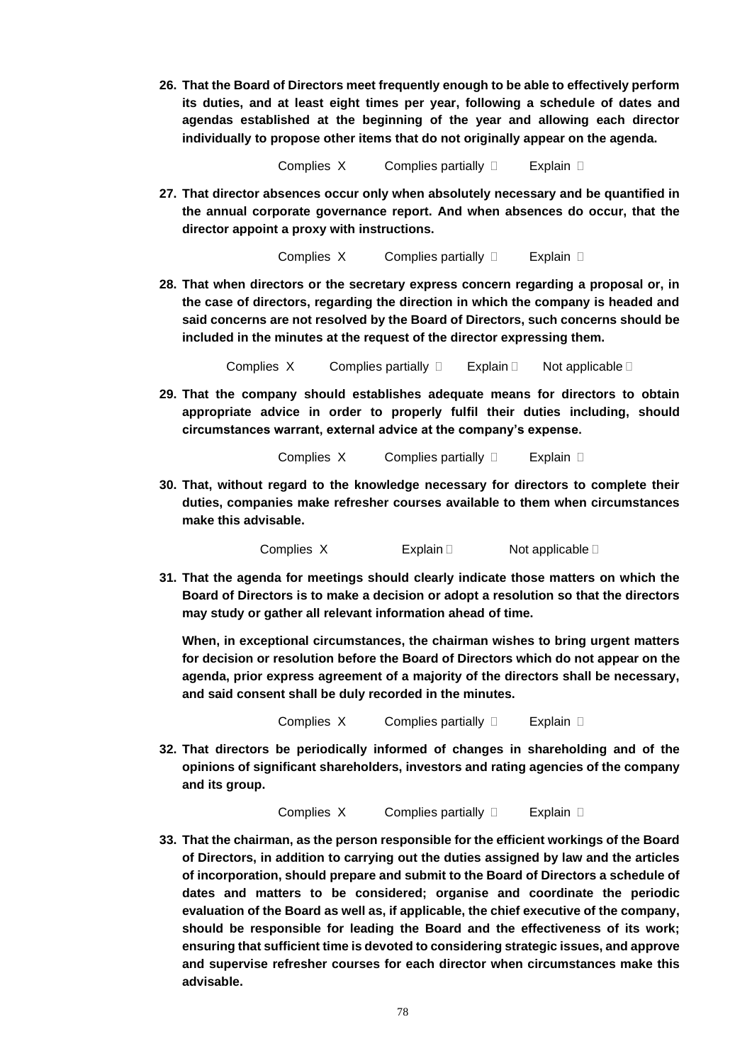**26. That the Board of Directors meet frequently enough to be able to effectively perform its duties, and at least eight times per year, following a schedule of dates and agendas established at the beginning of the year and allowing each director individually to propose other items that do not originally appear on the agenda.**

Complies XComplies partially Explain

**27. That director absences occur only when absolutely necessary and be quantified in the annual corporate governance report. And when absences do occur, that the director appoint a proxy with instructions.**

**Complies X Complies partially**  Explain **D** 

**28. That when directors or the secretary express concern regarding a proposal or, in the case of directors, regarding the direction in which the company is headed and said concerns are not resolved by the Board of Directors, such concerns should be included in the minutes at the request of the director expressing them.**

Complies  $X$  Complies partially  $\Box$  Explain  $\Box$  Not applicable  $\Box$ 

- **29. That the company should establishes adequate means for directors to obtain appropriate advice in order to properly fulfil their duties including, should circumstances warrant, external advice at the company's expense.**
	- **Complies X Complies partially**  Explain **D**
- **30. That, without regard to the knowledge necessary for directors to complete their duties, companies make refresher courses available to them when circumstances make this advisable.**

Complies  $X$  Explain  $\Box$  Not applicable  $\Box$ 

**31. That the agenda for meetings should clearly indicate those matters on which the Board of Directors is to make a decision or adopt a resolution so that the directors may study or gather all relevant information ahead of time.**

**When, in exceptional circumstances, the chairman wishes to bring urgent matters for decision or resolution before the Board of Directors which do not appear on the agenda, prior express agreement of a majority of the directors shall be necessary, and said consent shall be duly recorded in the minutes.**

**Complies X Complies partially**  Explain **D** 

**32. That directors be periodically informed of changes in shareholding and of the opinions of significant shareholders, investors and rating agencies of the company and its group.**

**Complies X Complies partially Explain D** 

**33. That the chairman, as the person responsible for the efficient workings of the Board of Directors, in addition to carrying out the duties assigned by law and the articles of incorporation, should prepare and submit to the Board of Directors a schedule of dates and matters to be considered; organise and coordinate the periodic evaluation of the Board as well as, if applicable, the chief executive of the company, should be responsible for leading the Board and the effectiveness of its work; ensuring that sufficient time is devoted to considering strategic issues, and approve and supervise refresher courses for each director when circumstances make this advisable.**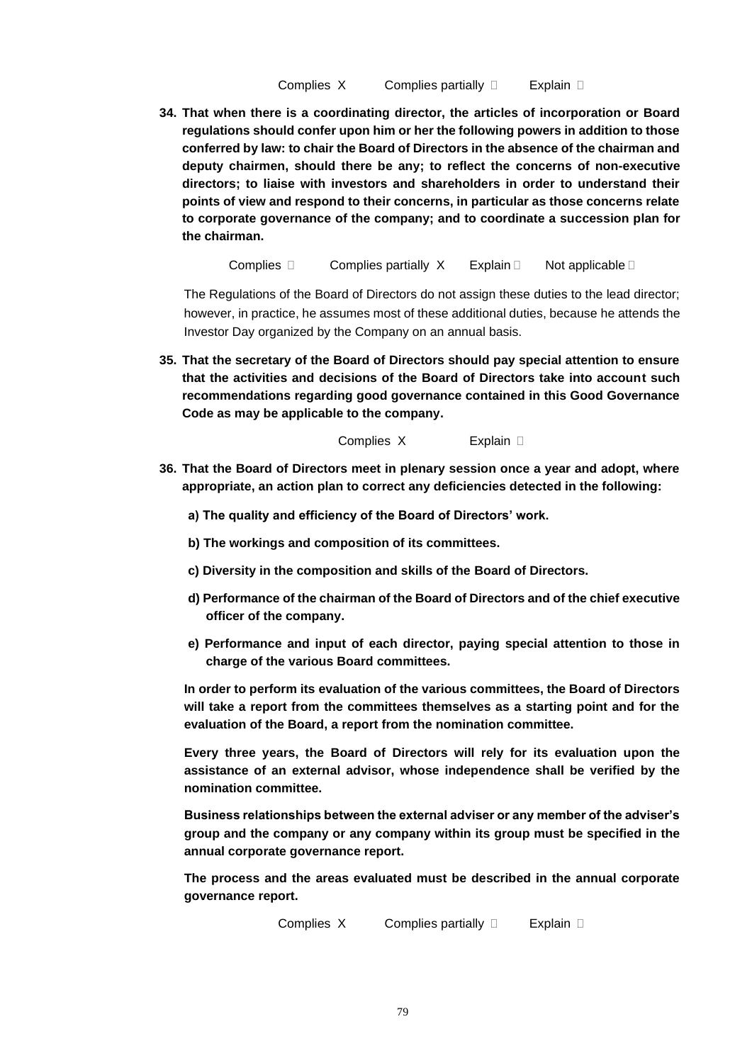**34. That when there is a coordinating director, the articles of incorporation or Board regulations should confer upon him or her the following powers in addition to those conferred by law: to chair the Board of Directors in the absence of the chairman and deputy chairmen, should there be any; to reflect the concerns of non-executive directors; to liaise with investors and shareholders in order to understand their points of view and respond to their concerns, in particular as those concerns relate to corporate governance of the company; and to coordinate a succession plan for the chairman.**

Complies  $\Box$  Complies partially X Explain  $\Box$  Not applicable  $\Box$ 

The Regulations of the Board of Directors do not assign these duties to the lead director; however, in practice, he assumes most of these additional duties, because he attends the Investor Day organized by the Company on an annual basis.

**35. That the secretary of the Board of Directors should pay special attention to ensure that the activities and decisions of the Board of Directors take into account such recommendations regarding good governance contained in this Good Governance Code as may be applicable to the company.**

Complies XExplain

- **36. That the Board of Directors meet in plenary session once a year and adopt, where appropriate, an action plan to correct any deficiencies detected in the following:**
	- **a) The quality and efficiency of the Board of Directors' work.**
	- **b) The workings and composition of its committees.**
	- **c) Diversity in the composition and skills of the Board of Directors.**
	- **d) Performance of the chairman of the Board of Directors and of the chief executive officer of the company.**
	- **e) Performance and input of each director, paying special attention to those in charge of the various Board committees.**

**In order to perform its evaluation of the various committees, the Board of Directors will take a report from the committees themselves as a starting point and for the evaluation of the Board, a report from the nomination committee.**

**Every three years, the Board of Directors will rely for its evaluation upon the assistance of an external advisor, whose independence shall be verified by the nomination committee.**

**Business relationships between the external adviser or any member of the adviser's group and the company or any company within its group must be specified in the annual corporate governance report.**

**The process and the areas evaluated must be described in the annual corporate governance report.**

**Complies X Complies partially Explain D**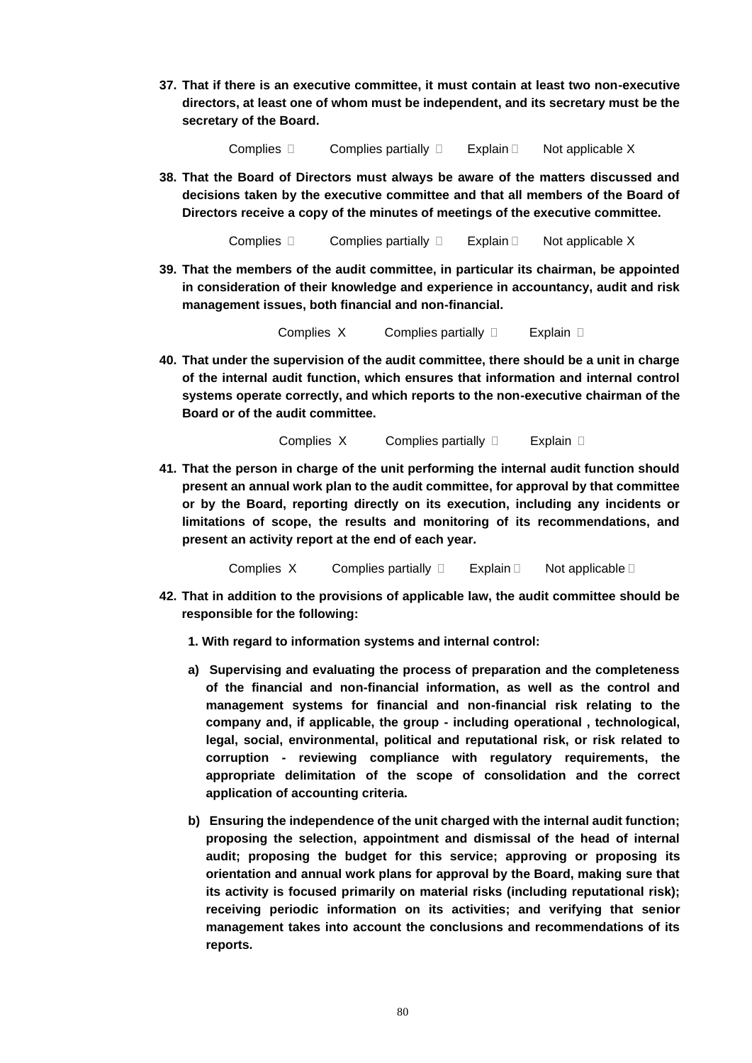**37. That if there is an executive committee, it must contain at least two non-executive directors, at least one of whom must be independent, and its secretary must be the secretary of the Board.**

Complies **Complies partially Explain Explain Complicable X** 

**38. That the Board of Directors must always be aware of the matters discussed and decisions taken by the executive committee and that all members of the Board of Directors receive a copy of the minutes of meetings of the executive committee.**

Complies  $\square$  Complies partially  $\square$  Explain  $\square$  Not applicable X

**39. That the members of the audit committee, in particular its chairman, be appointed in consideration of their knowledge and experience in accountancy, audit and risk management issues, both financial and non-financial.**

Complies XComplies partially Explain

**40. That under the supervision of the audit committee, there should be a unit in charge of the internal audit function, which ensures that information and internal control systems operate correctly, and which reports to the non-executive chairman of the Board or of the audit committee.**

**Complies X Complies partially**  Explain **D** 

**41. That the person in charge of the unit performing the internal audit function should present an annual work plan to the audit committee, for approval by that committee or by the Board, reporting directly on its execution, including any incidents or limitations of scope, the results and monitoring of its recommendations, and present an activity report at the end of each year.**

Complies  $X$  Complies partially  $\Box$  Explain  $\Box$  Not applicable  $\Box$ 

- **42. That in addition to the provisions of applicable law, the audit committee should be responsible for the following:** 
	- **1. With regard to information systems and internal control:**
	- **a) Supervising and evaluating the process of preparation and the completeness of the financial and non-financial information, as well as the control and management systems for financial and non-financial risk relating to the company and, if applicable, the group - including operational , technological, legal, social, environmental, political and reputational risk, or risk related to corruption - reviewing compliance with regulatory requirements, the appropriate delimitation of the scope of consolidation and the correct application of accounting criteria.**
	- **b) Ensuring the independence of the unit charged with the internal audit function; proposing the selection, appointment and dismissal of the head of internal audit; proposing the budget for this service; approving or proposing its orientation and annual work plans for approval by the Board, making sure that its activity is focused primarily on material risks (including reputational risk); receiving periodic information on its activities; and verifying that senior management takes into account the conclusions and recommendations of its reports.**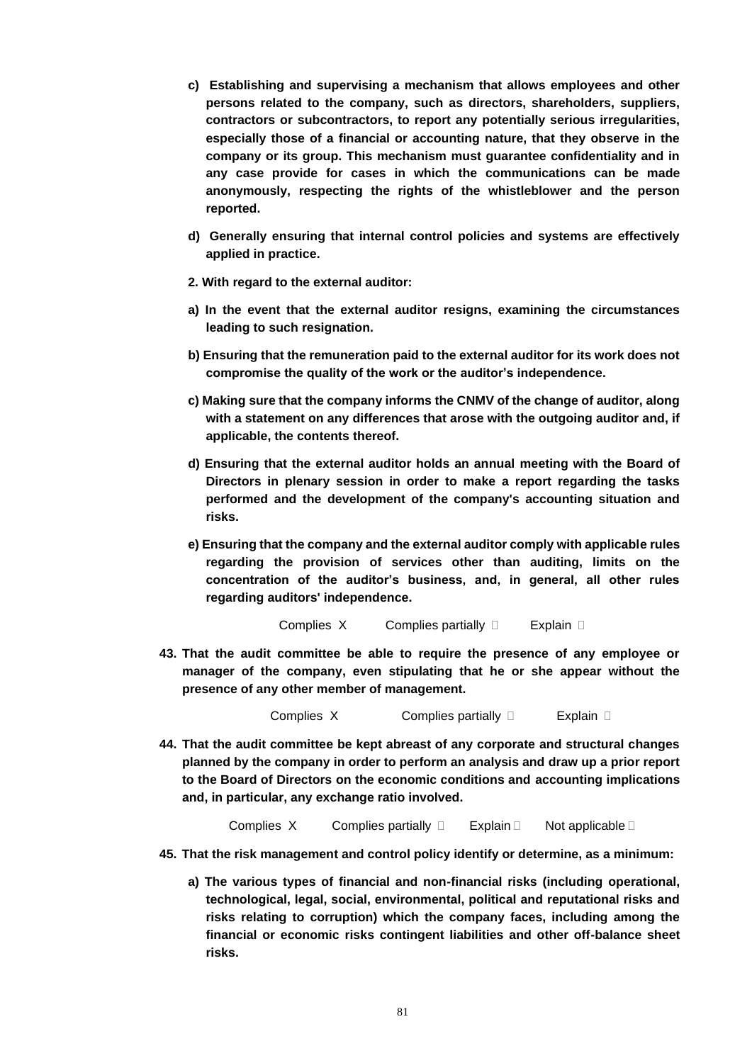- **c) Establishing and supervising a mechanism that allows employees and other persons related to the company, such as directors, shareholders, suppliers, contractors or subcontractors, to report any potentially serious irregularities, especially those of a financial or accounting nature, that they observe in the company or its group. This mechanism must guarantee confidentiality and in any case provide for cases in which the communications can be made anonymously, respecting the rights of the whistleblower and the person reported.**
- **d) Generally ensuring that internal control policies and systems are effectively applied in practice.**
- **2. With regard to the external auditor:**
- **a) In the event that the external auditor resigns, examining the circumstances leading to such resignation.**
- **b) Ensuring that the remuneration paid to the external auditor for its work does not compromise the quality of the work or the auditor's independence.**
- **c) Making sure that the company informs the CNMV of the change of auditor, along with a statement on any differences that arose with the outgoing auditor and, if applicable, the contents thereof.**
- **d) Ensuring that the external auditor holds an annual meeting with the Board of Directors in plenary session in order to make a report regarding the tasks performed and the development of the company's accounting situation and risks.**
- **e) Ensuring that the company and the external auditor comply with applicable rules regarding the provision of services other than auditing, limits on the concentration of the auditor's business, and, in general, all other rules regarding auditors' independence.**

**43. That the audit committee be able to require the presence of any employee or manager of the company, even stipulating that he or she appear without the presence of any other member of management.**

Complies X Complies partially  $\Box$  Explain  $\Box$ 

**44. That the audit committee be kept abreast of any corporate and structural changes planned by the company in order to perform an analysis and draw up a prior report to the Board of Directors on the economic conditions and accounting implications and, in particular, any exchange ratio involved.** 

Complies X Complies partially  $\Box$  Explain  $\Box$  Not applicable  $\Box$ 

- **45. That the risk management and control policy identify or determine, as a minimum:** 
	- **a) The various types of financial and non-financial risks (including operational, technological, legal, social, environmental, political and reputational risks and risks relating to corruption) which the company faces, including among the financial or economic risks contingent liabilities and other off-balance sheet risks.**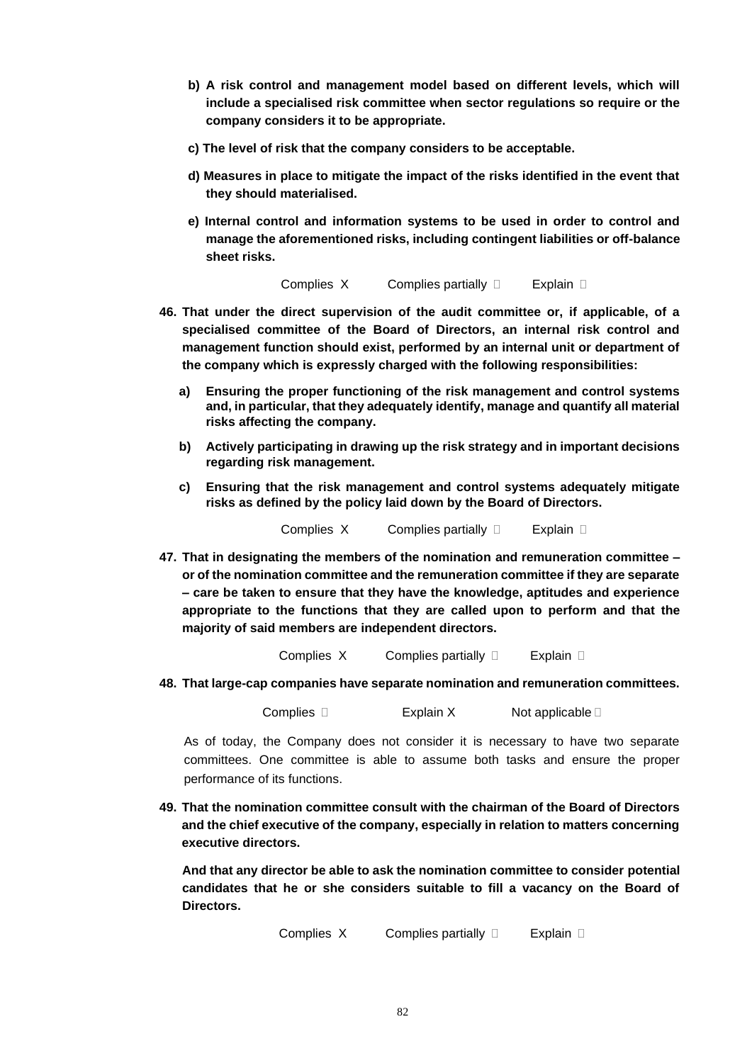- **b) A risk control and management model based on different levels, which will include a specialised risk committee when sector regulations so require or the company considers it to be appropriate.**
- **c) The level of risk that the company considers to be acceptable.**
- **d) Measures in place to mitigate the impact of the risks identified in the event that they should materialised.**
- **e) Internal control and information systems to be used in order to control and manage the aforementioned risks, including contingent liabilities or off-balance sheet risks.**

- **46. That under the direct supervision of the audit committee or, if applicable, of a specialised committee of the Board of Directors, an internal risk control and management function should exist, performed by an internal unit or department of the company which is expressly charged with the following responsibilities:** 
	- **a) Ensuring the proper functioning of the risk management and control systems and, in particular, that they adequately identify, manage and quantify all material risks affecting the company.**
	- **b) Actively participating in drawing up the risk strategy and in important decisions regarding risk management.**
	- **c) Ensuring that the risk management and control systems adequately mitigate risks as defined by the policy laid down by the Board of Directors.**

**Complies X Complies partially**  Explain D

**47. That in designating the members of the nomination and remuneration committee – or of the nomination committee and the remuneration committee if they are separate – care be taken to ensure that they have the knowledge, aptitudes and experience appropriate to the functions that they are called upon to perform and that the majority of said members are independent directors.** 

**Complies X Complies partially Explain D** 

**48. That large-cap companies have separate nomination and remuneration committees.** 

Complies  $\square$  Explain X Not applicable  $\square$ 

As of today, the Company does not consider it is necessary to have two separate committees. One committee is able to assume both tasks and ensure the proper performance of its functions.

**49. That the nomination committee consult with the chairman of the Board of Directors and the chief executive of the company, especially in relation to matters concerning executive directors.** 

**And that any director be able to ask the nomination committee to consider potential candidates that he or she considers suitable to fill a vacancy on the Board of Directors.** 

**Complies X Complies partially**  Explain **D**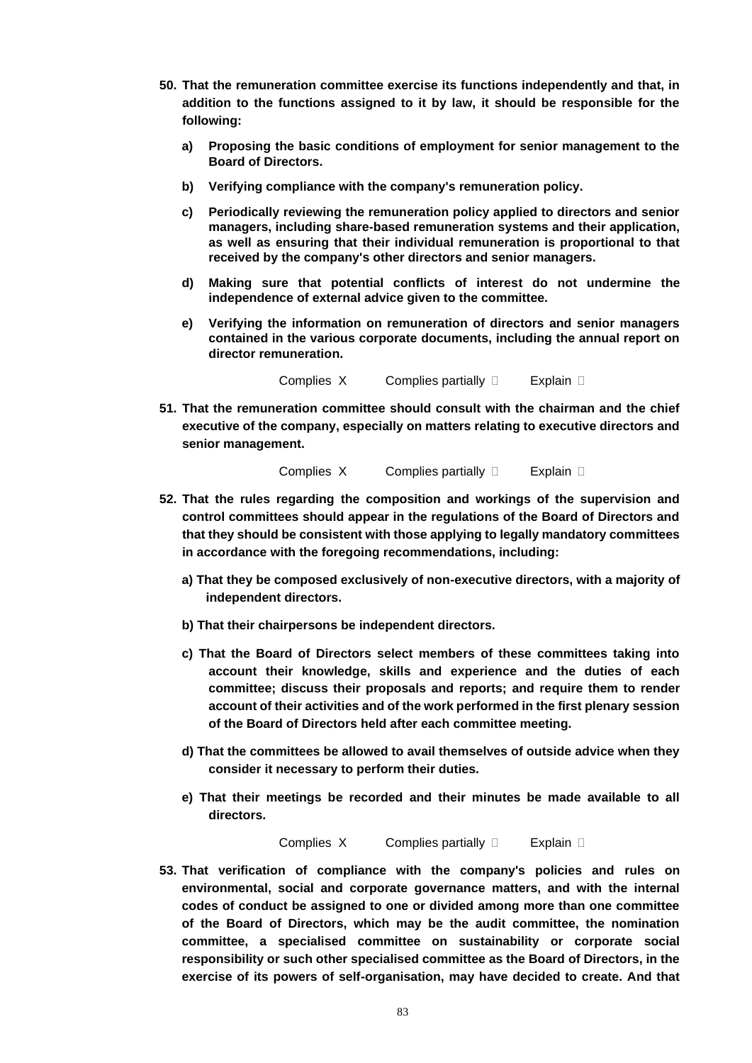- **50. That the remuneration committee exercise its functions independently and that, in addition to the functions assigned to it by law, it should be responsible for the following:** 
	- **a) Proposing the basic conditions of employment for senior management to the Board of Directors.**
	- **b) Verifying compliance with the company's remuneration policy.**
	- **c) Periodically reviewing the remuneration policy applied to directors and senior managers, including share-based remuneration systems and their application, as well as ensuring that their individual remuneration is proportional to that received by the company's other directors and senior managers.**
	- **d) Making sure that potential conflicts of interest do not undermine the independence of external advice given to the committee.**
	- **e) Verifying the information on remuneration of directors and senior managers contained in the various corporate documents, including the annual report on director remuneration.**

**51. That the remuneration committee should consult with the chairman and the chief executive of the company, especially on matters relating to executive directors and senior management.** 

**Complies X Complies partially**  Explain **D** 

- **52. That the rules regarding the composition and workings of the supervision and control committees should appear in the regulations of the Board of Directors and that they should be consistent with those applying to legally mandatory committees in accordance with the foregoing recommendations, including:** 
	- **a) That they be composed exclusively of non-executive directors, with a majority of independent directors.**
	- **b) That their chairpersons be independent directors.**
	- **c) That the Board of Directors select members of these committees taking into account their knowledge, skills and experience and the duties of each committee; discuss their proposals and reports; and require them to render account of their activities and of the work performed in the first plenary session of the Board of Directors held after each committee meeting.**
	- **d) That the committees be allowed to avail themselves of outside advice when they consider it necessary to perform their duties.**
	- **e) That their meetings be recorded and their minutes be made available to all directors.**

**Complies X Complies partially**  Explain **D** 

**53. That verification of compliance with the company's policies and rules on environmental, social and corporate governance matters, and with the internal codes of conduct be assigned to one or divided among more than one committee of the Board of Directors, which may be the audit committee, the nomination committee, a specialised committee on sustainability or corporate social responsibility or such other specialised committee as the Board of Directors, in the exercise of its powers of self-organisation, may have decided to create. And that**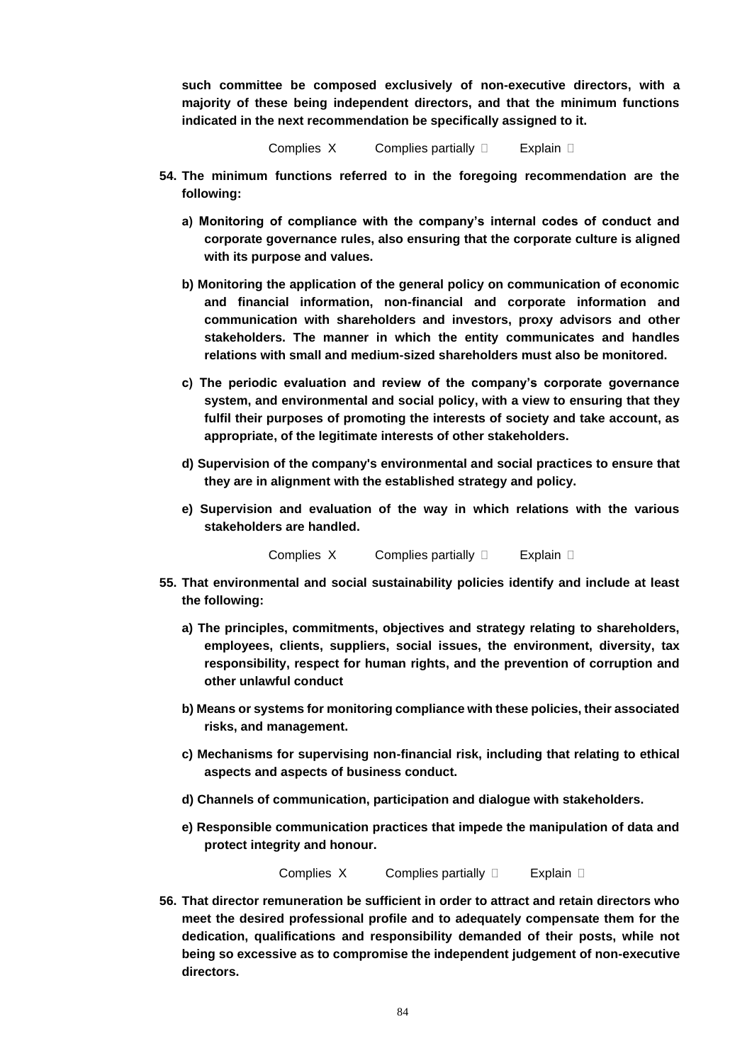**such committee be composed exclusively of non-executive directors, with a majority of these being independent directors, and that the minimum functions indicated in the next recommendation be specifically assigned to it.**

Complies  $X$  Complies partially  $\Box$  Explain  $\Box$ 

- **54. The minimum functions referred to in the foregoing recommendation are the following:**
	- **a) Monitoring of compliance with the company's internal codes of conduct and corporate governance rules, also ensuring that the corporate culture is aligned with its purpose and values.**
	- **b) Monitoring the application of the general policy on communication of economic and financial information, non-financial and corporate information and communication with shareholders and investors, proxy advisors and other stakeholders. The manner in which the entity communicates and handles relations with small and medium-sized shareholders must also be monitored.**
	- **c) The periodic evaluation and review of the company's corporate governance system, and environmental and social policy, with a view to ensuring that they fulfil their purposes of promoting the interests of society and take account, as appropriate, of the legitimate interests of other stakeholders.**
	- **d) Supervision of the company's environmental and social practices to ensure that they are in alignment with the established strategy and policy.**
	- **e) Supervision and evaluation of the way in which relations with the various stakeholders are handled.**

Complies  $X$  Complies partially  $\Box$  Explain  $\Box$ 

- **55. That environmental and social sustainability policies identify and include at least the following:** 
	- **a) The principles, commitments, objectives and strategy relating to shareholders, employees, clients, suppliers, social issues, the environment, diversity, tax responsibility, respect for human rights, and the prevention of corruption and other unlawful conduct**
	- **b) Means or systems for monitoring compliance with these policies, their associated risks, and management.**
	- **c) Mechanisms for supervising non-financial risk, including that relating to ethical aspects and aspects of business conduct.**
	- **d) Channels of communication, participation and dialogue with stakeholders.**
	- **e) Responsible communication practices that impede the manipulation of data and protect integrity and honour.**

**Complies X Complies partially**  Explain **D** 

**56. That director remuneration be sufficient in order to attract and retain directors who meet the desired professional profile and to adequately compensate them for the dedication, qualifications and responsibility demanded of their posts, while not being so excessive as to compromise the independent judgement of non-executive directors.**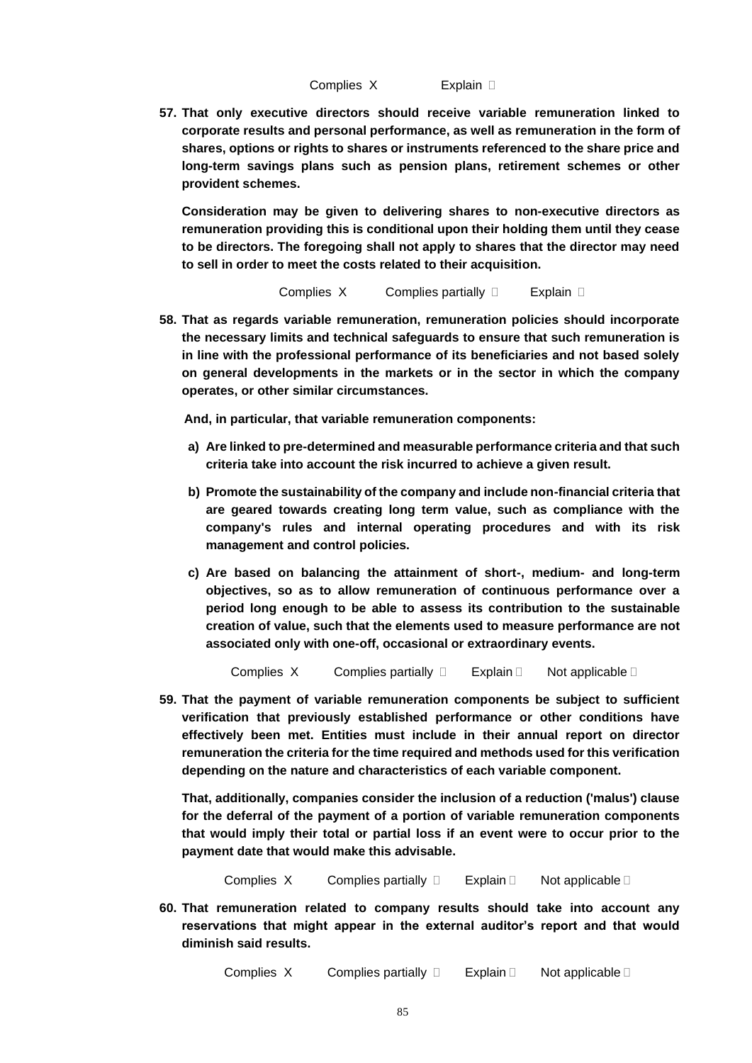**57. That only executive directors should receive variable remuneration linked to corporate results and personal performance, as well as remuneration in the form of shares, options or rights to shares or instruments referenced to the share price and long-term savings plans such as pension plans, retirement schemes or other provident schemes.** 

**Consideration may be given to delivering shares to non-executive directors as remuneration providing this is conditional upon their holding them until they cease to be directors. The foregoing shall not apply to shares that the director may need to sell in order to meet the costs related to their acquisition.**

**Complies X Complies partially**  Explain **D** 

**58. That as regards variable remuneration, remuneration policies should incorporate the necessary limits and technical safeguards to ensure that such remuneration is in line with the professional performance of its beneficiaries and not based solely on general developments in the markets or in the sector in which the company operates, or other similar circumstances.** 

**And, in particular, that variable remuneration components:** 

- **a) Are linked to pre-determined and measurable performance criteria and that such criteria take into account the risk incurred to achieve a given result.**
- **b) Promote the sustainability of the company and include non-financial criteria that are geared towards creating long term value, such as compliance with the company's rules and internal operating procedures and with its risk management and control policies.**
- **c) Are based on balancing the attainment of short-, medium- and long-term objectives, so as to allow remuneration of continuous performance over a period long enough to be able to assess its contribution to the sustainable creation of value, such that the elements used to measure performance are not associated only with one-off, occasional or extraordinary events.**

Complies X Complies partially  $\square$  Explain  $\square$  Not applicable  $\square$ 

**59. That the payment of variable remuneration components be subject to sufficient verification that previously established performance or other conditions have effectively been met. Entities must include in their annual report on director remuneration the criteria for the time required and methods used for this verification depending on the nature and characteristics of each variable component.**

**That, additionally, companies consider the inclusion of a reduction ('malus') clause for the deferral of the payment of a portion of variable remuneration components that would imply their total or partial loss if an event were to occur prior to the payment date that would make this advisable.**

Complies  $X$  Complies partially  $\Box$  Explain  $\Box$  Not applicable  $\Box$ 

**60. That remuneration related to company results should take into account any reservations that might appear in the external auditor's report and that would diminish said results.** 

Complies X Complies partially  $\square$  Explain  $\square$  Not applicable  $\square$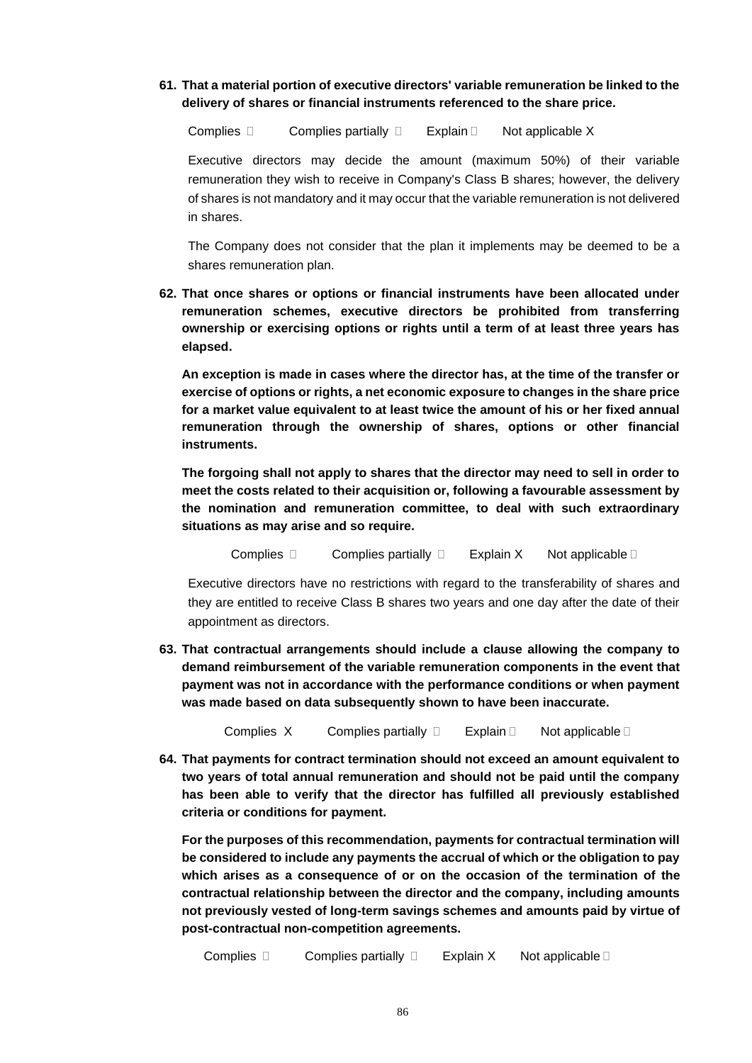**61. That a material portion of executive directors' variable remuneration be linked to the delivery of shares or financial instruments referenced to the share price.** 

Complies  $\Box$  Complies partially  $\Box$  Explain  $\Box$  Not applicable X

Executive directors may decide the amount (maximum 50%) of their variable remuneration they wish to receive in Company's Class B shares; however, the delivery of shares is not mandatory and it may occur that the variable remuneration is not delivered in shares.

The Company does not consider that the plan it implements may be deemed to be a shares remuneration plan.

**62. That once shares or options or financial instruments have been allocated under remuneration schemes, executive directors be prohibited from transferring ownership or exercising options or rights until a term of at least three years has elapsed.** 

**An exception is made in cases where the director has, at the time of the transfer or exercise of options or rights, a net economic exposure to changes in the share price for a market value equivalent to at least twice the amount of his or her fixed annual remuneration through the ownership of shares, options or other financial instruments.** 

**The forgoing shall not apply to shares that the director may need to sell in order to meet the costs related to their acquisition or, following a favourable assessment by the nomination and remuneration committee, to deal with such extraordinary situations as may arise and so require.**

Complies  $\square$  Complies partially  $\square$  Explain X Not applicable  $\square$ 

Executive directors have no restrictions with regard to the transferability of shares and they are entitled to receive Class B shares two years and one day after the date of their appointment as directors.

**63. That contractual arrangements should include a clause allowing the company to demand reimbursement of the variable remuneration components in the event that payment was not in accordance with the performance conditions or when payment was made based on data subsequently shown to have been inaccurate.** 

Complies  $X$  Complies partially  $\Box$  Explain  $\Box$  Not applicable  $\Box$ 

**64. That payments for contract termination should not exceed an amount equivalent to two years of total annual remuneration and should not be paid until the company has been able to verify that the director has fulfilled all previously established criteria or conditions for payment.** 

**For the purposes of this recommendation, payments for contractual termination will be considered to include any payments the accrual of which or the obligation to pay which arises as a consequence of or on the occasion of the termination of the contractual relationship between the director and the company, including amounts not previously vested of long-term savings schemes and amounts paid by virtue of post-contractual non-competition agreements.**

**Complies Complies partially CGD Explain X Not applicable C**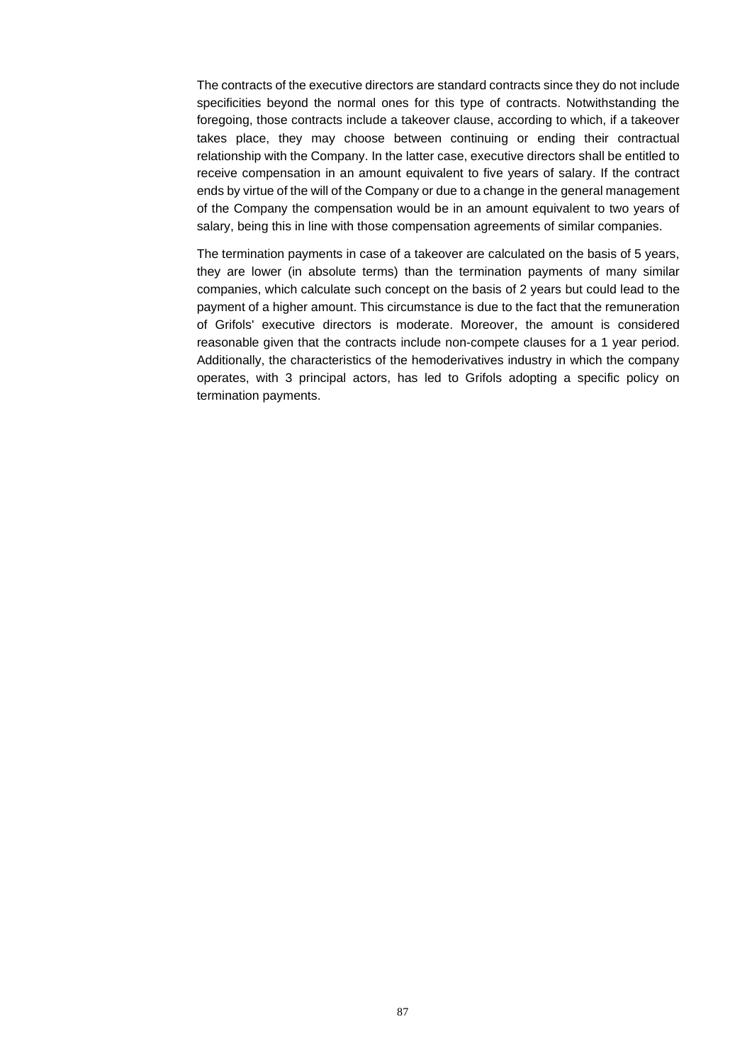The contracts of the executive directors are standard contracts since they do not include specificities beyond the normal ones for this type of contracts. Notwithstanding the foregoing, those contracts include a takeover clause, according to which, if a takeover takes place, they may choose between continuing or ending their contractual relationship with the Company. In the latter case, executive directors shall be entitled to receive compensation in an amount equivalent to five years of salary. If the contract ends by virtue of the will of the Company or due to a change in the general management of the Company the compensation would be in an amount equivalent to two years of salary, being this in line with those compensation agreements of similar companies.

The termination payments in case of a takeover are calculated on the basis of 5 years, they are lower (in absolute terms) than the termination payments of many similar companies, which calculate such concept on the basis of 2 years but could lead to the payment of a higher amount. This circumstance is due to the fact that the remuneration of Grifols' executive directors is moderate. Moreover, the amount is considered reasonable given that the contracts include non-compete clauses for a 1 year period. Additionally, the characteristics of the hemoderivatives industry in which the company operates, with 3 principal actors, has led to Grifols adopting a specific policy on termination payments.